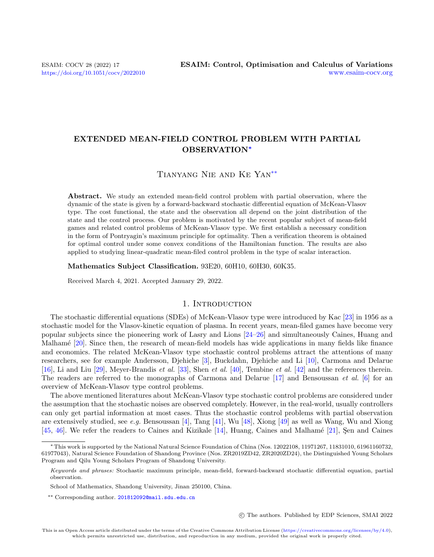# EXTENDED MEAN-FIELD CONTROL PROBLEM WITH PARTIAL OBSERVATION<sup>∗</sup>

# Tianyang Nie and Ke Yan[\\*\\*](#page-0-0)

Abstract. We study an extended mean-field control problem with partial observation, where the dynamic of the state is given by a forward-backward stochastic differential equation of McKean-Vlasov type. The cost functional, the state and the observation all depend on the joint distribution of the state and the control process. Our problem is motivated by the recent popular subject of mean-field games and related control problems of McKean-Vlasov type. We first establish a necessary condition in the form of Pontryagin's maximum principle for optimality. Then a verification theorem is obtained for optimal control under some convex conditions of the Hamiltonian function. The results are also applied to studying linear-quadratic mean-filed control problem in the type of scalar interaction.

Mathematics Subject Classification. 93E20, 60H10, 60H30, 60K35.

Received March 4, 2021. Accepted January 29, 2022.

## 1. INTRODUCTION

The stochastic differential equations (SDEs) of McKean-Vlasov type were introduced by Kac [\[23\]](#page-41-0) in 1956 as a stochastic model for the Vlasov-kinetic equation of plasma. In recent years, mean-filed games have become very popular subjects since the pioneering work of Lasry and Lions [\[24–](#page-41-1)[26\]](#page-41-2) and simultaneously Caines, Huang and Malhamé [\[20\]](#page-41-3). Since then, the research of mean-field models has wide applications in many fields like finance and economics. The related McKean-Vlasov type stochastic control problems attract the attentions of many researchers, see for example Andersson, Djehiche [\[3\]](#page-41-4), Buckdahn, Djehiche and Li [\[10\]](#page-41-5), Carmona and Delarue [\[16\]](#page-41-6), Li and Liu [\[29\]](#page-41-7), Meyer-Brandis et al. [\[33\]](#page-42-0), Shen et al. [\[40\]](#page-42-1), Tembine et al. [\[42\]](#page-42-2) and the references therein. The readers are referred to the monographs of Carmona and Delarue [\[17\]](#page-41-8) and Bensoussan et al. [\[6\]](#page-41-9) for an overview of McKean-Vlasov type control problems.

The above mentioned literatures about McKean-Vlasov type stochastic control problems are considered under the assumption that the stochastic noises are observed completely. However, in the real-world, usually controllers can only get partial information at most cases. Thus the stochastic control problems with partial observation are extensively studied, see e.g. Bensoussan [\[4\]](#page-41-10), Tang [\[41\]](#page-42-3), Wu [\[48\]](#page-42-4), Xiong [\[49\]](#page-42-5) as well as Wang, Wu and Xiong [\[45,](#page-42-6) [46\]](#page-42-7). We refer the readers to Caines and Kizikale  $[14]$ , Huang, Caines and Malhamé [\[21\]](#page-41-12), Sen and Caines

c The authors. Published by EDP Sciences, SMAI 2022

<sup>∗</sup>This work is supported by the National Natural Science Foundation of China (Nos. 12022108, 11971267, 11831010, 61961160732, 61977043), Natural Science Foundation of Shandong Province (Nos. ZR2019ZD42, ZR2020ZD24), the Distinguished Young Scholars Program and Qilu Young Scholars Program of Shandong University.

<span id="page-0-0"></span>Keywords and phrases: Stochastic maximum principle, mean-field, forward-backward stochastic differential equation, partial observation.

School of Mathematics, Shandong University, Jinan 250100, China.

<sup>\*\*</sup> Corresponding author. [201812092@mail.sdu.edu.cn](mailto:201812092@mail.sdu.edu.cn)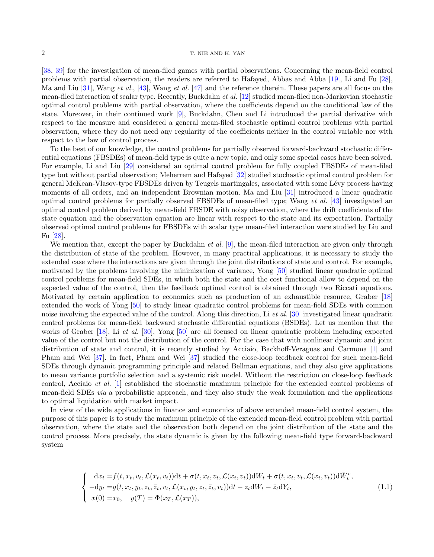[\[38,](#page-42-8) [39\]](#page-42-9) for the investigation of mean-filed games with partial observations. Concerning the mean-field control problems with partial observation, the readers are referred to Hafayed, Abbas and Abba [\[19\]](#page-41-13), Li and Fu [\[28\]](#page-41-14), Ma and Liu [\[31\]](#page-42-10), Wang et al., [\[43\]](#page-42-11), Wang et al. [\[47\]](#page-42-12) and the reference therein. These papers are all focus on the mean-filed interaction of scalar type. Recently, Buckdahn et al. [\[12\]](#page-41-15) studied mean-filed non-Markovian stochastic optimal control problems with partial observation, where the coefficients depend on the conditional law of the state. Moreover, in their continued work [\[9\]](#page-41-16), Buckdahn, Chen and Li introduced the partial derivative with respect to the measure and considered a general mean-filed stochastic optimal control problems with partial observation, where they do not need any regularity of the coefficients neither in the control variable nor with respect to the law of control process.

To the best of our knowledge, the control problems for partially observed forward-backward stochastic differential equations (FBSDEs) of mean-field type is quite a new topic, and only some special cases have been solved. For example, Li and Liu [\[29\]](#page-41-7) considered an optimal control problem for fully coupled FBSDEs of mean-filed type but without partial observation; Meherrem and Hafayed [\[32\]](#page-42-13) studied stochastic optimal control problem for general McKean-Vlasov-type FBSDEs driven by Teugels martingales, associated with some L´evy process having moments of all orders, and an independent Brownian motion. Ma and Liu [\[31\]](#page-42-10) introduced a linear quadratic optimal control problems for partially observed FBSDEs of mean-filed type; Wang et al. [\[43\]](#page-42-11) investigated an optimal control problem derived by mean-field FBSDE with noisy observation, where the drift coefficients of the state equation and the observation equation are linear with respect to the state and its expectation. Partially observed optimal control problems for FBSDEs with scalar type mean-filed interaction were studied by Liu and Fu [\[28\]](#page-41-14).

We mention that, except the paper by Buckdahn *et al.* [\[9\]](#page-41-16), the mean-filed interaction are given only through the distribution of state of the problem. However, in many practical applications, it is necessary to study the extended case where the interactions are given through the joint distributions of state and control. For example, motivated by the problems involving the minimization of variance, Yong [\[50\]](#page-42-14) studied linear quadratic optimal control problems for mean-field SDEs, in which both the state and the cost functional allow to depend on the expected value of the control, then the feedback optimal control is obtained through two Riccati equations. Motivated by certain application to economics such as production of an exhaustible resource, Graber [\[18\]](#page-41-17) extended the work of Yong [\[50\]](#page-42-14) to study linear quadratic control problems for mean-field SDEs with common noise involving the expected value of the control. Along this direction, Li et al. [\[30\]](#page-42-15) investigated linear quadratic control problems for mean-field backward stochastic differential equations (BSDEs). Let us mention that the works of Graber [\[18\]](#page-41-17), Li *et al.* [\[30\]](#page-42-15), Yong [\[50\]](#page-42-14) are all focused on linear quadratic problem including expected value of the control but not the distribution of the control. For the case that with nonlinear dynamic and joint distribution of state and control, it is recently studied by Acciaio, Backhoff-Veraguas and Carmona [\[1\]](#page-41-18) and Pham and Wei [\[37\]](#page-42-16). In fact, Pham and Wei [\[37\]](#page-42-16) studied the close-loop feedback control for such mean-field SDEs through dynamic programming principle and related Bellman equations, and they also give applications to mean variance portfolio selection and a systemic risk model. Without the restriction on close-loop feedback control, Acciaio et al. [\[1\]](#page-41-18) established the stochastic maximum principle for the extended control problems of mean-field SDEs via a probabilistic approach, and they also study the weak formulation and the applications to optimal liquidation with market impact.

In view of the wide applications in finance and economics of above extended mean-field control system, the purpose of this paper is to study the maximum principle of the extended mean-field control problem with partial observation, where the state and the observation both depend on the joint distribution of the state and the control process. More precisely, the state dynamic is given by the following mean-field type forward-backward system

<span id="page-1-0"></span>
$$
\begin{cases}\n\mathrm{d}x_t = f(t, x_t, v_t, \mathcal{L}(x_t, v_t)) \mathrm{d}t + \sigma(t, x_t, v_t, \mathcal{L}(x_t, v_t)) \mathrm{d}W_t + \bar{\sigma}(t, x_t, v_t, \mathcal{L}(x_t, v_t)) \mathrm{d}\bar{W}_t^v, \\
-dy_t = g(t, x_t, y_t, z_t, \bar{z}_t, v_t, \mathcal{L}(x_t, y_t, z_t, \bar{z}_t, v_t)) \mathrm{d}t - z_t \mathrm{d}W_t - \bar{z}_t \mathrm{d}Y_t, \\
x(0) = x_0, \quad y(T) = \Phi(x_T, \mathcal{L}(x_T)),\n\end{cases} \tag{1.1}
$$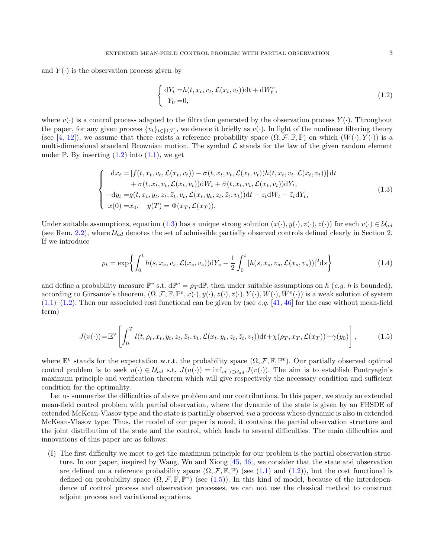and  $Y(\cdot)$  is the observation process given by

<span id="page-2-0"></span>
$$
\begin{cases} dY_t = h(t, x_t, v_t, \mathcal{L}(x_t, v_t))dt + d\bar{W}_t^v, \\ Y_0 = 0, \end{cases}
$$
\n(1.2)

where  $v(\cdot)$  is a control process adapted to the filtration generated by the observation process  $Y(\cdot)$ . Throughout the paper, for any given process  $\{v_t\}_{t\in[0,T]}$ , we denote it briefly as  $v(\cdot)$ . In light of the nonlinear filtering theory (see [\[4,](#page-41-10) [12\]](#page-41-15)), we assume that there exists a reference probability space  $(\Omega, \mathcal{F}, \mathbb{F}, \mathbb{P})$  on which  $(W(\cdot), Y(\cdot))$  is a multi-dimensional standard Brownian motion. The symbol  $\mathcal L$  stands for the law of the given random element under  $\mathbb{P}$ . By inserting  $(1.2)$  into  $(1.1)$ , we get

<span id="page-2-1"></span>
$$
\begin{cases}\n\mathrm{d}x_{t} = [f(t, x_{t}, v_{t}, \mathcal{L}(x_{t}, v_{t})) - \bar{\sigma}(t, x_{t}, v_{t}, \mathcal{L}(x_{t}, v_{t}))h(t, x_{t}, v_{t}, \mathcal{L}(x_{t}, v_{t}))] \,\mathrm{d}t \\
+ \sigma(t, x_{t}, v_{t}, \mathcal{L}(x_{t}, v_{t})) \mathrm{d}W_{t} + \bar{\sigma}(t, x_{t}, v_{t}, \mathcal{L}(x_{t}, v_{t})) \mathrm{d}Y_{t}, \\
-\mathrm{d}y_{t} = g(t, x_{t}, y_{t}, z_{t}, \bar{z}_{t}, v_{t}, \mathcal{L}(x_{t}, y_{t}, z_{t}, \bar{z}_{t}, v_{t})) \mathrm{d}t - z_{t} \mathrm{d}W_{t} - \bar{z}_{t} \mathrm{d}Y_{t}, \\
x(0) = x_{0}, \quad y(T) = \Phi(x_{T}, \mathcal{L}(x_{T})).\n\end{cases} \tag{1.3}
$$

Under suitable assumptions, equation [\(1.3\)](#page-2-1) has a unique strong solution  $(x(\cdot), y(\cdot), z(\cdot), \bar{z}(\cdot))$  for each  $v(\cdot) \in \mathcal{U}_{ad}$ (see Rem. [2.2\)](#page-8-0), where  $\mathcal{U}_{ad}$  denotes the set of admissible partially observed controls defined clearly in Section 2. If we introduce

<span id="page-2-3"></span>
$$
\rho_t = \exp\left\{ \int_0^t h(s, x_s, v_s, \mathcal{L}(x_s, v_s)) \, dY_s - \frac{1}{2} \int_0^t |h(s, x_s, v_s, \mathcal{L}(x_s, v_s))|^2 \, ds \right\} \tag{1.4}
$$

and define a probability measure  $\mathbb{P}^v$  s.t.  $d\mathbb{P}^v = \rho_T d\mathbb{P}$ , then under suitable assumptions on h (e.g. h is bounded), according to Girsanov's theorem,  $(\Omega, \mathcal{F}, \mathbb{F}, \mathbb{P}^v, x(\cdot), y(\cdot), z(\cdot), \bar{z}(\cdot), Y(\cdot), W(\cdot), \bar{W}^v(\cdot))$  is a weak solution of system  $(1.1)$ – $(1.2)$ . Then our associated cost functional can be given by (see e.g. [\[41,](#page-42-3) [46\]](#page-42-7) for the case without mean-field term)

<span id="page-2-2"></span>
$$
J(v(\cdot)) = \mathbb{E}^v \left[ \int_0^T l(t, \rho_t, x_t, y_t, z_t, \bar{z}_t, v_t, \mathcal{L}(x_t, y_t, z_t, \bar{z}_t, v_t)) dt + \chi(\rho_T, x_T, \mathcal{L}(x_T)) + \gamma(y_0) \right],
$$
(1.5)

where  $\mathbb{E}^v$  stands for the expectation w.r.t. the probability space  $(\Omega, \mathcal{F}, \mathbb{F}, \mathbb{P}^v)$ . Our partially observed optimal control problem is to seek  $u(\cdot) \in \mathcal{U}_{ad}$  s.t.  $J(u(\cdot)) = \inf_{v(\cdot) \in \mathcal{U}_{ad}} J(v(\cdot))$ . The aim is to establish Pontryagin's maximum principle and verification theorem which will give respectively the necessary condition and sufficient condition for the optimality.

Let us summarize the difficulties of above problem and our contributions. In this paper, we study an extended mean-field control problem with partial observation, where the dynamic of the state is given by an FBSDE of extended McKean-Vlasov type and the state is partially observed via a process whose dynamic is also in extended McKean-Vlasov type. Thus, the model of our paper is novel, it contains the partial observation structure and the joint distribution of the state and the control, which leads to several difficulties. The main difficulties and innovations of this paper are as follows:

(I) The first difficulty we meet to get the maximum principle for our problem is the partial observation structure. In our paper, inspired by Wang, Wu and Xiong [\[45,](#page-42-6) [46\]](#page-42-7), we consider that the state and observation are defined on a reference probability space  $(\Omega, \mathcal{F}, \mathbb{F}, \mathbb{P})$  (see [\(1.1\)](#page-1-0) and [\(1.2\)](#page-2-0)), but the cost functional is defined on probability space  $(\Omega, \mathcal{F}, \mathbb{F}, \mathbb{P}^v)$  (see [\(1.5\)](#page-2-2)). In this kind of model, because of the interdependence of control process and observation processes, we can not use the classical method to construct adjoint process and variational equations.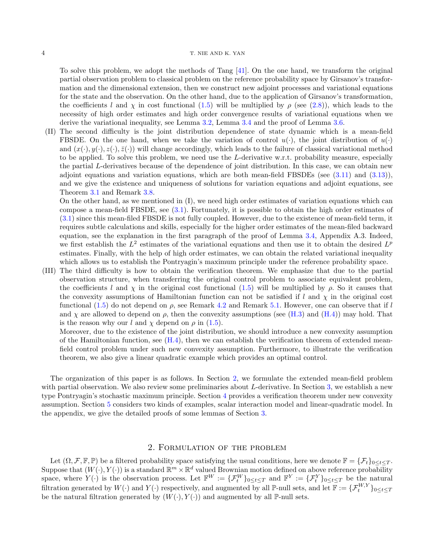#### 4 T. NIE AND K. YAN

To solve this problem, we adopt the methods of Tang [\[41\]](#page-42-3). On the one hand, we transform the original partial observation problem to classical problem on the reference probability space by Girsanov's transformation and the dimensional extension, then we construct new adjoint processes and variational equations for the state and the observation. On the other hand, due to the application of Girsanov's transformation, the coefficients l and  $\chi$  in cost functional [\(1.5\)](#page-2-2) will be multiplied by  $\rho$  (see [\(2.8\)](#page-9-0)), which leads to the necessity of high order estimates and high order convergence results of variational equations when we derive the variational inequality, see Lemma [3.2,](#page-12-0) Lemma [3.4](#page-12-1) and the proof of Lemma [3.6.](#page-13-0)

(II) The second difficulty is the joint distribution dependence of state dynamic which is a mean-field FBSDE. On the one hand, when we take the variation of control  $u(\cdot)$ , the joint distribution of  $u(\cdot)$ and  $(x(\cdot), y(\cdot), z(\cdot), \overline{z}(\cdot))$  will change accordingly, which leads to the failure of classical variational method to be applied. To solve this problem, we need use the L-derivative w.r.t. probability measure, especially the partial L-derivatives because of the dependence of joint distribution. In this case, we can obtain new adjoint equations and variation equations, which are both mean-field FBSDEs (see [\(3.11\)](#page-15-0) and [\(3.13\)](#page-16-0)), and we give the existence and uniqueness of solutions for variation equations and adjoint equations, see Theorem [3.1](#page-10-0) and Remark [3.8.](#page-15-1)

On the other hand, as we mentioned in (I), we need high order estimates of variation equations which can compose a mean-field FBSDE, see [\(3.1\)](#page-10-1). Fortunately, it is possible to obtain the high order estimates of [\(3.1\)](#page-10-1) since this mean-filed FBSDE is not fully coupled. However, due to the existence of mean-field term, it requires subtle calculations and skills, especially for the higher order estimates of the mean-filed backward equation, see the explanation in the first paragraph of the proof of Lemma [3.4,](#page-12-1) Appendix A.3. Indeed, we first establish the  $L^2$  estimates of the variational equations and then use it to obtain the desired  $L^p$ estimates. Finally, with the help of high order estimates, we can obtain the related variational inequality which allows us to establish the Pontryagin's maximum principle under the reference probability space.

(III) The third difficulty is how to obtain the verification theorem. We emphasize that due to the partial observation structure, when transferring the original control problem to associate equivalent problem, the coefficients l and  $\chi$  in the original cost functional [\(1.5\)](#page-2-2) will be multiplied by  $\rho$ . So it causes that the convexity assumptions of Hamiltonian function can not be satisfied if l and  $\chi$  in the original cost functional [\(1.5\)](#page-2-2) do not depend on  $\rho$ , see Remark [4.2](#page-21-0) and Remark [5.1.](#page-25-0) However, one can observe that if l and  $\chi$  are allowed to depend on  $\rho$ , then the convexity assumptions (see [\(H.3\)](#page-19-0) and [\(H.4\)](#page-19-1)) may hold. That is the reason why our l and  $\chi$  depend on  $\rho$  in [\(1.5\)](#page-2-2).

Moreover, due to the existence of the joint distribution, we should introduce a new convexity assumption of the Hamiltonian function, see  $(H.4)$ , then we can establish the verification theorem of extended meanfield control problem under such new convexity assumption. Furthermore, to illustrate the verification theorem, we also give a linear quadratic example which provides an optimal control.

The organization of this paper is as follows. In Section [2,](#page-3-0) we formulate the extended mean-field problem with partial observation. We also review some preliminaries about L-derivative. In Section [3,](#page-9-1) we establish a new type Pontryagin's stochastic maximum principle. Section [4](#page-19-2) provides a verification theorem under new convexity assumption. Section [5](#page-21-1) considers two kinds of examples, scalar interaction model and linear-quadratic model. In the appendix, we give the detailed proofs of some lemmas of Section [3.](#page-9-1)

## 2. Formulation of the problem

<span id="page-3-0"></span>Let  $(\Omega, \mathcal{F}, \mathbb{F}, \mathbb{P})$  be a filtered probability space satisfying the usual conditions, here we denote  $\mathbb{F} = {\mathcal{F}_t}_{0 \le t \le T}$ . Suppose that  $(W(\cdot), Y(\cdot))$  is a standard  $\mathbb{R}^m \times \mathbb{R}^d$  valued Brownian motion defined on above reference probability space, where  $Y(\cdot)$  is the observation process. Let  $\mathbb{F}^W := {\{\mathcal{F}_t^W\}}_{0 \le t \le T}$  and  $\mathbb{F}^Y := {\{\mathcal{F}_t^Y\}}_{0 \le t \le T}$  be the natural filtration generated by  $W(\cdot)$  and  $Y(\cdot)$  respectively, and augmented by all P-null sets, and let  $\mathbb{F} := {\{\mathcal{F}_{t}^{W,Y}\}_{0 \le t \le T}}$ be the natural filtration generated by  $(W(\cdot), Y(\cdot))$  and augmented by all P-null sets.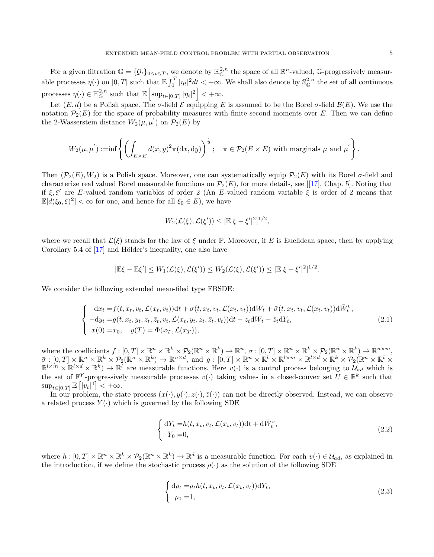For a given filtration  $\mathbb{G} = {\mathcal{G}_t}_{0 \le t \le T}$ , we denote by  $\mathbb{H}^{2,n}_{\mathbb{G}}$  the space of all  $\mathbb{R}^n$ -valued, G-progressively measurable processes  $\eta(\cdot)$  on  $[0,T]$  such that  $\mathbb{E} \int_0^T |\eta_t|^2 dt < +\infty$ . We shall also denote by  $\mathbb{S}_{\mathbb{G}}^{2,n}$  the set of all continuous processes  $\eta(\cdot) \in \mathbb{H}^{2,n}_{\mathbb{G}}$  such that  $\mathbb{E}\left[\sup_{t \in [0,T]} |\eta_t|^2\right] < +\infty$ .

Let  $(E, d)$  be a Polish space. The  $\sigma$ -field  $\mathcal E$  equipping E is assumed to be the Borel  $\sigma$ -field  $\mathcal B(E)$ . We use the notation  $\mathcal{P}_2(E)$  for the space of probability measures with finite second moments over E. Then we can define the 2-Wasserstein distance  $W_2(\mu, \mu')$  on  $\mathcal{P}_2(E)$  by

$$
W_2(\mu, \mu') := \inf \left\{ \left( \int_{E \times E} d(x, y)^2 \pi(dx, dy) \right)^{\frac{1}{2}}; \quad \pi \in \mathcal{P}_2(E \times E) \text{ with marginals } \mu \text{ and } \mu' \right\}.
$$

Then  $(\mathcal{P}_2(E), W_2)$  is a Polish space. Moreover, one can systematically equip  $\mathcal{P}_2(E)$  with its Borel  $\sigma$ -field and characterize real valued Borel measurable functions on  $\mathcal{P}_2(E)$ , for more details, see [[\[17\]](#page-41-8), Chap. 5]. Noting that if  $\xi, \xi'$  are E-valued random variables of order 2 (An E-valued random variable  $\xi$  is order of 2 means that  $\mathbb{E}[d(\xi_0,\xi)^2]<\infty$  for one, and hence for all  $\xi_0\in E$ ), we have

$$
W_2(\mathcal{L}(\xi), \mathcal{L}(\xi')) \leq [\mathbb{E}|\xi - \xi'|^2]^{1/2},
$$

where we recall that  $\mathcal{L}(\xi)$  stands for the law of  $\xi$  under P. Moreover, if E is Euclidean space, then by applying Corollary 5.4 of  $[17]$  and Hölder's inequality, one also have

$$
|\mathbb{E}\xi-\mathbb{E}\xi'|\leq W_1(\mathcal{L}(\xi),\mathcal{L}(\xi'))\leq W_2(\mathcal{L}(\xi),\mathcal{L}(\xi'))\leq [\mathbb{E}|\xi-\xi'|^2]^{1/2}.
$$

We consider the following extended mean-filed type FBSDE:

<span id="page-4-0"></span>
$$
\begin{cases}\n\mathrm{d}x_t = f(t, x_t, v_t, \mathcal{L}(x_t, v_t)) \mathrm{d}t + \sigma(t, x_t, v_t, \mathcal{L}(x_t, v_t)) \mathrm{d}W_t + \bar{\sigma}(t, x_t, v_t, \mathcal{L}(x_t, v_t)) \mathrm{d}\bar{W}_t^v, \\
-dy_t = g(t, x_t, y_t, z_t, \bar{z}_t, v_t, \mathcal{L}(x_t, y_t, z_t, \bar{z}_t, v_t)) \mathrm{d}t - z_t \mathrm{d}W_t - \bar{z}_t \mathrm{d}Y_t, \\
x(0) = x_0, \quad y(T) = \Phi(x_T, \mathcal{L}(x_T)),\n\end{cases} \tag{2.1}
$$

where the coefficients  $f: [0, T] \times \mathbb{R}^n \times \mathbb{R}^k \times \mathcal{P}_2(\mathbb{R}^n \times \mathbb{R}^k) \to \mathbb{R}^n$ ,  $\sigma: [0, T] \times \mathbb{R}^n \times \mathbb{R}^k \times \mathcal{P}_2(\mathbb{R}^n \times \mathbb{R}^k) \to \mathbb{R}^{n \times m}$ ,  $\bar{\sigma}:[0,T]\times\mathbb{R}^n\times\mathbb{R}^k\times\mathcal{P}_2(\mathbb{R}^n\times\mathbb{R}^k)\to\mathbb{R}^{n\times d}, \text{ and } g:[0,T]\times\mathbb{R}^n\times\mathbb{R}^l\times\mathbb{R}^{l\times m}\times\mathbb{R}^{l\times d}\times\mathbb{R}^k\times\mathcal{P}_2(\mathbb{R}^n\times\mathbb{R}^l\times\mathbb{R}^{l\times d})$  $\mathbb{R}^{l \times m} \times \mathbb{R}^{l \times d} \times \mathbb{R}^{k}$   $\rightarrow \mathbb{R}^{l}$  are measurable functions. Here  $v(\cdot)$  is a control process belonging to  $\mathcal{U}_{ad}$  which is the set of  $\mathbb{F}^{Y}$ -progressively measurable processes  $v(\cdot)$  taking values in a closed-convex set  $U \in \mathbb{R}^{k}$  such that  $\sup_{t\in[0,T]}\mathbb{E}\left[|v_t|^4\right]<+\infty.$ 

In our problem, the state process  $(x(\cdot), y(\cdot), z(\cdot), \overline{z}(\cdot))$  can not be directly observed. Instead, we can observe a related process  $Y(\cdot)$  which is governed by the following SDE

<span id="page-4-1"></span>
$$
\begin{cases} dY_t = h(t, x_t, v_t, \mathcal{L}(x_t, v_t))dt + d\bar{W}_t^v, \\ Y_0 = 0, \end{cases}
$$
\n(2.2)

where  $h: [0,T] \times \mathbb{R}^n \times \mathbb{R}^k \times \mathcal{P}_2(\mathbb{R}^n \times \mathbb{R}^k) \to \mathbb{R}^d$  is a measurable function. For each  $v(\cdot) \in \mathcal{U}_{ad}$ , as explained in the introduction, if we define the stochastic process  $\rho(\cdot)$  as the solution of the following SDE

<span id="page-4-2"></span>
$$
\begin{cases} d\rho_t = \rho_t h(t, x_t, v_t, \mathcal{L}(x_t, v_t)) dY_t, \\ \rho_0 = 1, \end{cases}
$$
\n(2.3)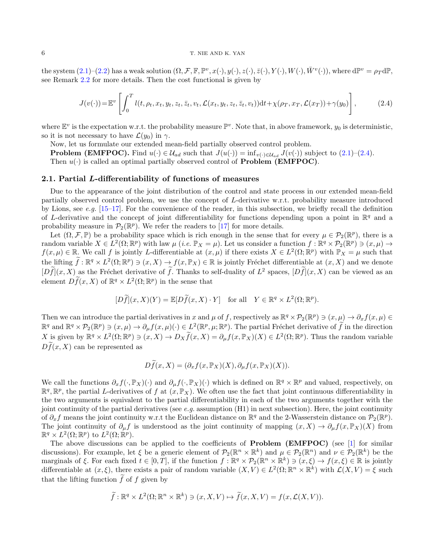#### 6 T. NIE AND K. YAN

the system  $(2.1)$ - $(2.2)$  has a weak solution  $(\Omega, \mathcal{F}, \mathbb{F}, \mathbb{P}^v, x(\cdot), y(\cdot), z(\cdot), \bar{z}(\cdot), Y(\cdot), W(\cdot), \bar{W}^v(\cdot)),$  where  $d\mathbb{P}^v = \rho_T d\mathbb{P},$ see Remark [2.2](#page-8-0) for more details. Then the cost functional is given by

<span id="page-5-0"></span>
$$
J(v(\cdot)) = \mathbb{E}^v \left[ \int_0^T l(t, \rho_t, x_t, y_t, z_t, \bar{z}_t, v_t, \mathcal{L}(x_t, y_t, z_t, \bar{z}_t, v_t)) dt + \chi(\rho_T, x_T, \mathcal{L}(x_T)) + \gamma(y_0) \right],
$$
 (2.4)

where  $\mathbb{E}^v$  is the expectation w.r.t. the probability measure  $\mathbb{P}^v$ . Note that, in above framework,  $y_0$  is deterministic, so it is not necessary to have  $\mathcal{L}(y_0)$  in  $\gamma$ .

Now, let us formulate our extended mean-field partially observed control problem.

**Problem (EMFPOC).** Find  $u(\cdot) \in \mathcal{U}_{ad}$  such that  $J(u(\cdot)) = \inf_{v(\cdot) \in \mathcal{U}_{ad}} J(v(\cdot))$  subject to [\(2.1\)](#page-4-0)–[\(2.4\)](#page-5-0). Then  $u(\cdot)$  is called an optimal partially observed control of **Problem (EMFPOC)**.

## 2.1. Partial L-differentiability of functions of measures

Due to the appearance of the joint distribution of the control and state process in our extended mean-field partially observed control problem, we use the concept of L-derivative w.r.t. probability measure introduced by Lions, see e.g.  $[15-17]$  $[15-17]$ . For the convenience of the reader, in this subsection, we briefly recall the definition of L-derivative and the concept of joint differentiability for functions depending upon a point in  $\mathbb{R}^q$  and a probability measure in  $\mathcal{P}_2(\mathbb{R}^p)$ . We refer the readers to [\[17\]](#page-41-8) for more details.

Let  $(\Omega, \mathcal{F}, \mathbb{P})$  be a probability space which is rich enough in the sense that for every  $\mu \in \mathcal{P}_2(\mathbb{R}^p)$ , there is a random variable  $X \in L^2(\Omega; \mathbb{R}^p)$  with law  $\mu$  (*i.e.*  $\mathbb{P}_X = \mu$ ). Let us consider a function  $f : \mathbb{R}^q \times \mathcal{P}_2(\mathbb{R}^p) \ni (x, \mu) \to$  $f(x,\mu) \in \mathbb{R}$ . We call f is jointly L-differentiable at  $(x,\mu)$  if there exists  $X \in L^2(\Omega;\mathbb{R}^p)$  with  $\mathbb{P}_X = \mu$  such that the lifting  $\widetilde{f}: \mathbb{R}^q \times L^2(\Omega; \mathbb{R}^p) \ni (x, X) \to f(x, \mathbb{P}_X) \in \mathbb{R}$  is jointly Fréchet differentiable at  $(x, X)$  and we denote  $[Df](x, X)$  as the Fréchet derivative of f. Thanks to self-duality of  $L^2$  spaces,  $[Df](x, X)$  can be viewed as an element  $D\tilde{f}(x, X)$  of  $\mathbb{R}^q \times L^2(\Omega; \mathbb{R}^p)$  in the sense that

$$
[D\widetilde{f}](x,X)(Y) = \mathbb{E}[D\widetilde{f}(x,X) \cdot Y] \quad \text{for all} \quad Y \in \mathbb{R}^q \times L^2(\Omega; \mathbb{R}^p).
$$

Then we can introduce the partial derivatives in x and  $\mu$  of f, respectively as  $\mathbb{R}^q \times \mathcal{P}_2(\mathbb{R}^p) \ni (x, \mu) \to \partial_x f(x, \mu) \in$  $\mathbb{R}^q$  and  $\mathbb{R}^q \times \mathcal{P}_2(\mathbb{R}^p) \ni (x,\mu) \to \partial_\mu f(x,\mu)(\cdot) \in L^2(\mathbb{R}^p, \mu; \mathbb{R}^p)$ . The partial Fréchet derivative of  $\tilde{f}$  in the direction X is given by  $\mathbb{R}^q \times L^2(\Omega; \mathbb{R}^p) \ni (x, X) \to D_X \widetilde{f}(x, X) = \partial_\mu f(x, \mathbb{P}_X)(X) \in L^2(\Omega; \mathbb{R}^p)$ . Thus the random variable  $D\tilde{f}(x, X)$  can be represented as

$$
D\widetilde{f}(x,X)=(\partial_x f(x,\mathbb{P}_X)(X),\partial_\mu f(x,\mathbb{P}_X)(X)).
$$

We call the functions  $\partial_x f(\cdot, \mathbb{P}_X)(\cdot)$  and  $\partial_\mu f(\cdot, \mathbb{P}_X)(\cdot)$  which is defined on  $\mathbb{R}^q \times \mathbb{R}^p$  and valued, respectively, on  $\mathbb{R}^q$ ,  $\mathbb{R}^p$ , the partial L-derivatives of f at  $(x, \mathbb{P}_X)$ . We often use the fact that joint continuous differentiability in the two arguments is equivalent to the partial differentiability in each of the two arguments together with the joint continuity of the partial derivatives (see e.g. assumption  $(H1)$  in next subsection). Here, the joint continuity of  $\partial_x f$  means the joint continuity w.r.t the Euclidean distance on  $\mathbb{R}^q$  and the 2-Wasserstein distance on  $\mathcal{P}_2(\mathbb{R}^p)$ . The joint continuity of  $\partial_{\mu} f$  is understood as the joint continuity of mapping  $(x, X) \to \partial_{\mu} f(x, \mathbb{P}_X)(X)$  from  $\mathbb{R}^q \times L^2(\Omega; \mathbb{R}^p)$  to  $L^2(\Omega; \mathbb{R}^p)$ .

The above discussions can be applied to the coefficients of **Problem (EMFPOC)** (see [\[1\]](#page-41-18) for similar discussions). For example, let  $\xi$  be a generic element of  $\mathcal{P}_2(\mathbb{R}^n \times \mathbb{R}^k)$  and  $\mu \in \mathcal{P}_2(\mathbb{R}^n)$  and  $\nu \in \mathcal{P}_2(\mathbb{R}^k)$  be the marginals of  $\xi$ . For each fixed  $t \in [0, T]$ , if the function  $f : \mathbb{R}^q \times \mathcal{P}_2(\mathbb{R}^n \times \mathbb{R}^k) \ni (x, \xi) \to f(x, \xi) \in \mathbb{R}$  is jointly differentiable at  $(x, \xi)$ , there exists a pair of random variable  $(X, V) \in L^2(\Omega; \mathbb{R}^n \times \mathbb{R}^k)$  with  $\mathcal{L}(X, V) = \xi$  such that the lifting function  $\tilde{f}$  of f given by

$$
\widetilde{f}: \mathbb{R}^q \times L^2(\Omega; \mathbb{R}^n \times \mathbb{R}^k) \ni (x, X, V) \mapsto \widetilde{f}(x, X, V) = f(x, \mathcal{L}(X, V)).
$$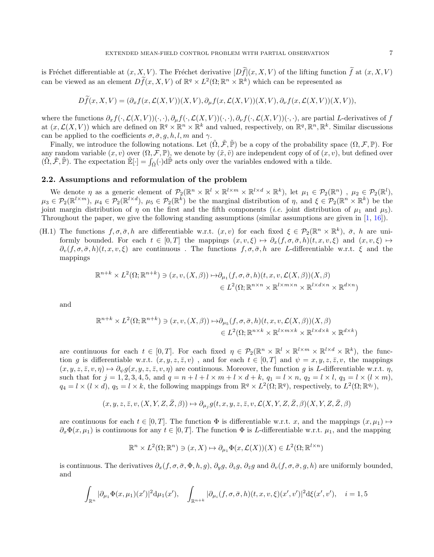is Fréchet differentiable at  $(x, X, V)$ . The Fréchet derivative  $\widetilde{[Df]}(x, X, V)$  of the lifting function  $\widetilde{f}$  at  $(x, X, V)$ can be viewed as an element  $D\tilde{f}(x, X, V)$  of  $\mathbb{R}^q \times L^2(\Omega; \mathbb{R}^n \times \mathbb{R}^k)$  which can be represented as

$$
Df(x, X, V) = (\partial_x f(x, \mathcal{L}(X, V))(X, V), \partial_\mu f(x, \mathcal{L}(X, V))(X, V), \partial_\nu f(x, \mathcal{L}(X, V))(X, V)),
$$

where the functions  $\partial_x f(\cdot,\mathcal{L}(X,V))(\cdot,\cdot), \partial_u f(\cdot,\mathcal{L}(X,V))(\cdot,\cdot), \partial_v f(\cdot,\mathcal{L}(X,V))(\cdot,\cdot)$ , are partial L-derivatives of f at  $(x, \mathcal{L}(X, V))$  which are defined on  $\mathbb{R}^q \times \mathbb{R}^n \times \mathbb{R}^k$  and valued, respectively, on  $\mathbb{R}^q, \mathbb{R}^n, \mathbb{R}^k$ . Similar discussions can be applied to the coefficients  $\sigma$ ,  $\bar{\sigma}$ ,  $g$ ,  $h$ ,  $l$ ,  $m$  and  $\gamma$ .

Finally, we introduce the following notations. Let  $(\tilde{\Omega}, \tilde{\mathcal{F}}, \tilde{\mathbb{P}})$  be a copy of the probability space  $(\Omega, \mathcal{F}, \mathbb{P})$ . For any random variable  $(x, v)$  over  $(\Omega, \mathcal{F}, \mathbb{P})$ , we denote by  $(\tilde{x}, \tilde{v})$  are independent copy of of  $(x, v)$ , but defined over  $(\tilde{\Omega}, \tilde{\mathcal{F}}, \tilde{\mathbb{P}})$ . The expectation  $\tilde{\mathbb{E}}[\cdot] = \int_{\tilde{\Omega}} (\cdot) d\tilde{\mathbb{P}}$  acts only over the variables endowed with a tilde.

### 2.2. Assumptions and reformulation of the problem

We denote  $\eta$  as a generic element of  $\mathcal{P}_2(\mathbb{R}^n \times \mathbb{R}^l \times \mathbb{R}^{l \times m} \times \mathbb{R}^{l \times d} \times \mathbb{R}^k)$ , let  $\mu_1 \in \mathcal{P}_2(\mathbb{R}^n)$ ,  $\mu_2 \in \mathcal{P}_2(\mathbb{R}^l)$ ,  $\mu_3 \in \mathcal{P}_2(\mathbb{R}^{l \times m})$ ,  $\mu_4 \in \mathcal{P}_2(\mathbb{R}^{l \times d})$ ,  $\mu_5 \in \mathcal{P}_2(\mathbb{R}^k)$  be the marginal distribution of  $\eta$ , and  $\xi \in \mathcal{P}_2(\mathbb{R}^n \times \mathbb{R}^k)$  be the joint margin distribution of  $\eta$  on the first and the fifth components (*i.e.* joint distribution of  $\mu_1$  and  $\mu_5$ ). Throughout the paper, we give the following standing assumptions (similar assumptions are given in [\[1,](#page-41-18) [16\]](#page-41-6)).

<span id="page-6-0"></span>(H.1) The functions  $f, \sigma, \bar{\sigma}, h$  are differentiable w.r.t.  $(x, v)$  for each fixed  $\xi \in \mathcal{P}_2(\mathbb{R}^n \times \mathbb{R}^k)$ ,  $\bar{\sigma}$ , h are uniformly bounded. For each  $t \in [0, T]$  the mappings  $(x, v, \xi) \mapsto \partial_x(f, \sigma, \overline{\sigma}, h)(t, x, v, \xi)$  and  $(x, v, \xi) \mapsto$  $\partial_v(f,\sigma,\bar{\sigma},h)(t,x,v,\xi)$  are continuous. The functions  $f,\sigma,\bar{\sigma},h$  are L-differentiable w.r.t.  $\xi$  and the mappings

$$
\mathbb{R}^{n+k} \times L^2(\Omega; \mathbb{R}^{n+k}) \ni (x, v, (X, \beta)) \mapsto \partial_{\mu_1}(f, \sigma, \bar{\sigma}, h)(t, x, v, \mathcal{L}(X, \beta))(X, \beta)
$$
  

$$
\in L^2(\Omega; \mathbb{R}^{n \times n} \times \mathbb{R}^{l \times m \times n} \times \mathbb{R}^{l \times d \times n} \times \mathbb{R}^{d \times n})
$$

and

$$
\mathbb{R}^{n+k} \times L^2(\Omega; \mathbb{R}^{n+k}) \ni (x, v, (X, \beta)) \mapsto \partial_{\mu_5}(f, \sigma, \bar{\sigma}, h)(t, x, v, \mathcal{L}(X, \beta))(X, \beta)
$$
  

$$
\in L^2(\Omega; \mathbb{R}^{n \times k} \times \mathbb{R}^{l \times m \times k} \times \mathbb{R}^{l \times d \times k} \times \mathbb{R}^{d \times k})
$$

are continuous for each  $t \in [0,T]$ . For each fixed  $\eta \in \mathcal{P}_2(\mathbb{R}^n \times \mathbb{R}^l \times \mathbb{R}^{l \times m} \times \mathbb{R}^{l \times d} \times \mathbb{R}^k)$ , the function g is differentiable w.r.t.  $(x, y, z, \overline{z}, v)$ , and for each  $t \in [0, T]$  and  $\psi = x, y, z, \overline{z}, v$ , the mappings  $(x, y, z, \overline{z}, v, \eta) \mapsto \partial_{\psi} g(x, y, z, \overline{z}, v, \eta)$  are continuous. Moreover, the function g is L-differentiable w.r.t.  $\eta$ , such that for  $j = 1, 2, 3, 4, 5$ , and  $q = n + l + l \times m + l \times d + k$ ,  $q_1 = l \times n$ ,  $q_2 = l \times l$ ,  $q_3 = l \times (l \times m)$ ,  $q_4 = l \times (l \times d)$ ,  $q_5 = l \times k$ , the following mappings from  $\mathbb{R}^q \times L^2(\Omega; \mathbb{R}^q)$ , respectively, to  $L^2(\Omega; \mathbb{R}^{q_j})$ ,

$$
(x,y,z,\bar{z},v,(X,Y,Z,\bar{Z},\beta))\mapsto \partial_{\mu_j} g(t,x,y,z,\bar{z},v,\mathcal{L}(X,Y,Z,\bar{Z},\beta)(X,Y,Z,\bar{Z},\beta)
$$

are continuous for each  $t \in [0, T]$ . The function  $\Phi$  is differentiable w.r.t. x, and the mappings  $(x, \mu_1) \mapsto$  $\partial_x \Phi(x, \mu_1)$  is continuous for any  $t \in [0, T]$ . The function  $\Phi$  is L-differentiable w.r.t.  $\mu_1$ , and the mapping

$$
\mathbb{R}^n \times L^2(\Omega; \mathbb{R}^n) \ni (x, X) \mapsto \partial_{\mu_1} \Phi(x, \mathcal{L}(X))(X) \in L^2(\Omega; \mathbb{R}^{l \times n})
$$

is continuous. The derivatives  $\partial_x(f, \sigma, \bar{\sigma}, \Phi, h, g)$ ,  $\partial_y g, \partial_z g, \partial_{\bar{z}} g$  and  $\partial_v(f, \sigma, \bar{\sigma}, g, h)$  are uniformly bounded, and

$$
\int_{\mathbb{R}^n} |\partial_{\mu_1} \Phi(x, \mu_1)(x')|^2 d\mu_1(x'), \quad \int_{\mathbb{R}^{n+k}} |\partial_{\mu_i} (f, \sigma, \bar{\sigma}, h)(t, x, v, \xi)(x', v')|^2 d\xi(x', v'), \quad i = 1, 5
$$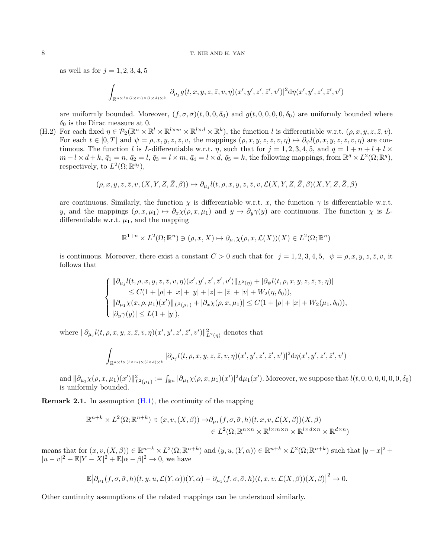## 8 T. NIE AND K. YAN

as well as for  $j = 1, 2, 3, 4, 5$ 

$$
\int_{\mathbb{R}^{n\times l\times (l\times m)\times (l\times d)\times k}} |\partial_{\mu_j} g(t,x,y,z,\bar{z},v,\eta)(x',y',z',\bar{z}',v')|^2\mathrm{d}\eta(x',y',z',\bar{z}',v')
$$

are uniformly bounded. Moreover,  $(f, \sigma, \bar{\sigma})(t, 0, 0, \delta_0)$  and  $g(t, 0, 0, 0, 0, \delta_0)$  are uniformly bounded where  $\delta_0$  is the Dirac measure at 0.

<span id="page-7-0"></span>(H.2) For each fixed  $\eta \in \mathcal{P}_2(\mathbb{R}^n \times \mathbb{R}^l \times \mathbb{R}^{l \times m} \times \mathbb{R}^{l \times d} \times \mathbb{R}^k)$ , the function l is differentiable w.r.t.  $(\rho, x, y, z, \bar{z}, v)$ . For each  $t \in [0, T]$  and  $\psi = \rho, x, y, z, \overline{z}, v$ , the mappings  $(\rho, x, y, z, \overline{z}, v, \eta) \mapsto \partial_v l(\rho, x, y, z, \overline{z}, v, \eta)$  are continuous. The function l is L-differentiable w.r.t.  $\eta$ , such that for  $j = 1, 2, 3, 4, 5$ , and  $\bar{q} = 1 + n + l + l \times$  $m + l \times d + k$ ,  $\bar{q}_1 = n$ ,  $\bar{q}_2 = l$ ,  $\bar{q}_3 = l \times m$ ,  $\bar{q}_4 = l \times d$ ,  $\bar{q}_5 = k$ , the following mappings, from  $\mathbb{R}^{\bar{q}} \times L^2(\Omega; \mathbb{R}^q)$ , respectively, to  $L^2(\Omega;\mathbb{R}^{\bar{q}_j}),$ 

$$
(\rho,x,y,z,\bar{z},v,(X,Y,Z,\bar{Z},\beta))\mapsto \partial_{\mu_j}l(t,\rho,x,y,z,\bar{z},v,\mathcal{L}(X,Y,Z,\bar{Z},\beta)(X,Y,Z,\bar{Z},\beta)
$$

are continuous. Similarly, the function  $\chi$  is differentiable w.r.t. x, the function  $\gamma$  is differentiable w.r.t. y, and the mappings  $(\rho, x, \mu_1) \mapsto \partial_x \chi(\rho, x, \mu_1)$  and  $y \mapsto \partial_y \gamma(y)$  are continuous. The function  $\chi$  is Ldifferentiable w.r.t.  $\mu_1$ , and the mapping

$$
\mathbb{R}^{1+n} \times L^2(\Omega; \mathbb{R}^n) \ni (\rho, x, X) \mapsto \partial_{\mu_1} \chi(\rho, x, \mathcal{L}(X))(X) \in L^2(\Omega; \mathbb{R}^n)
$$

is continuous. Moreover, there exist a constant  $C > 0$  such that for  $j = 1, 2, 3, 4, 5, \psi = \rho, x, y, z, \overline{z}, v$ , it follows that

$$
\begin{cases} \|\partial_{\mu_j} l(t,\rho,x,y,z,\bar{z},v,\eta)(x',y',z',\bar{z}',v')\|_{L^2(\eta)} + |\partial_{\psi} l(t,\rho,x,y,z,\bar{z},v,\eta)| \\ \quad \leq C(1+|\rho|+|x|+|y|+|z|+|\bar{z}|+|v|+W_2(\eta,\delta_0)), \\ \|\partial_{\mu_1} \chi(x,\rho,\mu_1)(x')\|_{L^2(\mu_1)} + |\partial_{x} \chi(\rho,x,\mu_1)| \leq C(1+|\rho|+|x|+W_2(\mu_1,\delta_0)), \\ |\partial_{y} \gamma(y)| \leq L(1+|y|), \end{cases}
$$

where  $\|\partial_{\mu_j} l(t,\rho,x,y,z,\bar{z},v,\eta)(x',y',z',\bar{z}',v')\|_{L^2(\eta)}^2$  denotes that

$$
\int_{\mathbb{R}^{n\times l\times (l\times m)\times (l\times d)\times k}} |\partial_{\mu_j} l(t,\rho,x,y,z,\bar{z},v,\eta)(x',y',z',\bar{z}',v')|^2\mathrm{d}\eta(x',y',z',\bar{z}',v')
$$

 $\text{and } \|\partial_{\mu_1}\chi(\rho,x,\mu_1)(x')\|^2_{L^2(\mu_1)}:=\int_{\mathbb{R}^n}|\partial_{\mu_1}\chi(\rho,x,\mu_1)(x')|^2\mathrm{d}\mu_1(x').$  Moreover, we suppose that  $l(t,0,0,0,0,0,0,\delta_0)$ is uniformly bounded.

**Remark 2.1.** In assumption  $(H.1)$ , the continuity of the mapping

$$
\mathbb{R}^{n+k} \times L^2(\Omega; \mathbb{R}^{n+k}) \ni (x, v, (X, \beta)) \mapsto \partial_{\mu_1}(f, \sigma, \bar{\sigma}, h)(t, x, v, \mathcal{L}(X, \beta))(X, \beta)
$$
  

$$
\in L^2(\Omega; \mathbb{R}^{n \times n} \times \mathbb{R}^{l \times m \times n} \times \mathbb{R}^{l \times d \times n} \times \mathbb{R}^{d \times n})
$$

means that for  $(x, v, (X, \beta)) \in \mathbb{R}^{n+k} \times L^2(\Omega; \mathbb{R}^{n+k})$  and  $(y, u, (Y, \alpha)) \in \mathbb{R}^{n+k} \times L^2(\Omega; \mathbb{R}^{n+k})$  such that  $|y - x|^2 +$  $|u-v|^2 + \mathbb{E}|Y-X|^2 + \mathbb{E}|\alpha-\beta|^2 \to 0$ , we have

$$
\mathbb{E}\big|\partial_{\mu_1}(f,\sigma,\bar{\sigma},h)(t,y,u,\mathcal{L}(Y,\alpha))(Y,\alpha)-\partial_{\mu_1}(f,\sigma,\bar{\sigma},h)(t,x,v,\mathcal{L}(X,\beta))(X,\beta)\big|^2\rightarrow 0.
$$

Other continuity assumptions of the related mappings can be understood similarly.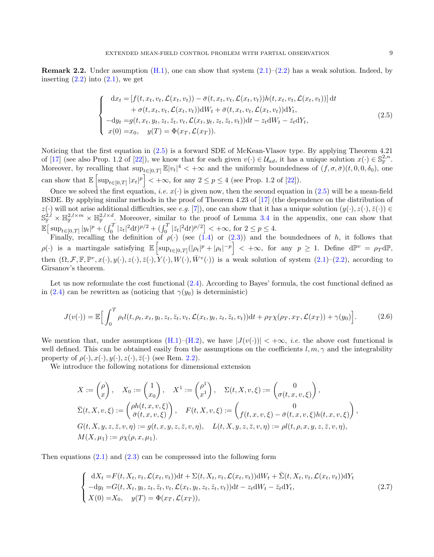<span id="page-8-0"></span>**Remark 2.2.** Under assumption  $(H.1)$ , one can show that system  $(2.1)$ – $(2.2)$  has a weak solution. Indeed, by inserting  $(2.2)$  into  $(2.1)$ , we get

<span id="page-8-1"></span>
$$
\begin{cases}\n dx_t = [f(t, x_t, v_t, \mathcal{L}(x_t, v_t)) - \bar{\sigma}(t, x_t, v_t, \mathcal{L}(x_t, v_t))h(t, x_t, v_t, \mathcal{L}(x_t, v_t))] dt \\
 + \sigma(t, x_t, v_t, \mathcal{L}(x_t, v_t))dW_t + \bar{\sigma}(t, x_t, v_t, \mathcal{L}(x_t, v_t))dY_t, \\
 - dy_t = g(t, x_t, y_t, z_t, \bar{z}_t, v_t, \mathcal{L}(x_t, y_t, z_t, \bar{z}_t, v_t))dt - z_t dW_t - \bar{z}_t dY_t, \\
 x(0) = x_0, \quad y(T) = \Phi(x_T, \mathcal{L}(x_T)).\n\end{cases} (2.5)
$$

Noticing that the first equation in [\(2.5\)](#page-8-1) is a forward SDE of McKean-Vlasov type. By applying Theorem 4.21 of [\[17\]](#page-41-8) (see also Prop. 1.2 of [\[22\]](#page-41-20)), we know that for each given  $v(\cdot) \in \mathcal{U}_{ad}$ , it has a unique solution  $x(\cdot) \in \mathbb{S}_{\mathbb{F}}^{2,n}$ . Moreover, by recalling that  $\sup_{t\in[0,T]}\mathbb{E}|v_t|^4<+\infty$  and the uniformly boundedness of  $(f,\sigma,\bar{\sigma})(t,0,0,\delta_0)$ , one can show that  $\mathbb{E}\left[\sup_{t\in[0,T]}|x_t|^p\right]<+\infty$ , for any  $2\leq p\leq 4$  (see Prop. 1.2 of [\[22\]](#page-41-20)).

Once we solved the first equation, *i.e.*  $x(\cdot)$  is given now, then the second equation in [\(2.5\)](#page-8-1) will be a mean-field BSDE. By applying similar methods in the proof of Theorem 4.23 of [\[17\]](#page-41-8) (the dependence on the distribution of  $z(\cdot)$  will not arise additional difficulties, see e.g. [\[7\]](#page-41-21)), one can show that it has a unique solution  $(y(\cdot), z(\cdot), \bar{z}(\cdot)) \in$  $\mathbb{S}_{\mathbb{F}}^{2,l}\times\mathbb{H}_{\mathbb{F}}^{2,l\times m}\times\mathbb{H}_{\mathbb{F}}^{2,l\times d}$ . Moreover, similar to the proof of Lemma [3.4](#page-12-1) in the appendix, one can show that  $\mathbb{E} \big[ \sup_{t \in [0,T]} |y_t|^p + \left( \int_0^T |z_t|^2 dt \right)^{p/2} + \left( \int_0^T |\bar{z}_t|^2 dt \right)^{p/2} \big] < +\infty$ , for  $2 \le p \le 4$ .

Finally, recalling the definition of  $\rho(\cdot)$  (see [\(1.4\)](#page-2-3) or [\(2.3\)](#page-4-2)) and the boundednees of h, it follows that  $\rho(\cdot)$  is a martingale satisfying  $\mathbb{E}\left[\sup_{t\in[0,T]}(|\rho_t|^p+|\rho_t|^{-p}\right]<+\infty$ , for any  $p\geq 1$ . Define  $d\mathbb{P}^v=p_Td\mathbb{P}$ , then  $(\Omega, \mathcal{F}, \mathbb{F}, \mathbb{P}^v, x(\cdot), y(\cdot), z(\cdot), \bar{z}(\cdot), Y(\cdot), W(\cdot), \bar{W}^v(\cdot))$  is a weak solution of system  $(2.1)$ – $(2.2)$ , according to Girsanov's theorem.

Let us now reformulate the cost functional [\(2.4\)](#page-5-0). According to Bayes' formula, the cost functional defined as in [\(2.4\)](#page-5-0) can be rewritten as (noticing that  $\gamma(y_0)$  is deterministic)

<span id="page-8-2"></span>
$$
J(v(\cdot)) = \mathbb{E}\Big[\int_0^T \rho_t l(t, \rho_t, x_t, y_t, z_t, \bar{z}_t, v_t, \mathcal{L}(x_t, y_t, z_t, \bar{z}_t, v_t))dt + \rho_T \chi(\rho_T, x_T, \mathcal{L}(x_T)) + \gamma(y_0)\Big].
$$
 (2.6)

We mention that, under assumptions  $(H.1)$ – $(H.2)$ , we have  $|J(v(\cdot))| < +\infty$ , *i.e.* the above cost functional is well defined. This can be obtained easily from the assumptions on the coefficients l,  $m, \gamma$  and the integrability property of  $\rho(\cdot), x(\cdot), y(\cdot), z(\cdot), \overline{z}(\cdot)$  (see Rem. [2.2\)](#page-8-0).

We introduce the following notations for dimensional extension

$$
X := \begin{pmatrix} \rho \\ x \end{pmatrix}, \quad X_0 := \begin{pmatrix} 1 \\ x_0 \end{pmatrix}, \quad X^1 := \begin{pmatrix} \rho^1 \\ x^1 \end{pmatrix}, \quad \Sigma(t, X, v, \xi) := \begin{pmatrix} 0 \\ \sigma(t, x, v, \xi) \end{pmatrix},
$$
  
\n
$$
\bar{\Sigma}(t, X, v, \xi) := \begin{pmatrix} \rho h(t, x, v, \xi) \\ \bar{\sigma}(t, x, v, \xi) \end{pmatrix}, \quad F(t, X, v, \xi) := \begin{pmatrix} 0 \\ f(t, x, v, \xi) - \bar{\sigma}(t, x, v, \xi)h(t, x, v, \xi) \end{pmatrix},
$$
  
\n
$$
G(t, X, y, z, \bar{z}, v, \eta) := g(t, x, y, z, \bar{z}, v, \eta), \quad L(t, X, y, z, \bar{z}, v, \eta) := \rho l(t, \rho, x, y, z, \bar{z}, v, \eta),
$$
  
\n
$$
M(X, \mu_1) := \rho \chi(\rho, x, \mu_1).
$$

Then equations  $(2.1)$  and  $(2.3)$  can be compressed into the following form

<span id="page-8-3"></span>
$$
\begin{cases}\ndX_t = F(t, X_t, v_t, \mathcal{L}(x_t, v_t))dt + \Sigma(t, X_t, v_t, \mathcal{L}(x_t, v_t))dW_t + \bar{\Sigma}(t, X_t, v_t, \mathcal{L}(x_t, v_t))dY_t \\
-dy_t = G(t, X_t, y_t, z_t, \bar{z}_t, v_t, \mathcal{L}(x_t, y_t, z_t, \bar{z}_t, v_t))dt - z_t dW_t - \bar{z}_t dY_t, \\
X(0) = X_0, \quad y(T) = \Phi(x_T, \mathcal{L}(x_T)),\n\end{cases} \tag{2.7}
$$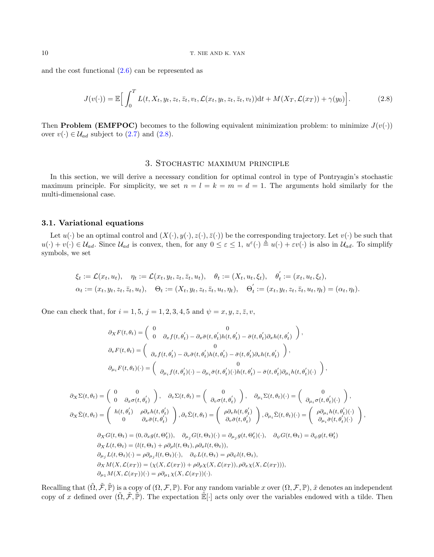and the cost functional [\(2.6\)](#page-8-2) can be represented as

<span id="page-9-0"></span>
$$
J(v(\cdot)) = \mathbb{E}\Big[\int_0^T L(t, X_t, y_t, z_t, \bar{z}_t, v_t, \mathcal{L}(x_t, y_t, z_t, \bar{z}_t, v_t))dt + M(X_T, \mathcal{L}(x_T)) + \gamma(y_0)\Big].
$$
 (2.8)

Then **Problem (EMFPOC)** becomes to the following equivalent minimization problem: to minimize  $J(v(\cdot))$ over  $v(\cdot) \in \mathcal{U}_{ad}$  subject to [\(2.7\)](#page-8-3) and [\(2.8\)](#page-9-0).

## 3. Stochastic maximum principle

<span id="page-9-1"></span>In this section, we will derive a necessary condition for optimal control in type of Pontryagin's stochastic maximum principle. For simplicity, we set  $n = l = k = m = d = 1$ . The arguments hold similarly for the multi-dimensional case.

## <span id="page-9-2"></span>3.1. Variational equations

Let  $u(\cdot)$  be an optimal control and  $(X(\cdot), y(\cdot), z(\cdot), \overline{z}(\cdot))$  be the corresponding trajectory. Let  $v(\cdot)$  be such that  $u(\cdot) + v(\cdot) \in \mathcal{U}_{ad}$ . Since  $\mathcal{U}_{ad}$  is convex, then, for any  $0 \leq \varepsilon \leq 1$ ,  $u^{\varepsilon}(\cdot) \triangleq u(\cdot) + \varepsilon v(\cdot)$  is also in  $\mathcal{U}_{ad}$ . To simplify symbols, we set

$$
\xi_t := \mathcal{L}(x_t, u_t), \quad \eta_t := \mathcal{L}(x_t, y_t, z_t, \bar{z}_t, u_t), \quad \theta_t := (X_t, u_t, \xi_t), \quad \theta'_t := (x_t, u_t, \xi_t), \n\alpha_t := (x_t, y_t, z_t, \bar{z}_t, u_t), \quad \Theta_t := (X_t, y_t, z_t, \bar{z}_t, u_t, \eta_t), \quad \Theta'_t := (x_t, y_t, z_t, \bar{z}_t, u_t, \eta_t) = (\alpha_t, \eta_t).
$$

One can check that, for  $i = 1, 5, j = 1, 2, 3, 4, 5$  and  $\psi = x, y, z, \bar{z}, v$ ,

$$
\partial_X F(t, \theta_t) = \begin{pmatrix} 0 & 0 \\ 0 & \partial_x f(t, \theta'_t) - \partial_x \bar{\sigma}(t, \theta'_t) h(t, \theta'_t) - \bar{\sigma}(t, \theta'_t) \partial_x h(t, \theta'_t) \end{pmatrix},
$$
  
\n
$$
\partial_v F(t, \theta_t) = \begin{pmatrix} 0 & 0 \\ \partial_v f(t, \theta'_t) - \partial_v \bar{\sigma}(t, \theta'_t) h(t, \theta'_t) - \bar{\sigma}(t, \theta'_t) \partial_v h(t, \theta'_t) \end{pmatrix},
$$
  
\n
$$
\partial_{\mu_i} F(t, \theta_t) (\cdot) = \begin{pmatrix} 0 & 0 \\ \partial_{\mu_i} f(t, \theta'_t) (\cdot) - \partial_{\mu_i} \bar{\sigma}(t, \theta'_t) (\cdot) h(t, \theta'_t) - \bar{\sigma}(t, \theta'_t) \partial_{\mu_i} h(t, \theta'_t) (\cdot) \end{pmatrix},
$$

$$
\partial_X \Sigma(t, \theta_t) = \begin{pmatrix} 0 & 0 \\ 0 & \partial_x \sigma(t, \theta'_t) \end{pmatrix}, \quad \partial_v \Sigma(t, \theta_t) = \begin{pmatrix} 0 \\ \partial_{v} \sigma(t, \theta'_t) \end{pmatrix}, \quad \partial_{\mu_i} \Sigma(t, \theta_t)(\cdot) = \begin{pmatrix} 0 \\ \partial_{\mu_i} \sigma(t, \theta'_t)(\cdot) \end{pmatrix},
$$
  
\n
$$
\partial_X \bar{\Sigma}(t, \theta_t) = \begin{pmatrix} h(t, \theta'_t) & \rho \partial_x h(t, \theta'_t) \\ 0 & \partial_x \bar{\sigma}(t, \theta'_t) \end{pmatrix}, \partial_v \bar{\Sigma}(t, \theta_t) = \begin{pmatrix} \rho \partial_v h(t, \theta'_t) \\ \partial_v \bar{\sigma}(t, \theta'_t) \end{pmatrix}, \partial_{\mu_i} \bar{\Sigma}(t, \theta_t)(\cdot) = \begin{pmatrix} \rho \partial_{\mu_i} h(t, \theta'_t)(\cdot) \\ \partial_{\mu_i} \bar{\sigma}(t, \theta'_t)(\cdot) \end{pmatrix},
$$
  
\n
$$
\partial_X G(t, \Theta_t) = (0, \partial_x g(t, \Theta'_t)), \quad \partial_{\mu_j} G(t, \Theta_t)(\cdot) = \partial_{\mu_j} g(t, \Theta'_t)(\cdot), \quad \partial_{\psi} G(t, \Theta_t) = \partial_{\psi} g(t, \Theta'_t)
$$
  
\n
$$
\partial_X L(t, \Theta_t) = (l(t, \Theta_t) + \rho \partial_{\rho} l(t, \Theta_t), \rho \partial_x l(t, \Theta_t)),
$$
  
\n
$$
\partial_{\mu_j} L(t, \Theta_t)(\cdot) = \rho \partial_{\mu_j} l(t, \Theta_t)(\cdot), \quad \partial_{\psi} L(t, \Theta_t) = \rho \partial_{\psi} l(t, \Theta_t),
$$
  
\n
$$
\partial_X M(X, \mathcal{L}(x_T)) = (\chi(X, \mathcal{L}(x_T)) + \rho \partial_{\rho} \chi(X, \mathcal{L}(x_T)), \rho \partial_x \chi(X, \mathcal{L}(x_T))),
$$
  
\n
$$
\partial_{\mu_1} M(X, \mathcal{L}(x_T))(\cdot) = \rho \partial_{\mu_1} \chi(X, \mathcal{L}(x_T))(\cdot).
$$

Recalling that  $(\tilde{\Omega}, \tilde{\mathcal{F}}, \tilde{\mathbb{P}})$  is a copy of  $(\Omega, \mathcal{F}, \mathbb{P})$ . For any random variable x over  $(\Omega, \mathcal{F}, \mathbb{P})$ ,  $\tilde{x}$  denotes an independent copy of x defined over  $(\tilde{\Omega}, \tilde{\mathcal{F}}, \tilde{\mathbb{P}})$ . The expectation  $\mathbb{E}[\cdot]$  acts only over the variables endowed with a tilde. Then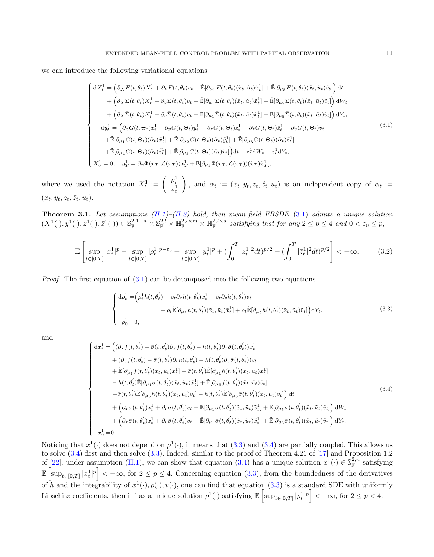we can introduce the following variational equations

<span id="page-10-1"></span>
$$
\begin{cases}\ndX_t^1 = \left(\partial_X F(t,\theta_t)X_t^1 + \partial_v F(t,\theta_t)v_t + \tilde{\mathbb{E}}[\partial_{\mu_1} F(t,\theta_t)(\tilde{x}_t,\tilde{u}_t)\tilde{x}_t^1] + \tilde{\mathbb{E}}[\partial_{\mu_5} F(t,\theta_t)(\tilde{x}_t,\tilde{u}_t)\tilde{v}_t]\right)dt \\
+ \left(\partial_X \Sigma(t,\theta_t)X_t^1 + \partial_v \Sigma(t,\theta_t)v_t + \tilde{\mathbb{E}}[\partial_{\mu_1} \Sigma(t,\theta_t)(\tilde{x}_t,\tilde{u}_t)\tilde{x}_t^1] + \tilde{\mathbb{E}}[\partial_{\mu_5} \Sigma(t,\theta_t)(\tilde{x}_t,\tilde{u}_t)\tilde{v}_t]\right) dW_t \\
+ \left(\partial_X \bar{\Sigma}(t,\theta_t)X_t^1 + \partial_v \bar{\Sigma}(t,\theta_t)v_t + \tilde{\mathbb{E}}[\partial_{\mu_1} \bar{\Sigma}(t,\theta_t)(\tilde{x}_t,\tilde{u}_t)\tilde{x}_t^1] + \tilde{\mathbb{E}}[\partial_{\mu_5} \bar{\Sigma}(t,\theta_t)(\tilde{x}_t,\tilde{u}_t)\tilde{v}_t]\right) dY_t, \\
-dy_t^1 = \left(\partial_x G(t,\Theta_t)x_t^1 + \partial_y G(t,\Theta_t)y_t^1 + \partial_z G(t,\Theta_t)z_t^1 + \partial_z G(t,\Theta_t)\bar{z}_t^1 + \partial_v G(t,\Theta_t)v_t \\
+ \tilde{\mathbb{E}}[\partial_{\mu_1} G(t,\Theta_t)(\tilde{\alpha}_t)\tilde{x}_t^1] + \tilde{\mathbb{E}}[\partial_{\mu_2} G(t,\Theta_t)(\tilde{\alpha}_t)\tilde{y}_t^1] + \tilde{\mathbb{E}}[\partial_{\mu_3} G(t,\Theta_t)(\tilde{\alpha}_t)\tilde{z}_t^1] \\
+ \tilde{\mathbb{E}}[\partial_{\mu_4} G(t,\Theta_t)(\tilde{\alpha}_t)\tilde{\tilde{z}}_t^1] + \tilde{\mathbb{E}}[\partial_{\mu_5} G(t,\Theta_t)(\tilde{\alpha}_t)\tilde{v}_t]\right) dt - z_t^1 dW_t - \bar{z}_t^1 dY_t, \\
X_0^1 = 0, \quad y_T^1 = \partial_x \Phi(x_T, \mathcal{L}(x_T))x_T^1 + \tilde{\mathbb{E}}[\partial_{\
$$

where we used the notation  $X_t^1 := \begin{pmatrix} \rho_t^1 \\ x_t^1 \end{pmatrix}$ ), and  $\tilde{\alpha}_t := (\tilde{x}_t, \tilde{y}_t, \tilde{z}_t, \tilde{z}_t, \tilde{u}_t)$  is an independent copy of  $\alpha_t :=$  $(x_t, y_t, z_t, \overline{z}_t, u_t).$ 

<span id="page-10-0"></span>**Theorem 3.1.** Let assumptions  $(H.1)-(H.2)$  $(H.1)-(H.2)$  $(H.1)-(H.2)$  hold, then mean-field FBSDE  $(3.1)$  admits a unique solution  $(X^1(\cdot), y^1(\cdot), z^1(\cdot), \bar{z}^1(\cdot)) \in \mathbb{S}_{\mathbb{F}}^{2,1+n} \times \mathbb{S}_{\mathbb{F}}^{2,l} \times \mathbb{H}_{\mathbb{F}}^{2,l \times m} \times \mathbb{H}_{\mathbb{F}}^{2,l \times d}$  satisfying that for any  $2 \leq p \leq 4$  and  $0 < \varepsilon_0 \leq p$ ,

$$
\mathbb{E}\left[\sup_{t\in[0,T]}|x_t^1|^p+\sup_{t\in[0,T]}|\rho_t^1|^{p-\varepsilon_0}+\sup_{t\in[0,T]}|y_t^1|^p+(\int_0^T|z_t^1|^2dt)^{p/2}+(\int_0^T|\bar{z}_t^1|^2dt)^{p/2}\right]<+\infty.\tag{3.2}
$$

*Proof.* The first equation of  $(3.1)$  can be decomposed into the following two equations

<span id="page-10-2"></span>
$$
\begin{cases} d\rho_t^1 = \left(\rho_t^1 h(t, \theta_t') + \rho_t \partial_x h(t, \theta_t') x_t^1 + \rho_t \partial_v h(t, \theta_t') v_t \right. \\ \left. + \rho_t \tilde{\mathbb{E}}[\partial_{\mu_1} h(t, \theta_t')(\tilde{x}_t, \tilde{u}_t) \tilde{x}_t^1] + \rho_t \tilde{\mathbb{E}}[\partial_{\mu_5} h(t, \theta_t')(\tilde{x}_t, \tilde{u}_t) \tilde{v}_t] \right) dY_t, \\ \rho_0^1 = 0, \end{cases} \tag{3.3}
$$

and

<span id="page-10-3"></span>
$$
\begin{cases}\ndx_t^1 = \left((\partial_x f(t, \theta_t') - \bar{\sigma}(t, \theta_t')\partial_x f(t, \theta_t') - h(t, \theta_t')\partial_x \bar{\sigma}(t, \theta_t'))x_t^1\right. \\
\left. + (\partial_v f(t, \theta_t') - \bar{\sigma}(t, \theta_t')\partial_v h(t, \theta_t') - h(t, \theta_t')\partial_v \bar{\sigma}(t, \theta_t'))v_t\right. \\
\left. + \tilde{\mathbb{E}}[\partial_{\mu_1} f(t, \theta_t')(\tilde{x}_t, \tilde{u}_t)\tilde{x}_t^1] - \bar{\sigma}(t, \theta_t')\tilde{\mathbb{E}}[\partial_{\mu_1} h(t, \theta_t')(\tilde{x}_t, \tilde{u}_t)\tilde{x}_t^1] \\
-h(t, \theta_t')\tilde{\mathbb{E}}[\partial_{\mu_1} \bar{\sigma}(t, \theta_t')(\tilde{x}_t, \tilde{u}_t)\tilde{x}_t^1] + \tilde{\mathbb{E}}[\partial_{\mu_5} f(t, \theta_t')(\tilde{x}_t, \tilde{u}_t)\tilde{v}_t] \\
-\bar{\sigma}(t, \theta_t')\tilde{\mathbb{E}}[\partial_{\mu_5} h(t, \theta_t')(\tilde{x}_t, \tilde{u}_t)\tilde{v}_t] - h(t, \theta_t')\tilde{\mathbb{E}}[\partial_{\mu_5} \bar{\sigma}(t, \theta_t')(\tilde{x}_t, \tilde{u}_t)\tilde{v}_t]\right)dt \\
+ \left(\partial_x \sigma(t, \theta_t')x_t^1 + \partial_v \sigma(t, \theta_t')v_t + \tilde{\mathbb{E}}[\partial_{\mu_1} \sigma(t, \theta_t')(\tilde{x}_t, \tilde{u}_t)\tilde{x}_t^1] + \tilde{\mathbb{E}}[\partial_{\mu_5} \sigma(t, \theta_t')(\tilde{x}_t, \tilde{u}_t)\tilde{v}_t]\right)dW_t \\
+ \left(\partial_x \bar{\sigma}(t, \theta_t')x_t^1 + \partial_v \bar{\sigma}(t, \theta_t')v_t + \tilde{\mathbb{E}}[\partial_{\mu_1} \bar{\sigma}(t, \theta_t')(\tilde{x}_t, \tilde{u}_t)\tilde{x}_t^1] + \tilde{\mathbb{E}}[\partial_{\mu_5} \bar{\sigma}(t, \theta_t')(\tilde{x}_t, \tilde{u}_t)\tilde{v}_t]\right)dY_t, \\
x_
$$

Noticing that  $x^1(\cdot)$  does not depend on  $\rho^1(\cdot)$ , it means that [\(3.3\)](#page-10-2) and [\(3.4\)](#page-10-3) are partially coupled. This allows us to solve [\(3.4\)](#page-10-3) first and then solve [\(3.3\)](#page-10-2). Indeed, similar to the proof of Theorem 4.21 of [\[17\]](#page-41-8) and Proposition 1.2 of [\[22\]](#page-41-20), under assumption [\(H.1\)](#page-6-0), we can show that equation [\(3.4\)](#page-10-3) has a unique solution  $x^1(\cdot) \in \mathbb{S}_{\mathbb{F}}^{2,n}$  satisfying  $\mathbb{E}\left[\sup_{t\in[0,T]}|x_t^1|^p\right]<+\infty$ , for  $2\leq p\leq 4$ . Concerning equation  $(3.3)$ , from the boundedness of the derivatives of h and the integrability of  $x^1(\cdot), \rho(\cdot), v(\cdot)$ , one can find that equation [\(3.3\)](#page-10-2) is a standard SDE with uniformly Lipschitz coefficients, then it has a unique solution  $\rho^1(\cdot)$  satisfying  $\mathbb{E}\left[\sup_{t\in[0,T]}|\rho_t^1|^p\right]<+\infty$ , for  $2\leq p<4$ .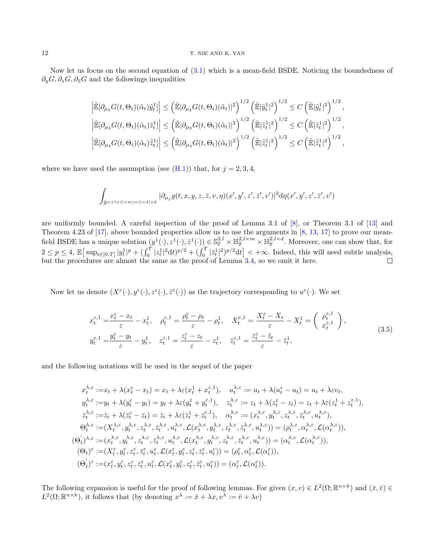Now let us focus on the second equation of [\(3.1\)](#page-10-1) which is a mean-field BSDE. Noticing the boundedness of  $\partial_y G$ ,  $\partial_z G$ ,  $\partial_{\bar{z}} G$  and the followings inequalities

$$
\left| \tilde{\mathbb{E}}[\partial_{\mu_2} G(t, \Theta_t)(\tilde{\alpha}_t) \tilde{y}_t^1] \right| \leq \left( \tilde{\mathbb{E}}[\partial_{\mu_2} G(t, \Theta_t)(\tilde{\alpha}_t)]^2 \right)^{1/2} \left( \tilde{\mathbb{E}}|\tilde{y}_t^1|^2 \right)^{1/2} \leq C \left( \tilde{\mathbb{E}}|\tilde{y}_t^1|^2 \right)^{1/2},
$$
\n
$$
\left| \tilde{\mathbb{E}}[\partial_{\mu_3} G(t, \Theta_t)(\tilde{\alpha}_t) \tilde{z}_t^1] \right| \leq \left( \tilde{\mathbb{E}}|\partial_{\mu_3} G(t, \Theta_t)(\tilde{\alpha}_t)|^2 \right)^{1/2} \left( \tilde{\mathbb{E}}|\tilde{z}_t^1|^2 \right)^{1/2} \leq C \left( \tilde{\mathbb{E}}|\tilde{z}_t^1|^2 \right)^{1/2},
$$
\n
$$
\left| \tilde{\mathbb{E}}[\partial_{\mu_4} G(t, \Theta_t)(\tilde{\alpha}_t) \tilde{\tilde{z}}_t^1] \right| \leq \left( \tilde{\mathbb{E}}|\partial_{\mu_4} G(t, \Theta_t)(\tilde{\alpha}_t)|^2 \right)^{1/2} \left( \tilde{\mathbb{E}}|\tilde{z}_t^1|^2 \right)^{1/2} \leq C \left( \tilde{\mathbb{E}}|\tilde{z}_t^1|^2 \right)^{1/2},
$$

where we have used the assumption (see  $(H.1)$ ) that, for  $j = 2, 3, 4$ ,

$$
\int_{\mathbb{R}^{n\times l\times (l\times m)\times (l\times d)\times k}} |\partial_{\mu_j} g(t,x,y,z,\bar{z},v,\eta)(x',y',z',\bar{z}',v')|^2\mathrm{d}\eta(x',y',z',\bar{z}',v')
$$

are uniformly bounded. A careful inspection of the proof of Lemma 3.1 of [\[8\]](#page-41-22), or Theorem 3.1 of [\[13\]](#page-41-23) and Theorem 4.23 of [\[17\]](#page-41-8), above bounded properties allow us to use the arguments in [\[8,](#page-41-22) [13,](#page-41-23) [17\]](#page-41-8) to prove our meanfield BSDE has a unique solution  $(y^1(\cdot), z^1(\cdot), \bar{z}^1(\cdot)) \in \mathbb{S}_{\mathbb{F}}^{2,l} \times \mathbb{H}_{\mathbb{F}}^{2,l \times m} \times \mathbb{H}_{\mathbb{F}}^{2,l \times d}$ . Moreover, one can show that, for  $2 \leq p \leq 4$ ,  $\mathbb{E} \big[ \sup_{t \in [0,T]} |y_t^1|^p + \left( \int_0^T |z_t^1|^2 dt \right)^{p/2} + \left( \int_0^T |\bar{z}_t^1|^2 \right)^{p/2} dt \big] < +\infty$ . Indeed, this will need subtle analysis, but the procedures are almost the same as the proof of Lemma [3.4,](#page-12-1) so we omit it here.

Now let us denote  $(X^{\varepsilon}(\cdot), y^{\varepsilon}(\cdot), z^{\varepsilon}(\cdot), \bar{z}^{\varepsilon}(\cdot))$  as the trajectory corresponding to  $u^{\varepsilon}(\cdot)$ . We set

<span id="page-11-0"></span>
$$
x_t^{\varepsilon,1} = \frac{x_t^{\varepsilon} - x_t}{\varepsilon} - x_t^1, \quad \rho_t^{\varepsilon,1} = \frac{\rho_t^{\varepsilon} - \rho_t}{\varepsilon} - \rho_t^1, \quad X_t^{\varepsilon,1} = \frac{X_t^{\varepsilon} - X_t}{\varepsilon} - X_t^1 = \left(\begin{array}{c} \rho_t^{\varepsilon,1} \\ x_t^{\varepsilon,1} \end{array}\right),
$$
  
\n
$$
y_t^{\varepsilon,1} = \frac{y_t^{\varepsilon} - y_t}{\varepsilon} - y_t^1, \quad z_t^{\varepsilon,1} = \frac{z_t^{\varepsilon} - z_t}{\varepsilon} - z_t^1, \quad \overline{z}_t^{\varepsilon,1} = \frac{\overline{z}_t^{\varepsilon} - \overline{z}_t}{\varepsilon} - \overline{z}_t^1,
$$
\n(3.5)

and the following notations will be used in the sequel of the paper

$$
x_t^{\lambda,\epsilon} := x_t + \lambda(x_t^{\epsilon} - x_t) = x_t + \lambda \varepsilon (x_t^1 + x_t^{\epsilon,1}), \quad u_t^{\lambda,\epsilon} := u_t + \lambda(u_t^{\epsilon} - u_t) = u_t + \lambda \varepsilon v_t,
$$
  
\n
$$
y_t^{\lambda,\epsilon} := y_t + \lambda(y_t^{\epsilon} - y_t) = y_t + \lambda \varepsilon (y_t^1 + y_t^{\epsilon,1}), \quad z_t^{\lambda,\epsilon} := z_t + \lambda(z_t^{\epsilon} - z_t) = z_t + \lambda \varepsilon (z_t^1 + z_t^{\epsilon,1}),
$$
  
\n
$$
\bar{z}_t^{\lambda,\epsilon} := \bar{z}_t + \lambda(\bar{z}_t^{\epsilon} - \bar{z}_t) = \bar{z}_t + \lambda \varepsilon (\bar{z}_t^1 + \bar{z}_t^{\epsilon,1}), \quad \alpha_t^{\lambda,\epsilon} := (x_t^{\lambda,\epsilon}, y_t^{\lambda,\epsilon}, z_t^{\lambda,\epsilon}, \bar{z}_t^{\lambda,\epsilon}, u_t^{\lambda,\epsilon}),
$$
  
\n
$$
\Theta_t^{\lambda,\epsilon} := (X_t^{\lambda,\epsilon}, y_t^{\lambda,\epsilon}, z_t^{\lambda,\epsilon}, \bar{z}_t^{\lambda,\epsilon}, u_t^{\lambda,\epsilon}, \mathcal{L}(x_t^{\lambda,\epsilon}, y_t^{\lambda,\epsilon}, z_t^{\lambda,\epsilon}, \bar{z}_t^{\lambda,\epsilon}, u_t^{\lambda,\epsilon})) = (\rho_t^{\lambda,\epsilon}, \alpha_t^{\lambda,\epsilon}, \mathcal{L}(\alpha_t^{\lambda,\epsilon})),
$$
  
\n
$$
(\Theta_t')^{\lambda,\epsilon} := (x_t^{\lambda,\epsilon}, y_t^{\lambda,\epsilon}, z_t^{\lambda,\epsilon}, \bar{z}_t^{\lambda,\epsilon}, u_t^{\lambda,\epsilon}, \mathcal{L}(x_t^{\lambda,\epsilon}, y_t^{\lambda,\epsilon}, z_t^{\lambda,\epsilon}, \bar{z}_t^{\lambda,\epsilon}, u_t^{\lambda,\epsilon})) = (\alpha_t^{\lambda,\epsilon}, \mathcal{L}(\alpha_t^{\lambda,\epsilon})),
$$
  
\n
$$
(\Theta_t)^\epsilon := (X_t^\epsilon, y_t^\epsilon, z_t^\epsilon, \bar{z}_t^\epsilon, u_t^\epsilon, \mathcal{L}(x_t^\epsilon, y_t^\epsilon, z_t^\epsilon, \bar{z}_t^\epsilon, u_t^\epsilon)) = (\rho_t^\epsilon, \alpha_t^\epsilon, \mathcal{L}(\alpha_t^\epsilon)),
$$
  
\n
$$
(\Theta_t')
$$

The following expansion is useful for the proof of following lemmas. For given  $(x, v) \in L^2(\Omega; \mathbb{R}^{n \times k})$  and  $(\bar{x}, \bar{v}) \in L^2(\Omega; \mathbb{R}^{n \times k})$  $L^2(\Omega;\mathbb{R}^{n\times k})$ , it follows that (by denoting  $x^{\lambda} := \bar{x} + \lambda x, v^{\overline{\lambda}} := \bar{v} + \lambda v$ )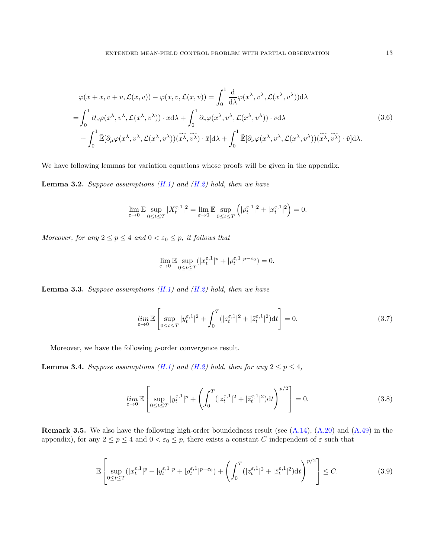<span id="page-12-2"></span>
$$
\varphi(x+\bar{x},v+\bar{v},\mathcal{L}(x,v)) - \varphi(\bar{x},\bar{v},\mathcal{L}(\bar{x},\bar{v})) = \int_0^1 \frac{d}{d\lambda} \varphi(x^{\lambda},v^{\lambda},\mathcal{L}(x^{\lambda},v^{\lambda})) d\lambda \n= \int_0^1 \partial_x \varphi(x^{\lambda},v^{\lambda},\mathcal{L}(x^{\lambda},v^{\lambda})) \cdot x d\lambda + \int_0^1 \partial_v \varphi(x^{\lambda},v^{\lambda},\mathcal{L}(x^{\lambda},v^{\lambda})) \cdot v d\lambda \n+ \int_0^1 \tilde{\mathbb{E}}[\partial_\mu \varphi(x^{\lambda},v^{\lambda},\mathcal{L}(x^{\lambda},v^{\lambda}))(\widetilde{x^{\lambda}},\widetilde{v^{\lambda}}) \cdot \tilde{x}] d\lambda + \int_0^1 \tilde{\mathbb{E}}[\partial_\nu \varphi(x^{\lambda},v^{\lambda},\mathcal{L}(x^{\lambda},v^{\lambda}))(\widetilde{x^{\lambda}},\widetilde{v^{\lambda}}) \cdot \tilde{v}] d\lambda.
$$
\n(3.6)

We have following lemmas for variation equations whose proofs will be given in the appendix.

<span id="page-12-0"></span>**Lemma 3.2.** Suppose assumptions  $(H.1)$  and  $(H.2)$  hold, then we have

$$
\lim_{\varepsilon \to 0} \mathbb{E} \sup_{0 \le t \le T} |X_t^{\varepsilon,1}|^2 = \lim_{\varepsilon \to 0} \mathbb{E} \sup_{0 \le t \le T} \left( |\rho_t^{\varepsilon,1}|^2 + |x_t^{\varepsilon,1}|^2 \right) = 0.
$$

Moreover, for any  $2 \le p \le 4$  and  $0 < \varepsilon_0 \le p$ , it follows that

$$
\lim_{\varepsilon \to 0} \mathbb{E} \sup_{0 \le t \le T} (|x_t^{\varepsilon,1}|^p + |\rho_t^{\varepsilon,1}|^{p-\varepsilon_0}) = 0.
$$

<span id="page-12-5"></span>**Lemma 3.3.** Suppose assumptions  $(H.1)$  and  $(H.2)$  hold, then we have

<span id="page-12-4"></span>
$$
\lim_{\varepsilon \to 0} \mathbb{E} \left[ \sup_{0 \le t \le T} |y_t^{\varepsilon,1}|^2 + \int_0^T (|z_t^{\varepsilon,1}|^2 + |\bar{z}_t^{\varepsilon,1}|^2) dt \right] = 0. \tag{3.7}
$$

Moreover, we have the following *p*-order convergence result.

<span id="page-12-1"></span>**Lemma 3.4.** Suppose assumptions [\(H.1\)](#page-6-0) and [\(H.2\)](#page-7-0) hold, then for any  $2 \le p \le 4$ ,

$$
\lim_{\varepsilon \to 0} \mathbb{E} \left[ \sup_{0 \le t \le T} |y_t^{\varepsilon,1}|^p + \left( \int_0^T (|z_t^{\varepsilon,1}|^2 + |\bar{z}_t^{\varepsilon,1}|^2) dt \right)^{p/2} \right] = 0. \tag{3.8}
$$

**Remark 3.5.** We also have the following high-order boundedness result (see  $(A.14)$ ,  $(A.20)$ ) and  $(A.49)$  in the appendix), for any  $2 \le p \le 4$  and  $0 < \varepsilon_0 \le p$ , there exists a constant C independent of  $\varepsilon$  such that

<span id="page-12-3"></span>
$$
\mathbb{E}\left[\sup_{0\leq t\leq T}(|x_t^{\varepsilon,1}|^p+|y_t^{\varepsilon,1}|^p+|\rho_t^{\varepsilon,1}|^{p-\varepsilon_0})+\left(\int_0^T(|z_t^{\varepsilon,1}|^2+|\bar{z}_t^{\varepsilon,1}|^2)\mathrm{d}t\right)^{p/2}\right]\leq C.\tag{3.9}
$$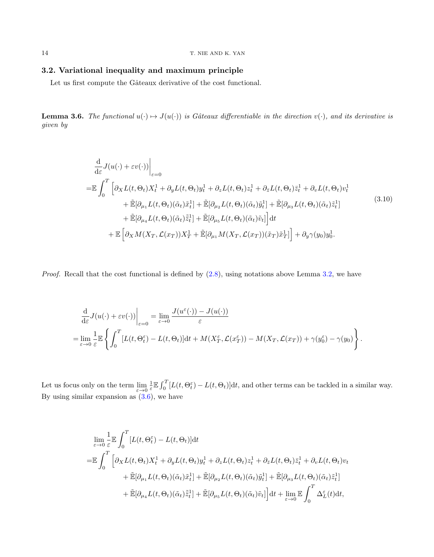## 3.2. Variational inequality and maximum principle

Let us first compute the Gâteaux derivative of the cost functional.

<span id="page-13-0"></span>**Lemma 3.6.** The functional  $u(\cdot) \mapsto J(u(\cdot))$  is Gâteaux differentiable in the direction  $v(\cdot)$ , and its derivative is given by

<span id="page-13-1"></span>
$$
\frac{d}{d\varepsilon} J(u(\cdot) + \varepsilon v(\cdot))\Big|_{\varepsilon=0}
$$
\n
$$
= \mathbb{E} \int_0^T \left[ \partial_X L(t, \Theta_t) X_t^1 + \partial_y L(t, \Theta_t) y_t^1 + \partial_z L(t, \Theta_t) z_t^1 + \partial_z L(t, \Theta_t) \overline{z}_t^1 + \partial_v L(t, \Theta_t) v_t^1 + \widetilde{\mathbb{E}}[\partial_{\mu_1} L(t, \Theta_t)(\tilde{\alpha}_t) \tilde{x}_t^1] + \widetilde{\mathbb{E}}[\partial_{\mu_2} L(t, \Theta_t)(\tilde{\alpha}_t) \tilde{y}_t^1] + \widetilde{\mathbb{E}}[\partial_{\mu_3} L(t, \Theta_t)(\tilde{\alpha}_t) \tilde{z}_t^1] + \widetilde{\mathbb{E}}[\partial_{\mu_4} L(t, \Theta_t)(\tilde{\alpha}_t) \tilde{z}_t^1] + \widetilde{\mathbb{E}}[\partial_{\mu_5} L(t, \Theta_t)(\tilde{\alpha}_t) \tilde{v}_t] \Big] dt + \mathbb{E} \left[ \partial_X M(X_T, \mathcal{L}(x_T)) X_T^1 + \widetilde{\mathbb{E}}[\partial_{\mu_1} M(X_T, \mathcal{L}(x_T)) (\tilde{x}_T) \tilde{x}_T^1] \right] + \partial_y \gamma(y_0) y_0^1.
$$
\n(3.10)

*Proof.* Recall that the cost functional is defined by  $(2.8)$ , using notations above Lemma [3.2,](#page-12-0) we have

$$
\frac{\mathrm{d}}{\mathrm{d}\varepsilon} J(u(\cdot) + \varepsilon v(\cdot)) \Big|_{\varepsilon=0} = \lim_{\varepsilon \to 0} \frac{J(u^{\varepsilon}(\cdot)) - J(u(\cdot))}{\varepsilon}
$$
\n
$$
= \lim_{\varepsilon \to 0} \frac{1}{\varepsilon} \mathbb{E} \left\{ \int_0^T [L(t, \Theta_t^{\varepsilon}) - L(t, \Theta_t)] \mathrm{d}t + M(X_T^{\varepsilon}, \mathcal{L}(x_T^{\varepsilon})) - M(X_T, \mathcal{L}(x_T)) + \gamma(y_0^{\varepsilon}) - \gamma(y_0) \right\}.
$$

Let us focus only on the term  $\lim_{\varepsilon\to 0} \frac{1}{\varepsilon} \mathbb{E} \int_0^T [L(t,\Theta_t^{\varepsilon}) - L(t,\Theta_t)] dt$ , and other terms can be tackled in a similar way. By using similar expansion as  $(3.6)$ , we have

$$
\lim_{\varepsilon \to 0} \frac{1}{\varepsilon} \mathbb{E} \int_0^T \left[ L(t, \Theta_t^{\varepsilon}) - L(t, \Theta_t) \right] dt
$$
\n
$$
= \mathbb{E} \int_0^T \left[ \partial_X L(t, \Theta_t) X_t^1 + \partial_y L(t, \Theta_t) y_t^1 + \partial_z L(t, \Theta_t) z_t^1 + \partial_z L(t, \Theta_t) \overline{z}_t^1 + \partial_v L(t, \Theta_t) v_t \right. \right.
$$
\n
$$
+ \tilde{\mathbb{E}} [\partial_{\mu_1} L(t, \Theta_t) (\tilde{\alpha}_t) \tilde{x}_t^1] + \tilde{\mathbb{E}} [\partial_{\mu_2} L(t, \Theta_t) (\tilde{\alpha}_t) \tilde{y}_t^1] + \tilde{\mathbb{E}} [\partial_{\mu_3} L(t, \Theta_t) (\tilde{\alpha}_t) \tilde{z}_t^1]
$$
\n
$$
+ \tilde{\mathbb{E}} [\partial_{\mu_4} L(t, \Theta_t) (\tilde{\alpha}_t) \tilde{z}_t^1] + \tilde{\mathbb{E}} [\partial_{\mu_5} L(t, \Theta_t) (\tilde{\alpha}_t) \tilde{v}_t] \right] dt + \lim_{\varepsilon \to 0} \mathbb{E} \int_0^T \Delta_L^{\varepsilon}(t) dt,
$$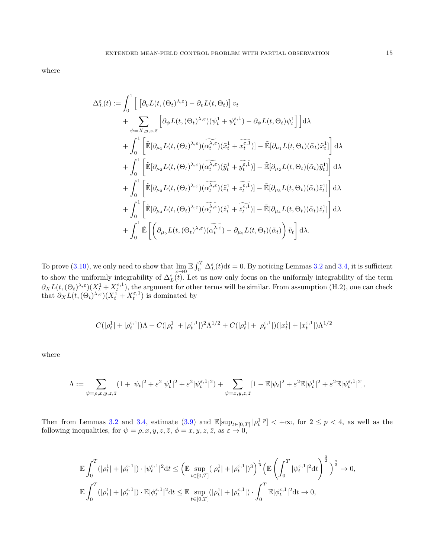where

$$
\Delta_{L}^{\varepsilon}(t) := \int_{0}^{1} \left[ \left[ \partial_{v} L(t, (\Theta_{t})^{\lambda, \varepsilon}) - \partial_{v} L(t, \Theta_{t}) \right] v_{t} \right. \\
\left. + \sum_{\psi=X,y,z,\bar{z}} \left[ \partial_{\psi} L(t, (\Theta_{t})^{\lambda, \varepsilon}) (\psi_{t}^{1} + \psi_{t}^{\varepsilon,1}) - \partial_{\psi} L(t, \Theta_{t}) \psi_{t}^{1} \right] \right] d\lambda \\
+ \int_{0}^{1} \left[ \tilde{\mathbb{E}} [\partial_{\mu_{1}} L(t, (\Theta_{t})^{\lambda, \varepsilon}) (\widetilde{\alpha_{t}}^{\lambda, \varepsilon}) (\tilde{x}_{t}^{1} + \tilde{x}_{t}^{\varepsilon,1})] - \tilde{\mathbb{E}} [\partial_{\mu_{1}} L(t, \Theta_{t}) (\tilde{\alpha}_{t}) \tilde{x}_{t}^{1}] \right] d\lambda \\
+ \int_{0}^{1} \left[ \tilde{\mathbb{E}} [\partial_{\mu_{2}} L(t, (\Theta_{t})^{\lambda, \varepsilon}) (\widetilde{\alpha_{t}}^{\lambda, \varepsilon}) (\tilde{y}_{t}^{1} + \tilde{y}_{t}^{\varepsilon,1})] - \tilde{\mathbb{E}} [\partial_{\mu_{2}} L(t, \Theta_{t}) (\tilde{\alpha}_{t}) \tilde{y}_{t}^{1}] \right] d\lambda \\
+ \int_{0}^{1} \left[ \tilde{\mathbb{E}} [\partial_{\mu_{3}} L(t, (\Theta_{t})^{\lambda, \varepsilon}) (\widetilde{\alpha_{t}}^{\lambda, \varepsilon}) (\tilde{z}_{t}^{1} + \tilde{z}_{t}^{\varepsilon,1})] - \tilde{\mathbb{E}} [\partial_{\mu_{3}} L(t, \Theta_{t}) (\tilde{\alpha}_{t}) \tilde{z}_{t}^{1} \right] d\lambda \\
+ \int_{0}^{1} \left[ \tilde{\mathbb{E}} [\partial_{\mu_{4}} L(t, (\Theta_{t})^{\lambda, \varepsilon}) (\widetilde{\alpha_{t}}^{\lambda, \varepsilon}) (\tilde{z}_{t}^{1} + \tilde{z}_{t}^{\varepsilon,1})] - \tilde{\mathbb{E}} [\partial_{\mu_{4}} L(t, \Theta_{t}) (\tilde{\alpha}_{t}) \tilde{z}_{t}^{1} \right] d\lambda \\
+ \int_{0}^{1} \
$$

To prove [\(3.10\)](#page-13-1), we only need to show that  $\lim_{\varepsilon\to 0} \mathbb{E} \int_0^T \Delta_L^{\varepsilon}(t) dt = 0$ . By noticing Lemmas [3.2](#page-12-0) and [3.4,](#page-12-1) it is sufficient to show the uniformly integrability of  $\Delta_L^{\varepsilon}(t)$ . Let us now only focus on the uniformly integrability of the term  $\partial_X L(t, (\Theta_t)^{\lambda, \varepsilon}) (X_t^1 + X_t^{\varepsilon, 1}),$  the argument for other terms will be similar. From assumption (H.2), one can check that  $\partial_X L(t, (\Theta_t)^{\lambda, \varepsilon}) (X_t^1 + X_t^{\varepsilon, 1})$  is dominated by

$$
C(|\rho_{t}^{1}|+|\rho_{t}^{\varepsilon,1}|)\Lambda+C(|\rho_{t}^{1}|+|\rho_{t}^{\varepsilon,1}|)^2\Lambda^{1/2}+C(|\rho_{t}^{1}|+|\rho_{t}^{\varepsilon,1}|)(|x_{t}^{1}|+|x_{t}^{\varepsilon,1}|)\Lambda^{1/2}
$$

where

$$
\Lambda:=\sum_{\psi=\rho,x,y,z,\bar{z}}(1+|\psi_t|^2+\varepsilon^2|\psi_t^1|^2+\varepsilon^2|\psi_t^{\varepsilon,1}|^2)+\sum_{\psi=x,y,z,\bar{z}}[1+\mathbb{E}|\psi_t|^2+\varepsilon^2\mathbb{E}|\psi_t^1|^2+\varepsilon^2\mathbb{E}|\psi_t^{\varepsilon,1}|^2],
$$

Then from Lemmas [3.2](#page-12-0) and [3.4,](#page-12-1) estimate [\(3.9\)](#page-12-3) and  $\mathbb{E}[\sup_{t\in[0,T]}|\rho_t^1|^p]<+\infty$ , for  $2\leq p<4$ , as well as the following inequalities, for  $\psi = \rho, x, y, z, \overline{z}, \phi = x, y, z, \overline{z}, \text{ as } \varepsilon \to 0$ ,

$$
\mathbb{E}\int_0^T(|\rho_t^1|+|\rho_t^{\varepsilon,1}|)\cdot|\psi_t^{\varepsilon,1}|^2\mathrm{d} t\leq \left(\mathbb{E}\sup_{t\in[0,T]}(|\rho_t^1|+|\rho_t^{\varepsilon,1}|)^3\right)^{\frac{1}{3}}\left(\mathbb{E}\left(\int_0^T|\psi_t^{\varepsilon,1}|^2\mathrm{d} t\right)^{\frac{3}{2}}\right)^{\frac{2}{3}}\to 0,
$$
  

$$
\mathbb{E}\int_0^T(|\rho_t^1|+|\rho_t^{\varepsilon,1}|)\cdot\mathbb{E}|\phi_t^{\varepsilon,1}|^2\mathrm{d} t\leq \mathbb{E}\sup_{t\in[0,T]}(|\rho_t^1|+|\rho_t^{\varepsilon,1}|)\cdot\int_0^T\mathbb{E}|\phi_t^{\varepsilon,1}|^2\mathrm{d} t\to 0,
$$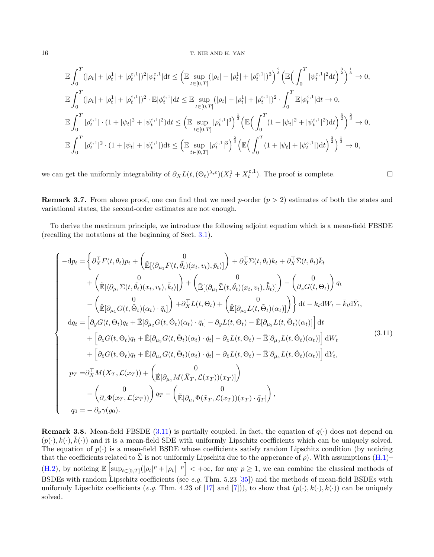#### 16 T. NIE AND K. YAN

$$
\mathbb{E} \int_{0}^{T} (|\rho_{t}| + |\rho_{t}^{1}| + |\rho_{t}^{\varepsilon,1}|)^{2} |\psi_{t}^{\varepsilon,1}| \, dt \leq \left( \mathbb{E} \sup_{t \in [0,T]} (|\rho_{t}| + |\rho_{t}^{1}| + |\rho_{t}^{\varepsilon,1}|)^{3} \right)^{\frac{2}{3}} \left( \mathbb{E} \Big( \int_{0}^{T} |\psi_{t}^{\varepsilon,1}|^{2} \, dt \Big)^{\frac{3}{2}} \Big)^{\frac{1}{3}} \to 0,
$$
\n
$$
\mathbb{E} \int_{0}^{T} (|\rho_{t}| + |\rho_{t}^{1}| + |\rho_{t}^{\varepsilon,1}|)^{2} \cdot \mathbb{E} |\phi_{t}^{\varepsilon,1}| \, dt \leq \mathbb{E} \sup_{t \in [0,T]} (|\rho_{t}| + |\rho_{t}^{1}| + |\rho_{t}^{\varepsilon,1}|)^{2} \cdot \int_{0}^{T} \mathbb{E} |\phi_{t}^{\varepsilon,1}| \, dt \to 0,
$$
\n
$$
\mathbb{E} \int_{0}^{T} |\rho_{t}^{\varepsilon,1}| \cdot (1 + |\psi_{t}|^{2} + |\psi_{t}^{\varepsilon,1}|^{2}) \, dt \leq \left( \mathbb{E} \sup_{t \in [0,T]} |\rho_{t}^{\varepsilon,1}|^{3} \right)^{\frac{1}{3}} \left( \mathbb{E} \Big( \int_{0}^{T} (1 + |\psi_{t}|^{2} + |\psi_{t}^{\varepsilon,1}|^{2}) \, dt \Big)^{\frac{3}{2}} \right)^{\frac{2}{3}} \to 0,
$$
\n
$$
\mathbb{E} \int_{0}^{T} |\rho_{t}^{\varepsilon,1}|^{2} \cdot (1 + |\psi_{t}| + |\psi_{t}^{\varepsilon,1}|) \, dt \leq \left( \mathbb{E} \sup_{t \in [0,T]} |\rho_{t}^{\varepsilon,1}|^{3} \right)^{\frac{2}{3}} \left( \mathbb{E} \Big( \int_{0}^{T} (1 + |\psi_{t}| + |\psi_{t}^{\varepsilon,1}|) \, dt \Big)^{\frac{3}{2}} \right)^{\frac{1}{3}} \to 0,
$$

we can get the uniformly integrability of  $\partial_X L(t, (\Theta_t)^{\lambda, \varepsilon})(X_t^1 + X_t^{\varepsilon, 1})$ . The proof is complete.

 $\Box$ 

**Remark 3.7.** From above proof, one can find that we need p-order  $(p > 2)$  estimates of both the states and variational states, the second-order estimates are not enough.

To derive the maximum principle, we introduce the following adjoint equation which is a mean-field FBSDE (recalling the notations at the beginning of Sect. [3.1\)](#page-9-2).

<span id="page-15-0"></span>
$$
\begin{cases}\n-dp_t = \left\{\partial_X^{\top} F(t,\theta_t) p_t + \begin{pmatrix} 0 \\ \tilde{\mathbb{E}}[\langle \partial_{\mu_1} F(t, \tilde{\theta}_t)(x_t, v_t), \tilde{p}_t \rangle] \end{pmatrix} + \partial_X^{\top} \Sigma(t, \theta_t) k_t + \partial_X^{\top} \bar{\Sigma}(t, \theta_t) \bar{k}_t \right. \\
\left. + \begin{pmatrix} 0 \\ \tilde{\mathbb{E}}[\langle \partial_{\mu_1} \Sigma(t, \tilde{\theta}_t)(x_t, v_t), \tilde{k}_t \rangle] \end{pmatrix} + \begin{pmatrix} 0 \\ \tilde{\mathbb{E}}[\langle \partial_{\mu_1} \overline{\Sigma}(t, \tilde{\theta}_t)(x_t, v_t), \tilde{k}_t \rangle] \end{pmatrix} - \begin{pmatrix} 0 \\ \partial_x G(t, \Theta_t) \end{pmatrix} q_t \right. \\
-\left( \begin{pmatrix} 0 \\ \tilde{\mathbb{E}}[\partial_{\mu_1} G(t, \tilde{\Theta}_t)(\alpha_t) \cdot \tilde{q}_t] \end{pmatrix} + \partial_X^{\top} L(t, \Theta_t) + \begin{pmatrix} 0 \\ \tilde{\mathbb{E}}[\partial_{\mu_1} L(t, \tilde{\Theta}_t)(\alpha_t)] \end{pmatrix} \right\} dt - k_t dW_t - \bar{k}_t d\bar{Y}_t, \\
d q_t = \begin{bmatrix} \partial_y G(t, \Theta_t) q_t + \tilde{\mathbb{E}}[\partial_{\mu_2} G(t, \tilde{\Theta}_t)(\alpha_t) \cdot \tilde{q}_t] - \partial_y L(t, \Theta_t) - \tilde{\mathbb{E}}[\partial_{\mu_2} L(t, \tilde{\Theta}_t)(\alpha_t)] \end{bmatrix} dt \\
+ \begin{bmatrix} \partial_z G(t, \Theta_t) q_t + \tilde{\mathbb{E}}[\partial_{\mu_3} G(t, \tilde{\Theta}_t)(\alpha_t) \cdot \tilde{q}_t] - \partial_z L(t, \Theta_t) - \tilde{\mathbb{E}}[\partial_{\mu_3} L(t, \tilde{\Theta}_t)(\alpha_t)] \end{bmatrix} dW_t \\
p_T = \partial_X^{\top} M(X_T, \mathcal{L}(x_T)) + \begin{pmatrix} 0 \\ \tilde{\mathbb{E}}[\partial_{\mu_1} M(\tilde{X}_T, \mathcal{L}(x_T))(x_T)] \end{pmatrix} \\
-
$$

<span id="page-15-1"></span>**Remark 3.8.** Mean-field FBSDE [\(3.11\)](#page-15-0) is partially coupled. In fact, the equation of  $q(\cdot)$  does not depend on  $(p(\cdot), k(\cdot), \bar{k}(\cdot))$  and it is a mean-field SDE with uniformly Lipschitz coefficients which can be uniquely solved. The equation of  $p(.)$  is a mean-field BSDE whose coefficients satisfy random Lipschitz condition (by noticing that the coefficients related to  $\bar{\Sigma}$  is not uniformly Lipschitz due to the apperance of  $\rho$ ). With assumptions [\(H.1\)](#page-6-0)– [\(H.2\)](#page-7-0), by noticing  $\mathbb{E}\left[\sup_{t\in[0,T]}(|\rho_t|^p+|\rho_t|^{-p}\right]<+\infty$ , for any  $p\geq 1$ , we can combine the classical methods of BSDEs with random Lipschitz coefficients (see e.g. Thm. 5.23 [\[35\]](#page-42-17)) and the methods of mean-field BSDEs with uniformly Lipschitz coefficients (e.g. Thm. 4.23 of [\[17\]](#page-41-8) and [\[7\]](#page-41-21))), to show that  $(p(\cdot), k(\cdot), \bar{k}(\cdot))$  can be uniquely solved.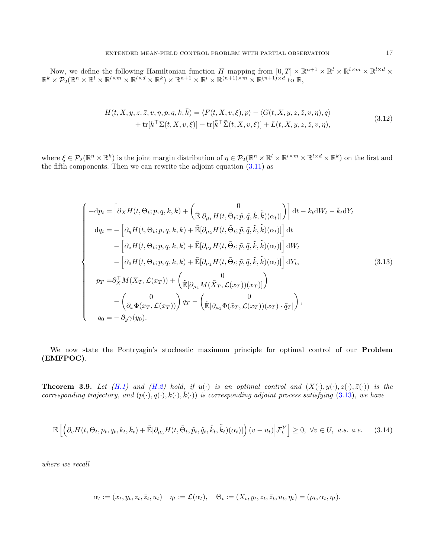Now, we define the following Hamiltonian function H mapping from  $[0,T] \times \mathbb{R}^{n+1} \times \mathbb{R}^l \times \mathbb{R}^{l \times m} \times \mathbb{R}^{l \times d} \times$  $\mathbb{R}^k \times \mathcal{P}_2(\mathbb{R}^n \times \mathbb{R}^l \times \mathbb{R}^{l \times m} \times \mathbb{R}^{l \times d} \times \mathbb{R}^k) \times \mathbb{R}^{n+1} \times \mathbb{R}^l \times \mathbb{R}^{(n+1) \times m} \times \mathbb{R}^{(n+1) \times d}$  to R,

$$
H(t, X, y, z, \bar{z}, v, \eta, p, q, k, \bar{k}) = \langle F(t, X, v, \xi), p \rangle - \langle G(t, X, y, z, \bar{z}, v, \eta), q \rangle + \text{tr}[k^{\top} \Sigma(t, X, v, \xi)] + \text{tr}[\bar{k}^{\top} \Sigma(t, X, v, \xi)] + L(t, X, y, z, \bar{z}, v, \eta),
$$
\n(3.12)

where  $\xi \in \mathcal{P}_2(\mathbb{R}^n \times \mathbb{R}^k)$  is the joint margin distribution of  $\eta \in \mathcal{P}_2(\mathbb{R}^n \times \mathbb{R}^l \times \mathbb{R}^{l \times m} \times \mathbb{R}^{l \times d} \times \mathbb{R}^k)$  on the first and the fifth components. Then we can rewrite the adjoint equation  $(3.11)$  as

<span id="page-16-0"></span>
$$
\begin{cases}\n-\mathrm{d}p_{t} = \left[\partial_{X}H(t,\Theta_{t};p,q,k,\bar{k}) + \begin{pmatrix} 0\\ \tilde{\mathbb{E}}[\partial_{\mu_{1}}H(t,\tilde{\Theta}_{t};\tilde{p},\tilde{q},\tilde{k},\tilde{\bar{k}})(\alpha_{t})] \end{pmatrix}\right] \mathrm{d}t - k_{t}\mathrm{d}W_{t} - \bar{k}_{t}\mathrm{d}Y_{t} \\
\mathrm{d}q_{t} = -\left[\partial_{y}H(t,\Theta_{t};p,q,k,\bar{k}) + \tilde{\mathbb{E}}[\partial_{\mu_{2}}H(t,\tilde{\Theta}_{t};\tilde{p},\tilde{q},\tilde{k},\tilde{\bar{k}})(\alpha_{t})]\right] \mathrm{d}t \\
-\left[\partial_{z}H(t,\Theta_{t};p,q,k,\bar{k}) + \tilde{\mathbb{E}}[\partial_{\mu_{3}}H(t,\tilde{\Theta}_{t};\tilde{p},\tilde{q},\tilde{k},\tilde{\bar{k}})(\alpha_{t})]\right] \mathrm{d}W_{t} \\
-\left[\partial_{\bar{z}}H(t,\Theta_{t};p,q,k,\bar{k}) + \tilde{\mathbb{E}}[\partial_{\mu_{4}}H(t,\tilde{\Theta}_{t};\tilde{p},\tilde{q},\tilde{k},\tilde{\bar{k}})(\alpha_{t})]\right] \mathrm{d}Y_{t}, \\
p_{T} = \partial_{X}^{\top}M(X_{T},\mathcal{L}(x_{T})) + \begin{pmatrix} 0\\ \tilde{\mathbb{E}}[\partial_{\mu_{1}}M(\tilde{X}_{T},\mathcal{L}(x_{T}))(x_{T})]\end{pmatrix} \\
-\begin{pmatrix} 0\\ \partial_{x}\Phi(x_{T},\mathcal{L}(x_{T}))\end{pmatrix} q_{T} - \begin{pmatrix} 0\\ \tilde{\mathbb{E}}[\partial_{\mu_{1}}\Phi(\tilde{x}_{T},\mathcal{L}(x_{T}))(x_{T})\cdot\tilde{q}_{T}]\end{pmatrix}, \\
q_{0} = -\partial_{y}\gamma(y_{0}).\n\end{cases} \tag{3.13}
$$

We now state the Pontryagin's stochastic maximum principle for optimal control of our Problem (EMFPOC).

<span id="page-16-2"></span>**Theorem 3.9.** Let  $(H.1)$  and  $(H.2)$  hold, if  $u(\cdot)$  is an optimal control and  $(X(\cdot), y(\cdot), z(\cdot), \overline{z}(\cdot))$  is the corresponding trajectory, and  $(p(\cdot), q(\cdot), k(\cdot), \overline{k}(\cdot))$  is corresponding adjoint process satisfying [\(3.13\)](#page-16-0), we have

<span id="page-16-1"></span>
$$
\mathbb{E}\left[\left(\partial_v H(t,\Theta_t, p_t, q_t, k_t, \bar{k}_t) + \tilde{\mathbb{E}}[\partial_{\mu_5} H(t,\tilde{\Theta}_t, \tilde{p}_t, \tilde{q}_t, \tilde{k}_t, \bar{\tilde{k}}_t)(\alpha_t)]\right)(v - u_t)\bigg|\mathcal{F}_t^Y\right] \geq 0, \ \forall v \in U, \ a.s. \ a.e. \tag{3.14}
$$

where we recall

$$
\alpha_t := (x_t, y_t, z_t, \bar{z}_t, u_t) \quad \eta_t := \mathcal{L}(\alpha_t), \quad \Theta_t := (X_t, y_t, z_t, \bar{z}_t, u_t, \eta_t) = (\rho_t, \alpha_t, \eta_t).
$$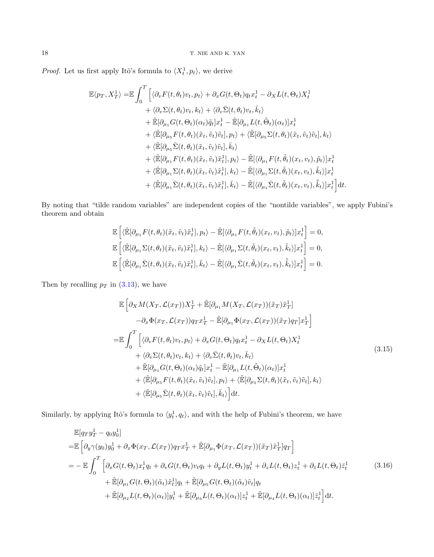*Proof.* Let us first apply Itô's formula to  $\langle X_t^1, p_t \rangle$ , we derive

$$
\mathbb{E}\langle p_T, X_T^1 \rangle = \mathbb{E} \int_0^T \Big[ \langle \partial_v F(t, \theta_t) v_t, p_t \rangle + \partial_x G(t, \Theta_t) q_t x_t^1 - \partial_x L(t, \Theta_t) X_t^1 + \langle \partial_v \Sigma(t, \theta_t) v_t, k_t \rangle + \langle \partial_v \Sigma(t, \theta_t) v_t, \bar{k}_t \rangle \Big] + \mathbb{E}[\partial_{\mu_1} G(t, \Theta_t) (\alpha_t) \tilde{q}_t] x_t^1 - \mathbb{E}[\partial_{\mu_1} L(t, \tilde{\Theta}_t) (\alpha_t)] x_t^1 + \langle \mathbb{E}[\partial_{\mu_5} F(t, \theta_t) (\tilde{x}_t, \tilde{v}_t) \tilde{v}_t], p_t \rangle + \langle \mathbb{E}[\partial_{\mu_5} \Sigma(t, \theta_t) (\tilde{x}_t, \tilde{v}_t) \tilde{v}_t], k_t \rangle \Big] + \langle \mathbb{E}[\partial_{\mu_5} \bar{\Sigma}(t, \theta_t) (\tilde{x}_t, \tilde{v}_t) \tilde{v}_t], \bar{k}_t \rangle + \langle \mathbb{E}[\partial_{\mu_1} F(t, \theta_t) (\tilde{x}_t, \tilde{v}_t) \tilde{x}_t^1], p_t \rangle - \mathbb{E}[\langle \partial_{\mu_1} F(t, \tilde{\theta}_t) (x_t, v_t), \tilde{p}_t \rangle] x_t^1 + \langle \mathbb{E}[\partial_{\mu_1} \Sigma(t, \theta_t) (\tilde{x}_t, \tilde{v}_t) \tilde{x}_t^1], k_t \rangle - \mathbb{E}[\langle \partial_{\mu_1} \Sigma(t, \tilde{\theta}_t) (x_t, v_t), \tilde{k}_t \rangle] x_t^1 + \langle \mathbb{E}[\partial_{\mu_1} \bar{\Sigma}(t, \theta_t) (\tilde{x}_t, \tilde{v}_t) \tilde{x}_t^1], \bar{k}_t \rangle - \mathbb{E}[\langle \partial_{\mu_1} \bar{\Sigma}(t, \tilde{\theta}_t) (x_t, v_t), \tilde{k}_t \rangle] x_t^1 \Big] dt.
$$

By noting that "tilde random variables" are independent copies of the "nontilde variables", we apply Fubini's theorem and obtain

$$
\mathbb{E}\left[\langle \tilde{\mathbb{E}}[\partial_{\mu_1} F(t,\theta_t)(\tilde{x}_t,\tilde{v}_t)\tilde{x}_t^1], p_t \rangle - \tilde{\mathbb{E}}[\langle \partial_{\mu_1} F(t,\tilde{\theta}_t)(x_t,v_t), \tilde{p}_t \rangle]x_t^1\right] = 0,
$$
  
\n
$$
\mathbb{E}\left[\langle \tilde{\mathbb{E}}[\partial_{\mu_1} \Sigma(t,\theta_t)(\tilde{x}_t,\tilde{v}_t)\tilde{x}_t^1], k_t \rangle - \tilde{\mathbb{E}}[\langle \partial_{\mu_1} \Sigma(t,\tilde{\theta}_t)(x_t,v_t), \tilde{k}_t \rangle]x_t^1\right] = 0,
$$
  
\n
$$
\mathbb{E}\left[\langle \tilde{\mathbb{E}}[\partial_{\mu_1} \Sigma(t,\theta_t)(\tilde{x}_t,\tilde{v}_t)\tilde{x}_t^1], \bar{k}_t \rangle - \tilde{\mathbb{E}}[\langle \partial_{\mu_1} \Sigma(t,\tilde{\theta}_t)(x_t,v_t), \tilde{k}_t \rangle]x_t^1\right] = 0.
$$

Then by recalling  $p_T$  in [\(3.13\)](#page-16-0), we have

<span id="page-17-0"></span>
$$
\mathbb{E}\left[\partial_X M(X_T, \mathcal{L}(x_T))X_T^1 + \tilde{\mathbb{E}}[\partial_{\mu_1} M(X_T, \mathcal{L}(x_T))(\tilde{x}_T)\tilde{x}_T^1] - \partial_x \Phi(x_T, \mathcal{L}(x_T))q_T x_T^1 - \tilde{\mathbb{E}}[\partial_{\mu_1} \Phi(x_T, \mathcal{L}(x_T))(\tilde{x}_T)q_T]x_T^1\right]
$$
\n
$$
= \mathbb{E}\int_0^T \left[ \langle \partial_v F(t, \theta_t)v_t, p_t \rangle + \partial_x G(t, \Theta_t) q_t x_t^1 - \partial_X L(t, \Theta_t) X_t^1 + \langle \partial_v \Sigma(t, \theta_t)v_t, k_t \rangle + \langle \partial_v \Sigma(t, \theta_t)v_t, \bar{k}_t \rangle + \tilde{\mathbb{E}}[\partial_{\mu_1} G(t, \Theta_t)(\alpha_t)\tilde{q}_t]x_t^1 - \tilde{\mathbb{E}}[\partial_{\mu_1} L(t, \tilde{\Theta}_t)(\alpha_t)]x_t^1 + \langle \tilde{\mathbb{E}}[\partial_{\mu_5} F(t, \theta_t)(\tilde{x}_t, \tilde{v}_t)\tilde{v}_t], p_t \rangle + \langle \tilde{\mathbb{E}}[\partial_{\mu_5} \Sigma(t, \theta_t)(\tilde{x}_t, \tilde{v}_t)\tilde{v}_t], k_t \rangle + \langle \tilde{\mathbb{E}}[\partial_{\mu_5} \Sigma(t, \theta_t)(\tilde{x}_t, \tilde{v}_t)\tilde{v}_t], \bar{k}_t \rangle \right] dt.
$$
\n(3.15)

Similarly, by applying Itô's formula to  $\langle y_t^1, q_t \rangle$ , and with the help of Fubini's theorem, we have

<span id="page-17-1"></span>
$$
\mathbb{E}[q_T y_T^1 - q_0 y_0^1] \n= \mathbb{E}\left[\partial_y \gamma(y_0) y_0^1 + \partial_x \Phi(x_T, \mathcal{L}(x_T)) q_T x_T^1 + \tilde{\mathbb{E}}[\partial_{\mu_1} \Phi(x_T, \mathcal{L}(x_T)) (\tilde{x}_T) \tilde{x}_T^1] q_T\right] \n= - \mathbb{E}\int_0^T \left[\partial_x G(t, \Theta_t) x_t^1 q_t + \partial_v G(t, \Theta_t) v_t q_t + \partial_y L(t, \Theta_t) y_t^1 + \partial_z L(t, \Theta_t) z_t^1 + \partial_{\bar{z}} L(t, \Theta_t) \bar{z}_t^1 + \tilde{\mathbb{E}}[\partial_{\mu_1} G(t, \Theta_t) (\tilde{\alpha}_t) \tilde{x}_t^1] q_t + \tilde{\mathbb{E}}[\partial_{\mu_5} G(t, \Theta_t) (\tilde{\alpha}_t) \tilde{v}_t] q_t + \tilde{\mathbb{E}}[\partial_{\mu_2} L(t, \Theta_t) (\alpha_t)] y_t^1 + \tilde{\mathbb{E}}[\partial_{\mu_3} L(t, \Theta_t) (\alpha_t)] z_t^1 + \tilde{\mathbb{E}}[\partial_{\mu_4} L(t, \Theta_t) (\alpha_t)] \bar{z}_t^1\right] dt.
$$
\n(3.16)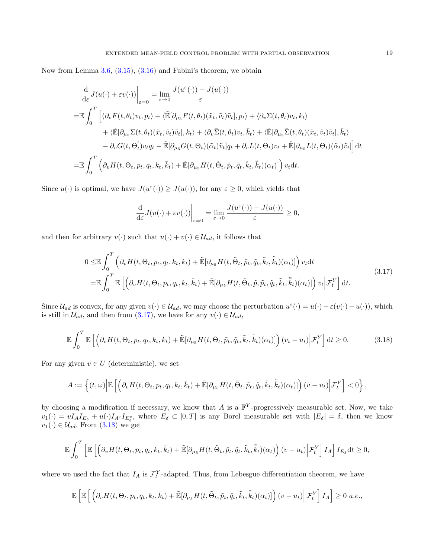Now from Lemma [3.6,](#page-13-0) [\(3.15\)](#page-17-0), [\(3.16\)](#page-17-1) and Fubini's theorem, we obtain

$$
\frac{d}{d\varepsilon}J(u(\cdot)+\varepsilon v(\cdot))\Big|_{\varepsilon=0} = \lim_{\varepsilon\to 0}\frac{J(u^{\varepsilon}(\cdot))-J(u(\cdot))}{\varepsilon}
$$
\n
$$
= \mathbb{E}\int_{0}^{T}\Big[\langle\partial_{v}F(t,\theta_{t})v_{t},p_{t}\rangle + \langle\tilde{\mathbb{E}}[\partial_{\mu_{5}}F(t,\theta_{t})(\tilde{x}_{t},\tilde{v}_{t})\tilde{v}_{t}],p_{t}\rangle + \langle\partial_{v}\Sigma(t,\theta_{t})v_{t},k_{t}\rangle
$$
\n
$$
+ \langle\tilde{\mathbb{E}}[\partial_{\mu_{5}}\Sigma(t,\theta_{t})(\tilde{x}_{t},\tilde{v}_{t})\tilde{v}_{t}],k_{t}\rangle + \langle\partial_{v}\bar{\Sigma}(t,\theta_{t})v_{t},\bar{k}_{t}\rangle + \langle\tilde{\mathbb{E}}[\partial_{\mu_{5}}\bar{\Sigma}(t,\theta_{t})(\tilde{x}_{t},\tilde{v}_{t})\tilde{v}_{t}],\bar{k}_{t}\rangle
$$
\n
$$
- \partial_{v}G(t,\Theta_{t}^{\prime})v_{t}q_{t} - \tilde{\mathbb{E}}[\partial_{\mu_{5}}G(t,\Theta_{t})(\tilde{\alpha}_{t})\tilde{v}_{t}]q_{t} + \partial_{v}L(t,\Theta_{t})v_{t} + \tilde{\mathbb{E}}[\partial_{\mu_{5}}L(t,\Theta_{t})(\tilde{\alpha}_{t})\tilde{v}_{t}]\Big]dt
$$
\n
$$
= \mathbb{E}\int_{0}^{T}\Big(\partial_{v}H(t,\Theta_{t},p_{t},q_{t},k_{t},\bar{k}_{t}) + \tilde{\mathbb{E}}[\partial_{\mu_{5}}H(t,\tilde{\Theta}_{t},\tilde{p}_{t},\tilde{q}_{t},\tilde{k}_{t},\tilde{\bar{k}})(\alpha_{t})]\Big)v_{t}dt.
$$

Since  $u(\cdot)$  is optimal, we have  $J(u^{\varepsilon}(\cdot)) \geq J(u(\cdot))$ , for any  $\varepsilon \geq 0$ , which yields that

$$
\frac{\mathrm{d}}{\mathrm{d}\varepsilon}J(u(\cdot)+\varepsilon v(\cdot))\bigg|_{\varepsilon=0}=\lim_{\varepsilon\to 0}\frac{J(u^{\varepsilon}(\cdot))-J(u(\cdot))}{\varepsilon}\geq 0,
$$

and then for arbitrary  $v(\cdot)$  such that  $u(\cdot) + v(\cdot) \in \mathcal{U}_{ad}$ , it follows that

<span id="page-18-0"></span>
$$
0 \leq \mathbb{E} \int_0^T \left( \partial_v H(t, \Theta_t, p_t, q_t, k_t, \bar{k}_t) + \tilde{\mathbb{E}} [\partial_{\mu_5} H(t, \tilde{\Theta}_t, \tilde{p}_t, \tilde{q}_t, \tilde{k}_t, \tilde{k}_t) (\alpha_t)] \right) v_t dt
$$
  
\n
$$
= \mathbb{E} \int_0^T \mathbb{E} \left[ \left( \partial_v H(t, \Theta_t, p_t, q_t, k_t, \bar{k}_t) + \tilde{\mathbb{E}} [\partial_{\mu_5} H(t, \tilde{\Theta}_t, \tilde{p}, \tilde{p}_t, \tilde{q}_t, \tilde{k}_t, \tilde{k}_t) (\alpha_t)] \right) v_t \Big| \mathcal{F}_t^Y \right] dt.
$$
\n(3.17)

Since  $\mathcal{U}_{ad}$  is convex, for any given  $v(\cdot) \in \mathcal{U}_{ad}$ , we may choose the perturbation  $u^{\varepsilon}(\cdot) = u(\cdot) + \varepsilon (v(\cdot) - u(\cdot))$ , which is still in  $\mathcal{U}_{ad}$ , and then from [\(3.17\)](#page-18-0), we have for any  $v(\cdot) \in \mathcal{U}_{ad}$ ,

<span id="page-18-1"></span>
$$
\mathbb{E}\int_{0}^{T}\mathbb{E}\left[\left(\partial_{v}H(t,\Theta_{t},p_{t},q_{t},k_{t},\bar{k}_{t})+\tilde{\mathbb{E}}[\partial_{\mu_{5}}H(t,\tilde{\Theta}_{t},\tilde{p}_{t},\tilde{q}_{t},\tilde{k}_{t},\tilde{\bar{k}}_{t})(\alpha_{t})]\right)(v_{t}-u_{t})\bigg|\mathcal{F}_{t}^{Y}\right]dt\geq0.
$$
 (3.18)

For any given  $v \in U$  (deterministic), we set

$$
A := \left\{ (t, \omega) \Big| \mathbb{E} \left[ \left( \partial_v H(t, \Theta_t, p_t, q_t, k_t, \bar{k}_t) + \tilde{\mathbb{E}} [\partial_{\mu_5} H(t, \tilde{\Theta}_t, \tilde{p}_t, \tilde{q}_t, \tilde{k}_t, \tilde{k}_t) (\alpha_t) \right] \right) (v - u_t) \Big| \mathcal{F}_t^Y \right] < 0 \right\},
$$

by choosing a modification if necessary, we know that A is a  $\mathbb{F}^{Y}$ -progressively measurable set. Now, we take  $v_1(\cdot) = v I_A I_{E_\delta} + u(\cdot) I_{A_c} I_{E_\delta}$ , where  $E_\delta \subset [0, T]$  is any Borel measurable set with  $|E_\delta| = \delta$ , then we know  $v_1(\cdot) \in \mathcal{U}_{ad}$ . From  $(3.18)$  we get

$$
\mathbb{E}\int_0^T \left[ \mathbb{E}\left[ \left( \partial_v H(t,\Theta_t, p_t, q_t, k_t, \bar{k}_t) + \tilde{\mathbb{E}}[\partial_{\mu_5} H(t,\tilde{\Theta}_t, \tilde{p}_t, \tilde{q}_t, \tilde{k}_t, \bar{\tilde{k}}_t)(\alpha_t) \right) (v - u_t) \Big| \mathcal{F}_t^Y \right] I_A \right] I_{E_\delta} dt \geq 0,
$$

where we used the fact that  $I_A$  is  $\mathcal{F}_t^Y$ -adapted. Thus, from Lebesgue differentiation theorem, we have

$$
\mathbb{E}\left[\mathbb{E}\left[\left(\partial_v H(t,\Theta_t, p_t, q_t, k_t, \bar{k}_t) + \tilde{\mathbb{E}}[\partial_{\mu_5} H(t,\tilde{\Theta}_t, \tilde{p}_t, \tilde{q}_t, \tilde{k}_t, \bar{\tilde{k}}_t)(\alpha_t)]\right)(v - u_t)\bigg|\mathcal{F}_t^Y\right]I_A\right] \geq 0 \ a.e.,
$$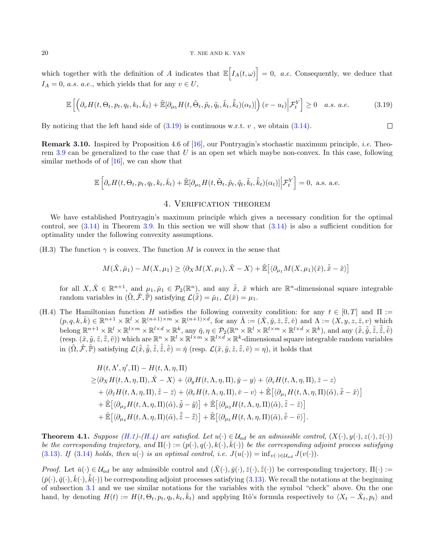#### 20 T. NIE AND K. YAN

which together with the definition of A indicates that  $\mathbb{E}\Big[I_A(t,\omega)\Big] = 0$ , a.e. Consequently, we deduce that  $I_A = 0$ , *a.s. a.e.*, which yields that for any  $v \in U$ ,

<span id="page-19-3"></span>
$$
\mathbb{E}\left[\left(\partial_v H(t,\Theta_t, p_t, q_t, k_t, \bar{k}_t) + \tilde{\mathbb{E}}[\partial_{\mu_5} H(t,\tilde{\Theta}_t, \tilde{p}_t, \tilde{q}_t, \tilde{k}_t, \tilde{k}_t)(\alpha_t)]\right)(v - u_t)\bigg|\mathcal{F}_t^Y\right] \ge 0 \quad a.s. \ a.e. \tag{3.19}
$$

 $\Box$ 

By noticing that the left hand side of  $(3.19)$  is continuous w.r.t. v, we obtain  $(3.14)$ .

Remark 3.10. Inspired by Proposition 4.6 of [\[16\]](#page-41-6), our Pontryagin's stochastic maximum principle, i.e. Theo-rem [3.9](#page-16-2) can be generalized to the case that  $U$  is an open set which maybe non-convex. In this case, following similar methods of of  $[16]$ , we can show that

$$
\mathbb{E}\left[\partial_v H(t,\Theta_t, p_t, q_t, k_t, \bar{k}_t) + \tilde{\mathbb{E}}[\partial_{\mu_5} H(t,\tilde{\Theta}_t, \tilde{p}_t, \tilde{q}_t, \tilde{k}_t, \tilde{k}_t)(\alpha_t)] \Big| \mathcal{F}_t^Y\right] = 0, \text{ a.s. a.e.}
$$

## 4. Verification theorem

<span id="page-19-2"></span>We have established Pontryagin's maximum principle which gives a necessary condition for the optimal control, see  $(3.14)$  in Theorem [3.9.](#page-16-2) In this section we will show that  $(3.14)$  is also a sufficient condition for optimality under the following convexity assumptions.

<span id="page-19-0"></span>(H.3) The function  $\gamma$  is convex. The function M is convex in the sense that

$$
M(\check{X}, \check{\mu}_1) - M(X, \mu_1) \ge \langle \partial_X M(X, \mu_1), \check{X} - X \rangle + \tilde{\mathbb{E}} \big[ \langle \partial_{\mu_1} M(X, \mu_1)(\tilde{x}), \tilde{\tilde{x}} - \tilde{x} \rangle \big]
$$

for all  $X, \check{X} \in \mathbb{R}^{n+1}$ , and  $\mu_1, \check{\mu}_1 \in \mathcal{P}_2(\mathbb{R}^n)$ , and any  $\tilde{\check{x}}$ ,  $\tilde{x}$  which are  $\mathbb{R}^n$ -dimensional square integrable random variables in  $(\tilde{\Omega}, \tilde{\mathcal{F}}, \tilde{\mathbb{P}})$  satisfying  $\mathcal{L}(\tilde{\tilde{x}}) = \mu_1$ ,  $\mathcal{L}(\tilde{x}) = \mu_1$ .

<span id="page-19-1"></span>(H.4) The Hamiltonian function H satisfies the following convexity condition: for any  $t \in [0, T]$  and  $\Pi :=$  $(p,q,k,\bar{k}) \in \mathbb{R}^{n+1} \times \mathbb{R}^l \times \mathbb{R}^{(n+1)\times m} \times \mathbb{R}^{(n+1)\times d}$ , for any  $\check{\Lambda} := (\check{X},\check{y},\check{z},\check{z},\check{v})$  and  $\Lambda := (X,y,z,\bar{z},v)$  which belong  $\mathbb{R}^{n+1} \times \mathbb{R}^l \times \mathbb{R}^{l \times m} \times \mathbb{R}^{l \times d} \times \mathbb{R}^k$ , any  $\check{\eta}, \eta \in \mathcal{P}_2(\mathbb{R}^n \times \mathbb{R}^l \times \mathbb{R}^{l \times m} \times \mathbb{R}^{l \times d} \times \mathbb{R}^k)$ , and any  $(\tilde{\check{x}}, \tilde{\check{y}}, \tilde{\check{z}}, \tilde{\check{z}}, \tilde{\check{v}})$ (resp.  $(\tilde{x}, \tilde{y}, \tilde{z}, \tilde{z}, \tilde{v})$ ) which are  $\mathbb{R}^n \times \mathbb{R}^l \times \mathbb{R}^{l \times m} \times \mathbb{R}^{l \times d} \times \mathbb{R}^k$ -dimensional square integrable random variables in  $(\tilde{\Omega}, \tilde{\mathcal{F}}, \tilde{\mathbb{P}})$  satisfying  $\mathcal{L}(\tilde{\tilde{x}}, \tilde{\tilde{y}}, \tilde{\tilde{z}}, \tilde{\tilde{v}}) = \tilde{\eta}$  (resp.  $\mathcal{L}(\tilde{x}, \tilde{y}, \tilde{z}, \tilde{\tilde{z}}, \tilde{v}) = \eta$ ), it holds that

$$
H(t, \Lambda', \eta', \Pi) - H(t, \Lambda, \eta, \Pi)
$$
  
\n
$$
\geq \langle \partial_X H(t, \Lambda, \eta, \Pi), \check{X} - X \rangle + \langle \partial_y H(t, \Lambda, \eta, \Pi), \check{y} - y \rangle + \langle \partial_z H(t, \Lambda, \eta, \Pi), \check{z} - z \rangle
$$
  
\n
$$
+ \langle \partial_{\bar{z}} H(t, \Lambda, \eta, \Pi), \check{z} - \bar{z} \rangle + \langle \partial_v H(t, \Lambda, \eta, \Pi), \check{v} - v \rangle + \tilde{\mathbb{E}} \Big[ \langle \partial_{\mu_1} H(t, \Lambda, \eta, \Pi)(\tilde{\alpha}), \tilde{\check{x}} - \tilde{x} \rangle \Big]
$$
  
\n
$$
+ \tilde{\mathbb{E}} \Big[ \langle \partial_{\mu_2} H(t, \Lambda, \eta, \Pi)(\tilde{\alpha}), \tilde{\check{y}} - \tilde{y} \rangle \Big] + \tilde{\mathbb{E}} \Big[ \langle \partial_{\mu_3} H(t, \Lambda, \eta, \Pi)(\tilde{\alpha}), \tilde{\check{z}} - \tilde{z} \rangle \Big]
$$
  
\n
$$
+ \tilde{\mathbb{E}} \Big[ \langle \partial_{\mu_4} H(t, \Lambda, \eta, \Pi)(\tilde{\alpha}), \tilde{\check{z}} - \tilde{\check{z}} \rangle \Big] + \tilde{\mathbb{E}} \Big[ \langle \partial_{\mu_5} H(t, \Lambda, \eta, \Pi)(\tilde{\alpha}), \tilde{\check{v}} - \tilde{v} \rangle \Big].
$$

**Theorem 4.1.** Suppose [\(H.1\)](#page-6-0)-[\(H.4\)](#page-19-1) are satisfied. Let  $u(\cdot) \in \mathcal{U}_{ad}$  be an admissible control,  $(X(\cdot), y(\cdot), z(\cdot), \overline{z}(\cdot))$ be the corresponding trajectory, and  $\Pi(\cdot) := (p(\cdot), q(\cdot), k(\cdot), \bar{k}(\cdot))$  be the corresponding adjoint process satisfying [\(3.13\)](#page-16-0). If [\(3.14\)](#page-16-1) holds, then u(·) is an optimal control, i.e.  $J(u(\cdot)) = \inf_{v(\cdot) \in \mathcal{U}_{ad}} J(v(\cdot)).$ 

*Proof.* Let  $\check{u}(\cdot) \in \mathcal{U}_{ad}$  be any admissible control and  $(\check{X}(\cdot), \check{y}(\cdot), \check{z}(\cdot))$  be corresponding trajectory,  $\Pi(\cdot) :=$  $(\check{p}(\cdot), \check{q}(\cdot), \check{k}(\cdot), \check{k}(\cdot))$  be corresponding adjoint processes satisfying [\(3.13\)](#page-16-0). We recall the notations at the beginning of subsection [3.1](#page-9-2) and we use similar notations for the variables with the symbol "check" above. On the one hand, by denoting  $H(t) := H(t, \Theta_t, p_t, q_t, k_t, \bar{k}_t)$  and applying Itô's formula respectively to  $\langle X_t - \check{X}_t, p_t \rangle$  and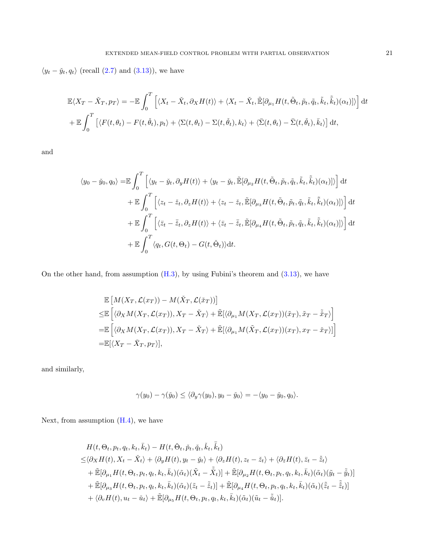$\langle y_t - \check{y}_t, q_t \rangle$  (recall [\(2.7\)](#page-8-3) and [\(3.13\)](#page-16-0)), we have

$$
\mathbb{E}\langle X_T - \check{X}_T, p_T \rangle = -\mathbb{E} \int_0^T \left[ \langle X_t - \check{X}_t, \partial_X H(t) \rangle + \langle X_t - \check{X}_t, \tilde{\mathbb{E}}[\partial_{\mu_1} H(t, \tilde{\Theta}_t, \tilde{p}_t, \tilde{q}_t, \tilde{k}_t, \tilde{k}_t)(\alpha_t)] \rangle \right] dt
$$
  
+ 
$$
\mathbb{E} \int_0^T \left[ \langle F(t, \theta_t) - F(t, \check{\theta}_t), p_t \rangle + \langle \Sigma(t, \theta_t) - \Sigma(t, \check{\theta}_t), k_t \rangle + \langle \bar{\Sigma}(t, \theta_t) - \bar{\Sigma}(t, \check{\theta}_t), \bar{k}_t \rangle \right] dt,
$$

and

$$
\langle y_0 - \check{y}_0, q_0 \rangle = \mathbb{E} \int_0^T \left[ \langle y_t - \check{y}_t, \partial_y H(t) \rangle + \langle y_t - \check{y}_t, \tilde{\mathbb{E}}[\partial_{\mu_2} H(t, \tilde{\Theta}_t, \tilde{p}_t, \tilde{q}_t, \tilde{k}_t, \tilde{k}_t)(\alpha_t) ] \rangle \right] dt + \mathbb{E} \int_0^T \left[ \langle z_t - \check{z}_t, \partial_z H(t) \rangle + \langle z_t - \check{z}_t, \tilde{\mathbb{E}}[\partial_{\mu_3} H(t, \tilde{\Theta}_t, \tilde{p}_t, \tilde{q}_t, \tilde{k}_t, \tilde{k}_t)(\alpha_t) ] \rangle \right] dt + \mathbb{E} \int_0^T \left[ \langle \tilde{z}_t - \bar{\check{z}}_t, \partial_z H(t) \rangle + \langle \tilde{z}_t - \bar{\check{z}}_t, \tilde{\mathbb{E}}[\partial_{\mu_4} H(t, \tilde{\Theta}_t, \tilde{p}_t, \tilde{q}_t, \tilde{k}_t, \tilde{k}_t)(\alpha_t) ] \rangle \right] dt + \mathbb{E} \int_0^T \langle q_t, G(t, \Theta_t) - G(t, \check{\Theta}_t) \rangle dt.
$$

On the other hand, from assumption [\(H.3\)](#page-19-0), by using Fubini's theorem and [\(3.13\)](#page-16-0), we have

$$
\mathbb{E}\left[M(X_T, \mathcal{L}(x_T)) - M(\check{X}_T, \mathcal{L}(\check{x}_T))\right]
$$
\n
$$
\leq \mathbb{E}\left[\langle \partial_X M(X_T, \mathcal{L}(x_T)), X_T - \check{X}_T \rangle + \tilde{\mathbb{E}}[\langle \partial_{\mu_1} M(X_T, \mathcal{L}(x_T))(\tilde{x}_T), \tilde{x}_T - \check{x}_T \rangle\right]
$$
\n
$$
= \mathbb{E}\left[\langle \partial_X M(X_T, \mathcal{L}(x_T)), X_T - \check{X}_T \rangle + \tilde{\mathbb{E}}[\langle \partial_{\mu_1} M(\check{X}_T, \mathcal{L}(x_T))(x_T), x_T - \check{x}_T \rangle]\right]
$$
\n
$$
= \mathbb{E}[\langle X_T - \check{X}_T, p_T \rangle],
$$

and similarly,

$$
\gamma(y_0) - \gamma(\check{y}_0) \le \langle \partial_y \gamma(y_0), y_0 - \check{y}_0 \rangle = -\langle y_0 - \check{y}_0, q_0 \rangle.
$$

Next, from assumption  $(H.4)$ , we have

$$
H(t, \Theta_t, p_t, q_t, k_t, \bar{k}_t) - H(t, \check{\Theta}_t, \check{p}_t, \check{k}_t, \bar{k}_t)
$$
  
\n
$$
\leq \langle \partial_X H(t), X_t - \check{X}_t \rangle + \langle \partial_y H(t), y_t - \check{y}_t \rangle + \langle \partial_z H(t), z_t - \check{z}_t \rangle + \langle \partial_{\bar{z}} H(t), \bar{z}_t - \check{z}_t \rangle
$$
  
\n
$$
+ \tilde{\mathbb{E}}[\partial_{\mu_1} H(t, \Theta_t, p_t, q_t, k_t, \bar{k}_t)(\tilde{\alpha}_t)(\tilde{X}_t - \check{X}_t)] + \tilde{\mathbb{E}}[\partial_{\mu_2} H(t, \Theta_t, p_t, q_t, k_t, \bar{k}_t)(\tilde{\alpha}_t)(\tilde{y}_t - \tilde{\check{y}}_t)]
$$
  
\n
$$
+ \tilde{\mathbb{E}}[\partial_{\mu_3} H(t, \Theta_t, p_t, q_t, k_t, \bar{k}_t)(\tilde{\alpha}_t)(\tilde{z}_t - \tilde{\check{z}}_t)] + \tilde{\mathbb{E}}[\partial_{\mu_4} H(t, \Theta_t, p_t, q_t, k_t, \bar{k}_t)(\tilde{\alpha}_t)(\tilde{\check{z}}_t - \tilde{\check{z}}_t)]
$$
  
\n
$$
+ \langle \partial_v H(t), u_t - \check{u}_t \rangle + \tilde{\mathbb{E}}[\partial_{\mu_5} H(t, \Theta_t, p_t, q_t, k_t, \bar{k}_t)(\tilde{\alpha}_t)(\tilde{u}_t - \tilde{\check{u}}_t)].
$$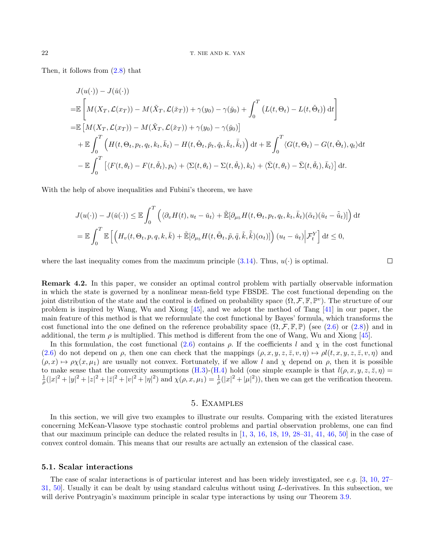Then, it follows from [\(2.8\)](#page-9-0) that

$$
J(u(\cdot)) - J(\check{u}(\cdot))
$$
  
\n
$$
= \mathbb{E}\left[M(X_T, \mathcal{L}(x_T)) - M(\check{X}_T, \mathcal{L}(\check{x}_T)) + \gamma(y_0) - \gamma(\check{y}_0) + \int_0^T \left(L(t, \Theta_t) - L(t, \check{\Theta}_t)\right) dt\right]
$$
  
\n
$$
= \mathbb{E}\left[M(X_T, \mathcal{L}(x_T)) - M(\check{X}_T, \mathcal{L}(\check{x}_T)) + \gamma(y_0) - \gamma(\check{y}_0)\right]
$$
  
\n
$$
+ \mathbb{E}\int_0^T \left(H(t, \Theta_t, p_t, q_t, k_t, \bar{k}_t) - H(t, \check{\Theta}_t, \check{p}_t, \check{q}_t, \check{k}_t, \check{\bar{k}}_t)\right) dt + \mathbb{E}\int_0^T \langle G(t, \Theta_t) - G(t, \check{\Theta}_t), q_t \rangle dt
$$
  
\n
$$
- \mathbb{E}\int_0^T \left[\langle F(t, \theta_t) - F(t, \check{\theta}_t), p_t \rangle + \langle \Sigma(t, \theta_t) - \Sigma(t, \check{\theta}_t), k_t \rangle + \langle \bar{\Sigma}(t, \theta_t) - \bar{\Sigma}(t, \check{\theta}_t), \bar{k}_t \rangle\right] dt.
$$

With the help of above inequalities and Fubini's theorem, we have

$$
J(u(\cdot)) - J(\check{u}(\cdot)) \leq \mathbb{E} \int_0^T \left( \langle \partial_v H(t), u_t - \check{u}_t \rangle + \tilde{\mathbb{E}}[\partial_{\mu_5} H(t, \Theta_t, p_t, q_t, k_t, \bar{k}_t)(\tilde{\alpha}_t)(\tilde{u}_t - \tilde{\check{u}}_t)] \right) dt
$$
  
= 
$$
\mathbb{E} \int_0^T \mathbb{E} \left[ \left( H_v(t, \Theta_t, p, q, k, \bar{k}) + \tilde{\mathbb{E}}[\partial_{\mu_5} H(t, \tilde{\Theta}_t, \tilde{p}, \tilde{q}, \tilde{k}, \tilde{k})(\alpha_t)] \right) (u_t - \check{u}_t) \Big| \mathcal{F}_t^Y \right] dt \leq 0,
$$

 $\Box$ 

where the last inequality comes from the maximum principle  $(3.14)$ . Thus,  $u(\cdot)$  is optimal.

<span id="page-21-0"></span>Remark 4.2. In this paper, we consider an optimal control problem with partially observable information in which the state is governed by a nonlinear mean-field type FBSDE. The cost functional depending on the joint distribution of the state and the control is defined on probability space  $(\Omega, \mathcal{F}, \mathbb{F}, \mathbb{P}^v)$ . The structure of our problem is inspired by Wang, Wu and Xiong [\[45\]](#page-42-6), and we adopt the method of Tang [\[41\]](#page-42-3) in our paper, the main feature of this method is that we reformulate the cost functional by Bayes' formula, which transforms the cost functional into the one defined on the reference probability space  $(\Omega, \mathcal{F}, \mathbb{F}, \mathbb{P})$  (see [\(2.6\)](#page-8-2) or [\(2.8\)](#page-9-0)) and in additional, the term  $\rho$  is multiplied. This method is different from the one of Wang, Wu and Xiong [\[45\]](#page-42-6).

In this formulation, the cost functional [\(2.6\)](#page-8-2) contains  $\rho$ . If the coefficients l and  $\chi$  in the cost functional [\(2.6\)](#page-8-2) do not depend on  $\rho$ , then one can check that the mappings  $(\rho, x, y, z, \overline{z}, v, \eta) \mapsto \rho l(t, x, y, z, \overline{z}, v, \eta)$  and  $(\rho, x) \mapsto \rho_X(x, \mu_1)$  are usually not convex. Fortunately, if we allow l and x depend on  $\rho$ , then it is possible to make sense that the convexity assumptions [\(H.3\)](#page-19-0)-[\(H.4\)](#page-19-1) hold (one simple example is that  $l(\rho, x, y, z, \overline{z}, \eta) =$  $\frac{1}{\rho}(|x|^2+|y|^2+|z|^2+|z|^2+|y|^2+|z|^2)$  and  $\chi(\rho,x,\mu_1)=\frac{1}{\rho}(|x|^2+| \mu |^2)$ , then we can get the verification theorem.

## 5. Examples

<span id="page-21-1"></span>In this section, we will give two examples to illustrate our results. Comparing with the existed literatures concerning McKean-Vlasove type stochastic control problems and partial observation problems, one can find that our maximum principle can deduce the related results in  $[1, 3, 16, 18, 19, 28-31, 41, 46, 50]$  $[1, 3, 16, 18, 19, 28-31, 41, 46, 50]$  $[1, 3, 16, 18, 19, 28-31, 41, 46, 50]$  $[1, 3, 16, 18, 19, 28-31, 41, 46, 50]$  $[1, 3, 16, 18, 19, 28-31, 41, 46, 50]$  $[1, 3, 16, 18, 19, 28-31, 41, 46, 50]$  $[1, 3, 16, 18, 19, 28-31, 41, 46, 50]$  $[1, 3, 16, 18, 19, 28-31, 41, 46, 50]$  $[1, 3, 16, 18, 19, 28-31, 41, 46, 50]$  $[1, 3, 16, 18, 19, 28-31, 41, 46, 50]$  $[1, 3, 16, 18, 19, 28-31, 41, 46, 50]$  $[1, 3, 16, 18, 19, 28-31, 41, 46, 50]$  $[1, 3, 16, 18, 19, 28-31, 41, 46, 50]$  $[1, 3, 16, 18, 19, 28-31, 41, 46, 50]$  $[1, 3, 16, 18, 19, 28-31, 41, 46, 50]$  $[1, 3, 16, 18, 19, 28-31, 41, 46, 50]$  $[1, 3, 16, 18, 19, 28-31, 41, 46, 50]$  in the case of convex control domain. This means that our results are actually an extension of the classical case.

#### 5.1. Scalar interactions

The case of scalar interactions is of particular interest and has been widely investigated, see e.g. [\[3,](#page-41-4) [10,](#page-41-5) [27–](#page-41-24) [31,](#page-42-10) [50\]](#page-42-14). Usually it can be dealt by using standard calculus without using L-derivatives. In this subsection, we will derive Pontryagin's maximum principle in scalar type interactions by using our Theorem [3.9.](#page-16-2)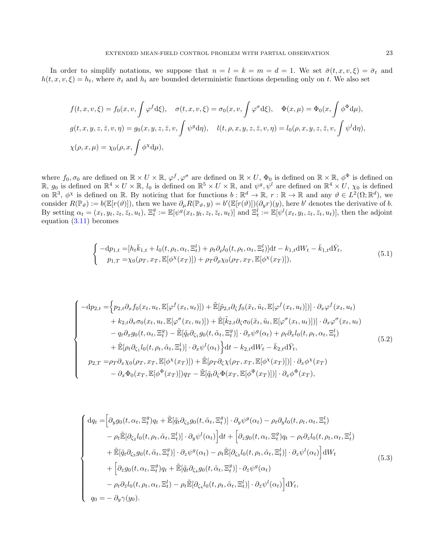In order to simplify notations, we suppose that  $n = l = k = m = d = 1$ . We set  $\bar{\sigma}(t, x, v, \xi) = \bar{\sigma}_t$  and  $h(t, x, v, \xi) = h_t$ , where  $\bar{\sigma}_t$  and  $h_t$  are bounded deterministic functions depending only on t. We also set

$$
f(t, x, v, \xi) = f_0(x, v, \int \varphi^f d\xi), \quad \sigma(t, x, v, \xi) = \sigma_0(x, v, \int \varphi^{\sigma} d\xi), \quad \Phi(x, \mu) = \Phi_0(x, \int \varphi^{\Phi} d\mu),
$$
  

$$
g(t, x, y, z, \overline{z}, v, \eta) = g_0(x, y, z, \overline{z}, v, \int \psi^g d\eta), \quad l(t, \rho, x, y, z, \overline{z}, v, \eta) = l_0(\rho, x, y, z, \overline{z}, v, \int \psi^l d\eta),
$$
  

$$
\chi(\rho, x, \mu) = \chi_0(\rho, x, \int \phi^{\chi} d\mu),
$$

where  $f_0, \sigma_0$  are defined on  $\mathbb{R} \times U \times \mathbb{R}$ ,  $\varphi^f, \varphi^\sigma$  are defined on  $\mathbb{R} \times U$ ,  $\Phi_0$  is defined on  $\mathbb{R} \times \mathbb{R}$ ,  $\phi^\Phi$  is defined on  $\mathbb{R}, g_0$  is defined on  $\mathbb{R}^4 \times U \times \mathbb{R}, l_0$  is defined on  $\mathbb{R}^5 \times U \times \mathbb{R}$ , and  $\psi^g, \psi^l$  are defined on  $\mathbb{R}^4 \times U$ ,  $\chi_0$  is defined on  $\mathbb{R}^3$ ,  $\phi^{\chi}$  is defined on R. By noticing that for functions  $b : \mathbb{R}^d \to \mathbb{R}$ ,  $r : \mathbb{R} \to \mathbb{R}$  and any  $\vartheta \in L^2(\Omega; \mathbb{R}^d)$ , we consider  $R(\mathbb{P}_{\theta}) := b(\mathbb{E}[r(\theta)]),$  then we have  $\partial_{\mu}R(\mathbb{P}_{\theta},y) = b'(\mathbb{E}[r(\theta)])(\partial_{y}r)(y)$ , here b' denotes the derivative of b. By setting  $\alpha_t = (x_t, y_t, z_t, \overline{z}_t, u_t), \ \Xi_t^g := \mathbb{E}[\psi^g(x_t, y_t, z_t, \overline{z}_t, u_t)]$  and  $\Xi_t^l := \mathbb{E}[\psi^l(x_t, y_t, z_t, \overline{z}_t, u_t)],$  then the adjoint equation  $(3.11)$  becomes

<span id="page-22-0"></span>
$$
\begin{cases}\n-\mathrm{d}p_{1,t} = [h_t \bar{k}_{1,t} + l_0(t, \rho_t, \alpha_t, \Xi_t^l) + \rho_t \partial_\rho l_0(t, \rho_t, \alpha_t, \Xi_t^l)] \mathrm{d}t - k_{1,t} \mathrm{d}W_t - \bar{k}_{1,t} \mathrm{d}\bar{Y}_t, \\
p_{1,T} = \chi_0(\rho_T, x_T, \mathbb{E}[\phi^\chi(x_T)]) + \rho_T \partial_\rho \chi_0(\rho_T, x_T, \mathbb{E}[\phi^\chi(x_T)]),\n\end{cases} \tag{5.1}
$$

<span id="page-22-1"></span>
$$
\begin{cases}\n-\mathrm{d}p_{2,t} = \left\{p_{2,t}\partial_x f_0(x_t, u_t, \mathbb{E}[\varphi^f(x_t, u_t)]) + \tilde{\mathbb{E}}[\tilde{p}_{2,t}\partial_\zeta f_0(\tilde{x}_t, \tilde{u}_t, \mathbb{E}[\varphi^f(x_t, u_t)])] \cdot \partial_x \varphi^f(x_t, u_t)\right. \\
\left. + k_{2,t}\partial_x \sigma_0(x_t, u_t, \mathbb{E}[\varphi^\sigma(x_t, u_t)]) + \tilde{\mathbb{E}}[\tilde{k}_{2,t}\partial_\zeta \sigma_0(\tilde{x}_t, \tilde{u}_t, \mathbb{E}[\varphi^\sigma(x_t, u_t)])] \cdot \partial_x \varphi^\sigma(x_t, u_t)\right. \\
\left. - q_t \partial_x g_0(t, \alpha_t, \Xi_t^g) - \tilde{\mathbb{E}}[\tilde{q}_t \partial_{\zeta_1} g_0(t, \tilde{\alpha}_t, \Xi_t^g)] \cdot \partial_x \psi^g(\alpha_t) + \rho_t \partial_x l_0(t, \rho_t, \alpha_t, \Xi_t^l)\right. \\
\left. + \tilde{\mathbb{E}}[\rho_t \partial_{\zeta_1} l_0(t, \rho_t, \tilde{\alpha}_t, \Xi_t^l)] \cdot \partial_x \psi^l(\alpha_t) \right\} \mathrm{d}t - k_{2,t} \mathrm{d}W_t - \bar{k}_{2,t} \mathrm{d}\bar{Y}_t, \\
p_{2,T} = \rho_T \partial_x \chi_0(\rho_T, x_T, \mathbb{E}[\phi^\chi(x_T)]) + \tilde{\mathbb{E}}[\rho_T \partial_\zeta \chi(\rho_T, x_T, \mathbb{E}[\phi^\chi(x_T)])] \cdot \partial_x \phi^\chi(x_T) \\
\left. - \partial_x \Phi_0(x_T, \mathbb{E}[\phi^\Phi(x_T)])\right) \mathrm{d}y_T - \tilde{\mathbb{E}}[\tilde{q}_t \partial_\zeta \Phi(x_T, \mathbb{E}[\phi^\Phi(x_T)])] \cdot \partial_x \phi^\Phi(x_T),\n\end{cases} \tag{5.2}
$$

$$
\begin{cases}\ndq_{t} = \left[\partial_{y}g_{0}(t,\alpha_{t},\Xi_{t}^{g})q_{t} + \tilde{\mathbb{E}}[\tilde{q}_{t}\partial_{\zeta_{2}}g_{0}(t,\tilde{\alpha}_{t},\Xi_{t}^{g})] \cdot \partial_{y}\psi^{g}(\alpha_{t}) - \rho_{t}\partial_{y}l_{0}(t,\rho_{t},\alpha_{t},\Xi_{t}^{l})\right. \\
-\rho_{t}\tilde{\mathbb{E}}[\partial_{\zeta_{2}}l_{0}(t,\rho_{t},\tilde{\alpha}_{t},\Xi_{t}^{l})] \cdot \partial_{y}\psi^{l}(\alpha_{t})\right]dt + \left[\partial_{z}g_{0}(t,\alpha_{t},\Xi_{t}^{g})q_{t} - \rho_{t}\partial_{z}l_{0}(t,\rho_{t},\alpha_{t},\Xi_{t}^{l})\right. \\
+\tilde{\mathbb{E}}[\tilde{q}_{t}\partial_{\zeta_{3}}g_{0}(t,\tilde{\alpha}_{t},\Xi_{t}^{g})] \cdot \partial_{z}\psi^{g}(\alpha_{t}) - \rho_{t}\tilde{\mathbb{E}}[\partial_{\zeta_{3}}l_{0}(t,\rho_{t},\tilde{\alpha}_{t},\Xi_{t}^{l})] \cdot \partial_{z}\psi^{l}(\alpha_{t})\right]dW_{t} \\
+\left[\partial_{\bar{z}}g_{0}(t,\alpha_{t},\Xi_{t}^{g})q_{t} + \tilde{\mathbb{E}}[\tilde{q}_{t}\partial_{\zeta_{4}}g_{0}(t,\tilde{\alpha}_{t},\Xi_{t}^{g})] \cdot \partial_{\bar{z}}\psi^{g}(\alpha_{t})\right. \\
-\rho_{t}\partial_{\bar{z}}l_{0}(t,\rho_{t},\alpha_{t},\Xi_{t}^{l}) - \rho_{t}\tilde{\mathbb{E}}[\partial_{\zeta_{4}}l_{0}(t,\rho_{t},\tilde{\alpha}_{t},\Xi_{t}^{l})] \cdot \partial_{\bar{z}}\psi^{l}(\alpha_{t})\right]dY_{t}, \\
q_{0} = -\partial_{y}\gamma(y_{0}).\n\end{cases} \tag{5.3}
$$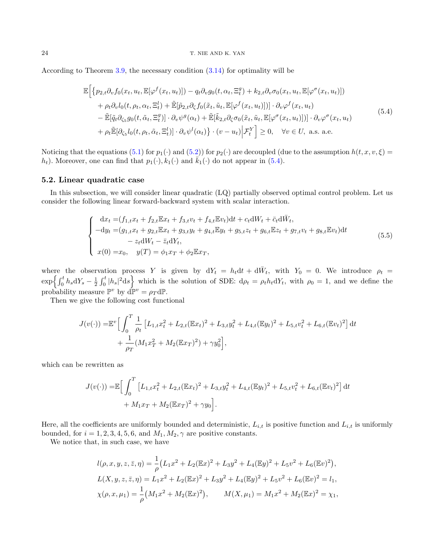## 24 T. NIE AND K. YAN

According to Theorem [3.9,](#page-16-2) the necessary condition [\(3.14\)](#page-16-1) for optimality will be

<span id="page-23-0"></span>
$$
\mathbb{E}\Big[\big\{p_{2,t}\partial_v f_0(x_t, u_t, \mathbb{E}[\varphi^f(x_t, u_t)]) - q_t \partial_v g_0(t, \alpha_t, \Xi_t^g) + k_{2,t} \partial_v \sigma_0(x_t, u_t, \mathbb{E}[\varphi^{\sigma}(x_t, u_t)])\big) + \rho_t \partial_v l_0(t, \rho_t, \alpha_t, \Xi_t^l) + \tilde{\mathbb{E}}[\tilde{p}_{2,t}\partial_{\zeta} f_0(\tilde{x}_t, \tilde{u}_t, \mathbb{E}[\varphi^f(x_t, u_t)])] \cdot \partial_v \varphi^f(x_t, u_t) - \tilde{\mathbb{E}}[\tilde{q}_t \partial_{\zeta_5} g_0(t, \tilde{\alpha}_t, \Xi_t^g)] \cdot \partial_v \psi^g(\alpha_t) + \tilde{\mathbb{E}}[\tilde{k}_{2,t}\partial_{\zeta} \sigma_0(\tilde{x}_t, \tilde{u}_t, \mathbb{E}[\varphi^{\sigma}(x_t, u_t)])] \cdot \partial_v \varphi^{\sigma}(x_t, u_t) + \rho_t \tilde{\mathbb{E}}[\partial_{\zeta_5} l_0(t, \rho_t, \tilde{\alpha}_t, \Xi_t^l)] \cdot \partial_v \psi^l(\alpha_t)\Big\} \cdot (v - u_t) \Big|\mathcal{F}_t^Y\Big] \geq 0, \quad \forall v \in U, \text{ a.s. a.e.}
$$
\n(5.4)

Noticing that the equations [\(5.1\)](#page-22-0) for  $p_1(\cdot)$  and [\(5.2\)](#page-22-1)) for  $p_2(\cdot)$  are decoupled (due to the assumption  $h(t, x, v, \xi)$  $h_t$ ). Moreover, one can find that  $p_1(\cdot), k_1(\cdot)$  and  $\overline{k}_1(\cdot)$  do not appear in [\(5.4\)](#page-23-0).

## 5.2. Linear quadratic case

In this subsection, we will consider linear quadratic (LQ) partially observed optimal control problem. Let us consider the following linear forward-backward system with scalar interaction.

$$
\begin{cases}\n\mathrm{d}x_t = (f_{1,t}x_t + f_{2,t}\mathbb{E}x_t + f_{3,t}v_t + f_{4,t}\mathbb{E}v_t)\mathrm{d}t + c_t\mathrm{d}W_t + \bar{c}_t\mathrm{d}\bar{W}_t, \\
-dy_t = (g_{1,t}x_t + g_{2,t}\mathbb{E}x_t + g_{3,t}y_t + g_{4,t}\mathbb{E}y_t + g_{5,t}z_t + g_{6,t}\mathbb{E}z_t + g_{7,t}v_t + g_{8,t}\mathbb{E}v_t)\mathrm{d}t \\
- z_t\mathrm{d}W_t - \bar{z}_t\mathrm{d}Y_t, \\
x(0) = x_0, \quad y(T) = \phi_1 x_T + \phi_2 \mathbb{E}x_T,\n\end{cases} \tag{5.5}
$$

where the observation process Y is given by  $dY_t = h_t dt + d\overline{W}_t$ , with  $Y_0 = 0$ . We introduce  $\rho_t =$  $\exp\left\{\int_0^t h_s dY_s - \frac{1}{2} \int_0^t |h_s|^2 ds\right\}$  which is the solution of SDE:  $d\rho_t = \rho_t h_t dY_t$ , with  $\rho_0 = 1$ , and we define the probability measure  $\mathbb{P}^v$  by  $\vec{d} \mathbb{P}^v = \rho_T d\mathbb{P}$ .

Then we give the following cost functional

$$
J(v(\cdot)) = \mathbb{E}^{v} \Big[ \int_{0}^{T} \frac{1}{\rho_t} \left[ L_{1,t} x_t^2 + L_{2,t} (\mathbb{E} x_t)^2 + L_{3,t} y_t^2 + L_{4,t} (\mathbb{E} y_t)^2 + L_{5,t} v_t^2 + L_{6,t} (\mathbb{E} v_t)^2 \right] dt
$$
  
+ 
$$
\frac{1}{\rho_T} (M_1 x_T^2 + M_2 (\mathbb{E} x_T)^2) + \gamma y_0^2 \Big],
$$

which can be rewritten as

$$
J(v(\cdot)) = \mathbb{E}\Big[\int_0^T \left[L_{1,t}x_t^2 + L_{2,t}(\mathbb{E}x_t)^2 + L_{3,t}y_t^2 + L_{4,t}(\mathbb{E}y_t)^2 + L_{5,t}v_t^2 + L_{6,t}(\mathbb{E}v_t)^2\right]dt
$$
  
+  $M_1x_T + M_2(\mathbb{E}x_T)^2 + \gamma y_0\Big].$ 

Here, all the coefficients are uniformly bounded and deterministic,  $L_{i,t}$  is positive function and  $L_{i,t}$  is uniformly bounded, for  $i = 1, 2, 3, 4, 5, 6$ , and  $M_1, M_2, \gamma$  are positive constants.

We notice that, in such case, we have

$$
l(\rho, x, y, z, \bar{z}, \eta) = \frac{1}{\rho} (L_1 x^2 + L_2 (\mathbb{E} x)^2 + L_3 y^2 + L_4 (\mathbb{E} y)^2 + L_5 v^2 + L_6 (\mathbb{E} v)^2),
$$
  
\n
$$
L(X, y, z, \bar{z}, \eta) = L_1 x^2 + L_2 (\mathbb{E} x)^2 + L_3 y^2 + L_4 (\mathbb{E} y)^2 + L_5 v^2 + L_6 (\mathbb{E} v)^2 = l_1,
$$
  
\n
$$
\chi(\rho, x, \mu_1) = \frac{1}{\rho} (M_1 x^2 + M_2 (\mathbb{E} x)^2), \qquad M(X, \mu_1) = M_1 x^2 + M_2 (\mathbb{E} x)^2 = \chi_1,
$$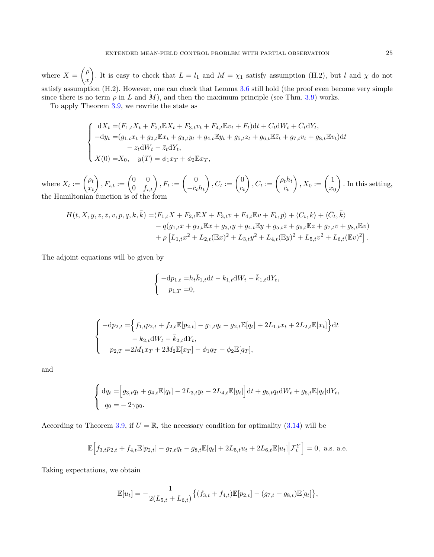where  $X = \begin{pmatrix} \rho & \rho \\ \rho & \rho \end{pmatrix}$  $\boldsymbol{x}$ ). It is easy to check that  $L = l_1$  and  $M = \chi_1$  satisfy assumption (H.2), but l and  $\chi$  do not satisfy assumption (H.2). However, one can check that Lemma [3.6](#page-13-0) still hold (the proof even become very simple since there is no term  $\rho$  in L and M), and then the maximum principle (see Thm. [3.9\)](#page-16-2) works.

To apply Theorem [3.9,](#page-16-2) we rewrite the state as

$$
\begin{cases}\n\mathrm{d}X_t = (F_{1,t}X_t + F_{2,t}\mathbb{E}X_t + F_{3,t}v_t + F_{4,t}\mathbb{E}v_t + F_t)\mathrm{d}t + C_t\mathrm{d}W_t + \bar{C}_t\mathrm{d}Y_t, \\
-\mathrm{d}y_t = (g_{1,t}x_t + g_{2,t}\mathbb{E}x_t + g_{3,t}y_t + g_{4,t}\mathbb{E}y_t + g_{5,t}z_t + g_{6,t}\mathbb{E}\bar{z}_t + g_{7,t}v_t + g_{8,t}\mathbb{E}v_t)\mathrm{d}t \\
&\quad - z_t\mathrm{d}W_t - \bar{z}_t\mathrm{d}Y_t, \\
X(0) = X_0, \quad y(T) = \phi_1 x_T + \phi_2 \mathbb{E}x_T,\n\end{cases}
$$

where  $X_t := \begin{pmatrix} \rho_t \\ x \end{pmatrix}$  $x_t$  $\left(\begin{matrix} \end{matrix}\right), F_{i,t} := \begin{pmatrix} 0 & 0 \ 0 & f_{i,t} \end{pmatrix}, F_t := \begin{pmatrix} 0 \ -\bar{c}_t \end{pmatrix}$  $-\bar{c}_th_t$  $\Big), C_t := \begin{pmatrix} 0 \\ c \end{pmatrix}$  $c_t$  $\Big\}, \bar{C}_t := \begin{pmatrix} \rho_t h_t \\ \bar{c}_t \end{pmatrix}$  $\bar{c}_t$  $\bigg), X_0 := \bigg(\frac{1}{x}$  $x_0$  . In this setting, the Hamiltonian function is of the form

$$
H(t, X, y, z, \bar{z}, v, p, q, k, \bar{k}) = \langle F_{1,t}X + F_{2,t}\mathbb{E}X + F_{3,t}v + F_{4,t}\mathbb{E}v + F_t, p \rangle + \langle C_t, k \rangle + \langle \bar{C}_t, \bar{k} \rangle - q(g_{1,t}x + g_{2,t}\mathbb{E}x + g_{3,t}y + g_{4,t}\mathbb{E}y + g_{5,t}z + g_{6,t}\mathbb{E}z + g_{7,t}v + g_{8,t}\mathbb{E}v) + \rho \left[L_{1,t}x^2 + L_{2,t}(\mathbb{E}x)^2 + L_{3,t}y^2 + L_{4,t}(\mathbb{E}y)^2 + L_{5,t}v^2 + L_{6,t}(\mathbb{E}v)^2\right].
$$

The adjoint equations will be given by

$$
\begin{cases}\n-\mathrm{d}p_{1,t} = h_t \bar{k}_{1,t} \mathrm{d}t - k_{1,t} \mathrm{d}W_t - \bar{k}_{1,t} \mathrm{d}Y_t, \\
p_{1,T} = 0,\n\end{cases}
$$

$$
\begin{cases}\n-\mathrm{d}p_{2,t} = \left\{ f_{1,t}p_{2,t} + f_{2,t}\mathbb{E}[p_{2,t}] - g_{1,t}q_t - g_{2,t}\mathbb{E}[q_t] + 2L_{1,t}x_t + 2L_{2,t}\mathbb{E}[x_t] \right\} \mathrm{d}t \n- k_{2,t} \mathrm{d}W_t - \bar{k}_{2,t} \mathrm{d}Y_t, \\
p_{2,T} = 2M_1x_T + 2M_2\mathbb{E}[x_T] - \phi_1q_T - \phi_2\mathbb{E}[q_T],\n\end{cases}
$$

and

$$
\begin{cases} dq_t = [g_{3,t}q_t + g_{4,t}\mathbb{E}[q_t] - 2L_{3,t}y_t - 2L_{4,t}\mathbb{E}[y_t]]dt + g_{5,t}q_t dW_t + g_{6,t}\mathbb{E}[q_t]dY_t, \\ q_0 = -2\gamma y_0. \end{cases}
$$

According to Theorem [3.9,](#page-16-2) if  $U = \mathbb{R}$ , the necessary condition for optimality [\(3.14\)](#page-16-1) will be

$$
\mathbb{E}\Big[f_{3,t}p_{2,t} + f_{4,t}\mathbb{E}[p_{2,t}] - g_{7,t}q_t - g_{8,t}\mathbb{E}[q_t] + 2L_{5,t}u_t + 2L_{6,t}\mathbb{E}[u_t]\Big|\mathcal{F}_t^Y\Big] = 0, \text{ a.s. a.e.}
$$

Taking expectations, we obtain

$$
\mathbb{E}[u_t] = -\frac{1}{2(L_{5,t} + L_{6,t})} \{ (f_{3,t} + f_{4,t}) \mathbb{E}[p_{2,t}] - (g_{7,t} + g_{8,t}) \mathbb{E}[q_t] \},\
$$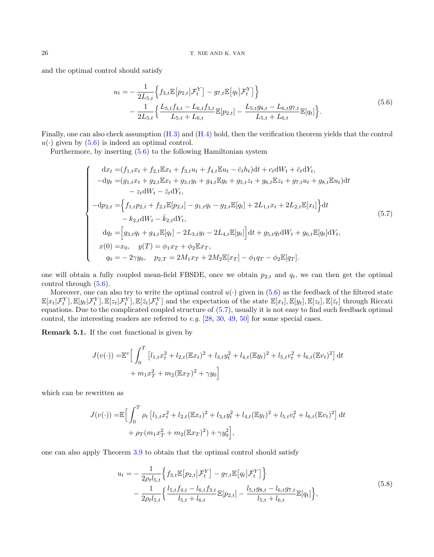and the optimal control should satisfy

<span id="page-25-1"></span>
$$
u_t = -\frac{1}{2L_{5,t}} \Big\{ f_{3,t} \mathbb{E} \big[ p_{2,t} \big| \mathcal{F}_t^Y \big] - g_{7,t} \mathbb{E} \big[ q_t \big| \mathcal{F}_t^Y \big] \Big\} - \frac{1}{2L_{5,t}} \Big\{ \frac{L_{5,t} f_{4,t} - L_{6,t} f_{3,t}}{L_{5,t} + L_{6,t}} \mathbb{E} [p_{2,t}] - \frac{L_{5,t} g_{8,t} - L_{6,t} g_{7,t}}{L_{5,t} + L_{6,t}} \mathbb{E} [q_t] \Big\}. \tag{5.6}
$$

Finally, one can also check assumption [\(H.3\)](#page-19-0) and [\(H.4\)](#page-19-1) hold, then the verification theorem yields that the control  $u(\cdot)$  given by  $(5.6)$  is indeed an optimal control.

Furthermore, by inserting [\(5.6\)](#page-25-1) to the following Hamiltonian system

<span id="page-25-2"></span>
$$
\begin{cases}\n dx_t = (f_{1,t}x_t + f_{2,t}\mathbb{E}x_t + f_{3,t}u_t + f_{4,t}\mathbb{E}u_t - \bar{c}_th_t)dt + c_t dW_t + \bar{c}_t dY_t, \\
 -dy_t = (g_{1,t}x_t + g_{2,t}\mathbb{E}x_t + g_{3,t}y_t + g_{4,t}\mathbb{E}y_t + g_{5,t}z_t + g_{6,t}\mathbb{E}z_t + g_{7,t}u_t + g_{8,t}\mathbb{E}u_t)dt \\
 - z_t dW_t - \bar{z}_t dY_t, \\
 -dp_{2,t} = \left\{f_{1,t}p_{2,t} + f_{2,t}\mathbb{E}[p_{2,t}] - g_{1,t}q_t - g_{2,t}\mathbb{E}[q_t] + 2L_{1,t}x_t + 2L_{2,t}\mathbb{E}[x_t]\right\}dt \\
 - k_{2,t}dW_t - \bar{k}_{2,t}dY_t, \\
 dq_t = \left[g_{3,t}q_t + g_{4,t}\mathbb{E}[q_t] - 2L_{3,t}y_t - 2L_{4,t}\mathbb{E}[y_t]\right]dt + g_{5,t}q_t dW_t + g_{6,t}\mathbb{E}[q_t]dY_t, \\
 x(0) = x_0, \quad y(T) = \phi_1 x_T + \phi_2 \mathbb{E}x_T, \\
 q_0 = -2\gamma y_0, \quad p_{2,T} = 2M_1 x_T + 2M_2 \mathbb{E}[x_T] - \phi_1 q_T - \phi_2 \mathbb{E}[q_T].\n\end{cases} (5.7)
$$

one will obtain a fully coupled mean-field FBSDE, once we obtain  $p_{2,t}$  and  $q_t$ , we can then get the optimal control through [\(5.6\)](#page-25-1).

Moreover, one can also try to write the optimal control  $u(\cdot)$  given in [\(5.6\)](#page-25-1) as the feedback of the filtered state  $\mathbb{E}[x_t|\mathcal{F}_t^Y], \mathbb{E}[y_t|\mathcal{F}_t^Y], \mathbb{E}[z_t|\mathcal{F}_t^Y]$  and the expectation of the state  $\mathbb{E}[x_t], \mathbb{E}[y_t], \mathbb{E}[z_t], \mathbb{E}[\bar{z}_t]$  through Riccation equations. Due to the complicated coupled structure of [\(5.7\)](#page-25-2), usually it is not easy to find such feedback optimal control, the interesting readers are referred to  $e.g.$  [\[28,](#page-41-14) [30,](#page-42-15) [49,](#page-42-5) [50\]](#page-42-14) for some special cases.

<span id="page-25-0"></span>Remark 5.1. If the cost functional is given by

$$
J(v(\cdot)) = \mathbb{E}^{v} \Big[ \int_{0}^{T} \left[ l_{1,t} x_{t}^{2} + l_{2,t} (\mathbb{E} x_{t})^{2} + l_{3,t} y_{t}^{2} + l_{4,t} (\mathbb{E} y_{t})^{2} + l_{5,t} v_{t}^{2} + l_{6,t} (\mathbb{E} v_{t})^{2} \right] dt
$$
  
+  $m_{1} x_{T}^{2} + m_{2} (\mathbb{E} x_{T})^{2} + \gamma y_{0} \Big]$ 

which can be rewritten as

$$
J(v(\cdot)) = \mathbb{E}\Big[\int_0^T \rho_t \left[l_{1,t}x_t^2 + l_{2,t}(\mathbb{E}x_t)^2 + l_{3,t}y_t^2 + l_{4,t}(\mathbb{E}y_t)^2 + l_{5,t}v_t^2 + l_{6,t}(\mathbb{E}v_t)^2\right]dt
$$
  
+  $\rho_T(m_1x_T^2 + m_2(\mathbb{E}x_T)^2) + \gamma y_0^2\Big],$ 

one can also apply Theorem [3.9](#page-16-2) to obtain that the optimal control should satisfy

<span id="page-25-3"></span>
$$
u_t = -\frac{1}{2\rho_t l_{5,t}} \Big\{ f_{3,t} \mathbb{E} \big[ p_{2,t} \big| \mathcal{F}_t^Y \big] - g_{7,t} \mathbb{E} \big[ q_t \big| \mathcal{F}_t^Y \big] \Big\} - \frac{1}{2\rho_t l_{5,t}} \Big\{ \frac{l_{5,t} f_{4,t} - l_{6,t} f_{3,t}}{l_{5,t} + l_{6,t}} \mathbb{E} [p_{2,t}] - \frac{l_{5,t} g_{8,t} - l_{6,t} g_{7,t}}{l_{5,t} + l_{6,t}} \mathbb{E} [q_t] \Big\},
$$
\n
$$
(5.8)
$$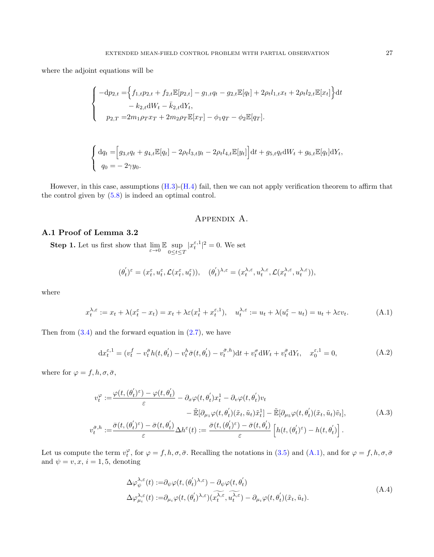where the adjoint equations will be

$$
\begin{cases}\n-\mathrm{d}p_{2,t} = \left\{ f_{1,t}p_{2,t} + f_{2,t}\mathbb{E}[p_{2,t}] - g_{1,t}q_t - g_{2,t}\mathbb{E}[q_t] + 2\rho_t l_{1,t}x_t + 2\rho_t l_{2,t}\mathbb{E}[x_t] \right\} \mathrm{d}t \n- k_{2,t} \mathrm{d}W_t - \bar{k}_{2,t} \mathrm{d}Y_t, \\
p_{2,T} = 2m_1 \rho_T x_T + 2m_2 \rho_T \mathbb{E}[x_T] - \phi_1 q_T - \phi_2 \mathbb{E}[q_T].\n\end{cases}
$$

$$
\begin{cases} dq_t = [g_{3,t}q_t + g_{4,t}\mathbb{E}[q_t] - 2\rho_t l_{3,t}y_t - 2\rho_t l_{4,t}\mathbb{E}[y_t]]dt + g_{5,t}q_t dW_t + g_{6,t}\mathbb{E}[q_t]dY_t, \\ q_0 = -2\gamma y_0. \end{cases}
$$

However, in this case, assumptions [\(H.3\)](#page-19-0)-[\(H.4\)](#page-19-1) fail, then we can not apply verification theorem to affirm that the control given by [\(5.8\)](#page-25-3) is indeed an optimal control.

# Appendix A.

## A.1 Proof of Lemma 3.2

**Step 1.** Let us first show that  $\lim_{\varepsilon \to 0} \mathbb{E} \sup_{0 \le t \le T} |x_t^{\varepsilon,1}|^2 = 0$ . We set

$$
(\theta_t^{'})^{\varepsilon} = (x_t^{\varepsilon}, u_t^{\varepsilon}, \mathcal{L}(x_t^{\varepsilon}, u_t^{\varepsilon})), \quad (\theta_t^{'})^{\lambda, \varepsilon} = (x_t^{\lambda, \varepsilon}, u_t^{\lambda, \varepsilon}, \mathcal{L}(x_t^{\lambda, \varepsilon}, u_t^{\lambda, \varepsilon})),
$$

where

<span id="page-26-0"></span>
$$
x_t^{\lambda,\varepsilon} := x_t + \lambda (x_t^{\varepsilon} - x_t) = x_t + \lambda \varepsilon (x_t^1 + x_t^{\varepsilon,1}), \quad u_t^{\lambda,\varepsilon} := u_t + \lambda (u_t^{\varepsilon} - u_t) = u_t + \lambda \varepsilon v_t.
$$
 (A.1)

Then from  $(3.4)$  and the forward equation in  $(2.7)$ , we have

<span id="page-26-1"></span>
$$
dx_t^{\varepsilon,1} = (v_t^f - v_t^{\bar{\sigma}} h(t, \theta_t^{'}) - v_t^h \bar{\sigma}(t, \theta_t^{'}) - v_t^{\bar{\sigma},h}) dt + v_t^{\sigma} dW_t + v_t^{\bar{\sigma}} dY_t, \quad x_0^{\varepsilon,1} = 0,
$$
 (A.2)

where for  $\varphi = f, h, \sigma, \bar{\sigma}$ ,

<span id="page-26-2"></span>
$$
v_t^{\varphi} := \frac{\varphi(t, (\theta_t')^{\varepsilon}) - \varphi(t, \theta_t')}{\varepsilon} - \partial_x \varphi(t, \theta_t') x_t^1 - \partial_v \varphi(t, \theta_t') v_t - \tilde{\mathbb{E}}[\partial_{\mu_1} \varphi(t, \theta_t')(\tilde{x}_t, \tilde{u}_t) \tilde{x}_t^1] - \tilde{\mathbb{E}}[\partial_{\mu_5} \varphi(t, \theta_t')(\tilde{x}_t, \tilde{u}_t) \tilde{v}_t],
$$
(A.3)  

$$
v_t^{\bar{\sigma}, h} := \frac{\bar{\sigma}(t, (\theta_t')^{\varepsilon}) - \bar{\sigma}(t, \theta_t')}{\varepsilon} \Delta h^{\varepsilon}(t) := \frac{\bar{\sigma}(t, (\theta_t')^{\varepsilon}) - \bar{\sigma}(t, \theta_t')}{\varepsilon} \left[ h(t, (\theta_t')^{\varepsilon}) - h(t, \theta_t') \right].
$$

Let us compute the term  $v_t^{\varphi}$ , for  $\varphi = f, h, \sigma, \bar{\sigma}$ . Recalling the notations in [\(3.5\)](#page-11-0) and [\(A.1\)](#page-26-0), and for  $\varphi = f, h, \sigma, \bar{\sigma}$ and  $\psi = v, x, i = 1, 5$ , denoting

<span id="page-26-3"></span>
$$
\Delta \varphi_{\psi}^{\lambda,\varepsilon}(t) := \partial_{\psi} \varphi(t,(\theta_t')^{\lambda,\varepsilon}) - \partial_{\psi} \varphi(t,\theta_t') \n\Delta \varphi_{\mu_i}^{\lambda,\varepsilon}(t) := \partial_{\mu_i} \varphi(t,(\theta_t')^{\lambda,\varepsilon}) (\widehat{x_t^{\lambda,\varepsilon}}, \widehat{u_t^{\lambda,\varepsilon}}) - \partial_{\mu_i} \varphi(t,\theta_t') (\tilde{x}_t, \tilde{u}_t).
$$
\n(A.4)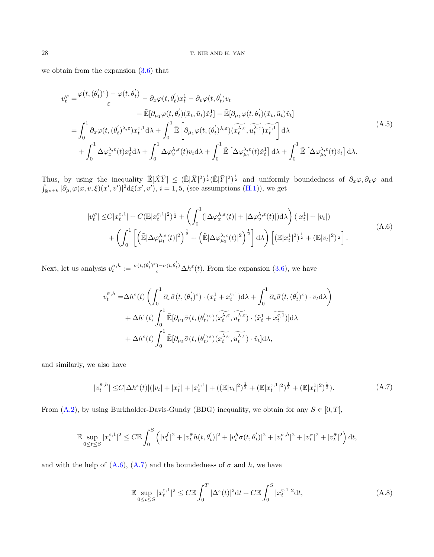we obtain from the expansion [\(3.6\)](#page-12-2) that

<span id="page-27-2"></span>
$$
v_t^{\varphi} = \frac{\varphi(t, (\theta_t')^{\varepsilon}) - \varphi(t, \theta_t')}{\varepsilon} - \partial_x \varphi(t, \theta_t') x_t^1 - \partial_v \varphi(t, \theta_t') v_t - \tilde{\mathbb{E}}[\partial_{\mu_1} \varphi(t, \theta_t')(\tilde{x}_t, \tilde{u}_t) \tilde{x}_t^1] - \tilde{\mathbb{E}}[\partial_{\mu_5} \varphi(t, \theta_t')(\tilde{x}_t, \tilde{u}_t) \tilde{v}_t] = \int_0^1 \partial_x \varphi(t, (\theta_t')^{\lambda, \varepsilon}) x_t^{\varepsilon, 1} d\lambda + \int_0^1 \tilde{\mathbb{E}} \left[ \partial_{\mu_1} \varphi(t, (\theta_t')^{\lambda, \varepsilon}) (x_t^{\lambda, \varepsilon}, u_t^{\lambda, \varepsilon}) x_t^{\varepsilon, 1} \right] d\lambda + \int_0^1 \Delta \varphi_x^{\lambda, \varepsilon}(t) x_t^1 d\lambda + \int_0^1 \Delta \varphi_v^{\lambda, \varepsilon}(t) v_t d\lambda + \int_0^1 \tilde{\mathbb{E}} \left[ \Delta \varphi_{\mu_1}^{\lambda, \varepsilon}(t) \tilde{x}_t^1 \right] d\lambda + \int_0^1 \tilde{\mathbb{E}} \left[ \Delta \varphi_{\mu_5}^{\lambda, \varepsilon}(t) \tilde{v}_t \right] d\lambda.
$$
 (A.5)

Thus, by using the inequality  $\tilde{\mathbb{E}}[\tilde{X}\tilde{Y}] \leq (\tilde{\mathbb{E}}|\tilde{X}|^2)^{\frac{1}{2}}(\tilde{\mathbb{E}}|\bar{Y}|^2)^{\frac{1}{2}}$  and uniformly boundedness of  $\partial_x\varphi, \partial_y\varphi$  and  $\int_{\mathbb{R}^{n+k}} |\partial_{\mu_i} \varphi(x, v, \xi)(x', v')|^2 d\xi(x', v'), i = 1, 5$ , (see assumptions [\(H.1\)](#page-6-0)), we get

<span id="page-27-0"></span>
$$
|v_t^{\varphi}| \leq C |x_t^{\varepsilon,1}| + C (\mathbb{E}|x_t^{\varepsilon,1}|^2)^{\frac{1}{2}} + \left(\int_0^1 (|\Delta \varphi_x^{\lambda,\varepsilon}(t)| + |\Delta \varphi_v^{\lambda,\varepsilon}(t)|) d\lambda\right) (|x_t^1| + |v_t|)
$$
  
+ 
$$
\left(\int_0^1 \left[ \left(\tilde{\mathbb{E}}|\Delta \varphi_{\mu_1}^{\lambda,\varepsilon}(t)|^2\right)^{\frac{1}{2}} + \left(\tilde{\mathbb{E}}|\Delta \varphi_{\mu_5}^{\lambda,\varepsilon}(t)|^2\right)^{\frac{1}{2}} \right] d\lambda\right) \left[ (\mathbb{E}|x_t^1|^2)^{\frac{1}{2}} + (\mathbb{E}|v_t|^2)^{\frac{1}{2}} \right].
$$
 (A.6)

Next, let us analysis  $v_t^{\tilde{\sigma},h} := \frac{\bar{\sigma}(t,(\theta_t')^{\varepsilon}) - \bar{\sigma}(t,\theta_t')}{\varepsilon} \Delta h^{\varepsilon}(t)$ . From the expansion [\(3.6\)](#page-12-2), we have

$$
v_t^{\bar{\sigma},h} = \Delta h^{\varepsilon}(t) \left( \int_0^1 \partial_x \bar{\sigma}(t,(\theta_t')^{\varepsilon}) \cdot (x_t^1 + x_t^{\varepsilon,1}) d\lambda + \int_0^1 \partial_v \bar{\sigma}(t,(\theta_t')^{\varepsilon}) \cdot v_t d\lambda \right) + \Delta h^{\varepsilon}(t) \int_0^1 \tilde{\mathbb{E}}[\partial_{\mu_1} \bar{\sigma}(t,(\theta_t')^{\varepsilon}) (\widetilde{x_t^{\lambda,\varepsilon}},\widetilde{u_t^{\lambda,\varepsilon}}) \cdot (\tilde{x}_t^1 + \widetilde{x}_t^{\varepsilon,1})] d\lambda + \Delta h^{\varepsilon}(t) \int_0^1 \tilde{\mathbb{E}}[\partial_{\mu_5} \bar{\sigma}(t,(\theta_t')^{\varepsilon}) (\widetilde{x_t^{\lambda,\varepsilon}},\widetilde{u_t^{\lambda,\varepsilon}}) \cdot \tilde{v}_t] d\lambda,
$$

and similarly, we also have

<span id="page-27-1"></span>
$$
|v_t^{\bar{\sigma},h}| \leq C|\Delta h^{\varepsilon}(t)|(|v_t| + |x_t^1| + |x_t^{\varepsilon,1}| + ((\mathbb{E}|v_t|^2)^{\frac{1}{2}} + (\mathbb{E}|x_t^{\varepsilon,1}|^2)^{\frac{1}{2}} + (\mathbb{E}|x_t^1|^2)^{\frac{1}{2}}). \tag{A.7}
$$

From  $(A.2)$ , by using Burkholder-Davis-Gundy (BDG) inequality, we obtain for any  $S \in [0, T]$ ,

$$
\mathbb{E} \sup_{0 \le t \le S} |x_t^{\varepsilon,1}|^2 \le C \mathbb{E} \int_0^S \left( |v_t^f|^2 + |v_t^{\bar{\sigma}} h(t,\theta_t^{'})|^2 + |v_t^h \bar{\sigma}(t,\theta_t^{'})|^2 + |v_t^{\bar{\sigma},h}|^2 + |v_t^{\sigma}|^2 + |v_t^{\bar{\sigma}}|^2 \right) dt,
$$

and with the help of  $(A.6)$ ,  $(A.7)$  and the boundedness of  $\bar{\sigma}$  and h, we have

$$
\mathbb{E} \sup_{0 \le t \le S} |x_t^{\varepsilon,1}|^2 \le C \mathbb{E} \int_0^T |\Delta^{\varepsilon}(t)|^2 dt + C \mathbb{E} \int_0^S |x_t^{\varepsilon,1}|^2 dt,
$$
\n(A.8)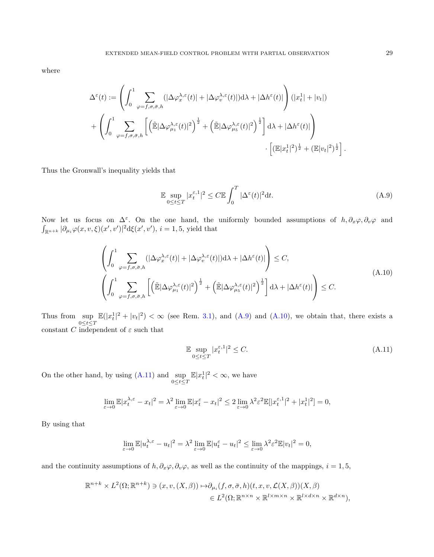where

$$
\Delta^{\varepsilon}(t) := \left( \int_{0}^{1} \sum_{\varphi=f, \sigma, \bar{\sigma}, h} (|\Delta \varphi^{\lambda, \varepsilon}_{x}(t)| + |\Delta \varphi^{\lambda, \varepsilon}_{v}(t)|) d\lambda + |\Delta h^{\varepsilon}(t)| \right) (|x_{t}^{1}| + |v_{t}|)
$$
  
+ 
$$
\left( \int_{0}^{1} \sum_{\varphi=f, \sigma, \bar{\sigma}, h} \left[ \left( \tilde{\mathbb{E}} |\Delta \varphi^{\lambda, \varepsilon}_{\mu_{1}}(t)|^{2} \right)^{\frac{1}{2}} + \left( \tilde{\mathbb{E}} |\Delta \varphi^{\lambda, \varepsilon}_{\mu_{5}}(t)|^{2} \right)^{\frac{1}{2}} \right] d\lambda + |\Delta h^{\varepsilon}(t)| \right) \cdot \left[ (\mathbb{E}|x_{t}^{1}|^{2})^{\frac{1}{2}} + (\mathbb{E}|v_{t}|^{2})^{\frac{1}{2}} \right]
$$

Thus the Gronwall's inequality yields that

<span id="page-28-0"></span>
$$
\mathbb{E} \sup_{0 \le t \le T} |x_t^{\varepsilon,1}|^2 \le C \mathbb{E} \int_0^T |\Delta^{\varepsilon}(t)|^2 dt. \tag{A.9}
$$

Now let us focus on  $\Delta^{\varepsilon}$ . On the one hand, the uniformly bounded assumptions of  $h, \partial_x \varphi, \partial_v \varphi$  and  $\int_{\mathbb{R}^{n+k}} |\partial_{\mu_i} \varphi(x, v, \xi)(x', v')|^2 d\xi(x', v'), i = 1, 5$ , yield that

<span id="page-28-1"></span>
$$
\left(\int_{0}^{1} \sum_{\varphi=f,\sigma,\bar{\sigma},h} (|\Delta \varphi_{x}^{\lambda,\varepsilon}(t)| + |\Delta \varphi_{v}^{\lambda,\varepsilon}(t)|) d\lambda + |\Delta h^{\varepsilon}(t)|\right) \leq C,
$$
\n(A.10)\n
$$
\left(\int_{0}^{1} \sum_{\varphi=f,\sigma,\bar{\sigma},h} \left[ \left(\tilde{\mathbb{E}} |\Delta \varphi_{\mu_{1}}^{\lambda,\varepsilon}(t)|^{2}\right)^{\frac{1}{2}} + \left(\tilde{\mathbb{E}} |\Delta \varphi_{\mu_{5}}^{\lambda,\varepsilon}(t)|^{2}\right)^{\frac{1}{2}} \right] d\lambda + |\Delta h^{\varepsilon}(t)| \right) \leq C.
$$

Thus from  $\sup_{0 \le t \le T} \mathbb{E}(|x_t^1|^2 + |v_t|^2) < \infty$  (see Rem. [3.1\)](#page-10-0), and [\(A.9\)](#page-28-0) and [\(A.10\)](#page-28-1), we obtain that, there exists a constant C independent of  $\varepsilon$  such that

<span id="page-28-2"></span>
$$
\mathbb{E} \sup_{0 \le t \le T} |x_t^{\varepsilon,1}|^2 \le C. \tag{A.11}
$$

On the other hand, by using [\(A.11\)](#page-28-2) and  $\sup_{0 \le t \le T} \mathbb{E}|x_t^1|^2 < \infty$ , we have

$$
\lim_{\varepsilon \to 0} \mathbb{E} |x_t^{\lambda, \varepsilon} - x_t|^2 = \lambda^2 \lim_{\varepsilon \to 0} \mathbb{E} |x_t^{\varepsilon} - x_t|^2 \le 2 \lim_{\varepsilon \to 0} \lambda^2 \varepsilon^2 \mathbb{E} |x_t^{\varepsilon, 1}|^2 + |x_t^1|^2 = 0,
$$

By using that

$$
\lim_{\varepsilon \to 0} \mathbb{E} |u_t^{\lambda, \varepsilon} - u_t|^2 = \lambda^2 \lim_{\varepsilon \to 0} \mathbb{E} |u_t^{\varepsilon} - u_t|^2 \le \lim_{\varepsilon \to 0} \lambda^2 \varepsilon^2 \mathbb{E} |v_t|^2 = 0,
$$

and the continuity assumptions of  $h, \partial_x \varphi, \partial_y \varphi$ , as well as the continuity of the mappings,  $i = 1, 5$ ,

$$
\mathbb{R}^{n+k} \times L^2(\Omega; \mathbb{R}^{n+k}) \ni (x, v, (X, \beta)) \mapsto \partial_{\mu_i}(f, \sigma, \bar{\sigma}, h)(t, x, v, \mathcal{L}(X, \beta))(X, \beta)
$$
  

$$
\in L^2(\Omega; \mathbb{R}^{n \times n} \times \mathbb{R}^{l \times m \times n} \times \mathbb{R}^{l \times d \times n} \times \mathbb{R}^{d \times n}),
$$

.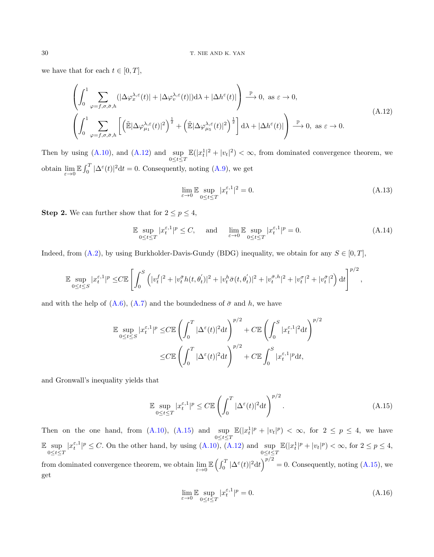we have that for each  $t \in [0, T]$ ,

<span id="page-29-1"></span>
$$
\left(\int_{0}^{1} \sum_{\varphi=f,\sigma,\bar{\sigma},h} (|\Delta \varphi^{\lambda,\varepsilon}_{x}(t)|+|\Delta \varphi^{\lambda,\varepsilon}_{v}(t)|)d\lambda+|\Delta h^{\varepsilon}(t)|\right) \stackrel{\mathbb{P}}{\longrightarrow} 0, \text{ as } \varepsilon \to 0,
$$
\n(A.12)\n
$$
\left(\int_{0}^{1} \sum_{\varphi=f,\sigma,\bar{\sigma},h} \left[ \left(\tilde{\mathbb{E}}|\Delta \varphi^{\lambda,\varepsilon}_{\mu_{1}}(t)|^{2}\right)^{\frac{1}{2}} + \left(\tilde{\mathbb{E}}|\Delta \varphi^{\lambda,\varepsilon}_{\mu_{5}}(t)|^{2}\right)^{\frac{1}{2}} \right] d\lambda+|\Delta h^{\varepsilon}(t)| \right) \stackrel{\mathbb{P}}{\longrightarrow} 0, \text{ as } \varepsilon \to 0.
$$

Then by using [\(A.10\)](#page-28-1), and [\(A.12\)](#page-29-1) and  $\sup_{0 \le t \le T} \mathbb{E}(|x_t^1|^2 + |v_t|^2) < \infty$ , from dominated convergence theorem, we obtain  $\lim_{\varepsilon\to 0} \mathbb{E} \int_0^T |\Delta^{\varepsilon}(t)|^2 dt = 0$ . Consequently, noting [\(A.9\)](#page-28-0), we get

$$
\lim_{\varepsilon \to 0} \mathbb{E} \sup_{0 \le t \le T} |x_t^{\varepsilon,1}|^2 = 0. \tag{A.13}
$$

**Step 2.** We can further show that for  $2 \le p \le 4$ ,

<span id="page-29-0"></span>
$$
\mathbb{E} \sup_{0 \le t \le T} |x_t^{\varepsilon,1}|^p \le C, \quad \text{and} \quad \lim_{\varepsilon \to 0} \mathbb{E} \sup_{0 \le t \le T} |x_t^{\varepsilon,1}|^p = 0. \tag{A.14}
$$

Indeed, from [\(A.2\)](#page-26-1), by using Burkholder-Davis-Gundy (BDG) inequality, we obtain for any  $S \in [0, T]$ ,

$$
\mathbb{E} \sup_{0 \le t \le S} |x_t^{\varepsilon,1}|^p \le C \mathbb{E} \left[ \int_0^S \left( |v_t^f|^2 + |v_t^{\bar{\sigma}} h(t, \theta_t^{'})|^2 + |v_t^h \bar{\sigma}(t, \theta_t^{'})|^2 + |v_t^{\bar{\sigma},h}|^2 + |v_t^{\sigma}|^2 + |v_t^{\bar{\sigma}}|^2 \right) dt \right]^{p/2},
$$

and with the help of  $(A.6)$ ,  $(A.7)$  and the boundedness of  $\bar{\sigma}$  and h, we have

$$
\mathbb{E} \sup_{0 \le t \le S} |x_t^{\varepsilon,1}|^p \le C \mathbb{E} \left( \int_0^T |\Delta^{\varepsilon}(t)|^2 dt \right)^{p/2} + C \mathbb{E} \left( \int_0^S |x_t^{\varepsilon,1}|^2 dt \right)^{p/2}
$$

$$
\le C \mathbb{E} \left( \int_0^T |\Delta^{\varepsilon}(t)|^2 dt \right)^{p/2} + C \mathbb{E} \int_0^S |x_t^{\varepsilon,1}|^p dt,
$$

and Gronwall's inequality yields that

<span id="page-29-2"></span>
$$
\mathbb{E} \sup_{0 \le t \le T} |x_t^{\varepsilon,1}|^p \le C \mathbb{E} \left( \int_0^T |\Delta^{\varepsilon}(t)|^2 dt \right)^{p/2}.
$$
\n(A.15)

Then on the one hand, from [\(A.10\)](#page-28-1), [\(A.15\)](#page-29-2) and  $\sup_{0 \le t \le T} \mathbb{E}(|x_t^1|^p + |v_t|^p) < \infty$ , for  $2 \le p \le 4$ , we have  $\mathbb{E}\sup_{0\leq t\leq T}|x_t^{\varepsilon,1}|^p\leq C.$  On the other hand, by using  $(A.10)$ ,  $(A.12)$  and  $\sup_{0\leq t\leq T}\mathbb{E}(|x_t^1|^p+|v_t|^p)<\infty$ , for  $2\leq p\leq 4$ , from dominated convergence theorem, we obtain  $\lim_{\varepsilon \to 0} \mathbb{E} \left( \int_0^T |\Delta^{\varepsilon}(t)|^2 dt \right)^{p/2} = 0$ . Consequently, noting [\(A.15\)](#page-29-2), we get

<span id="page-29-3"></span>
$$
\lim_{\varepsilon \to 0} \mathbb{E} \sup_{0 \le t \le T} |x_t^{\varepsilon,1}|^p = 0. \tag{A.16}
$$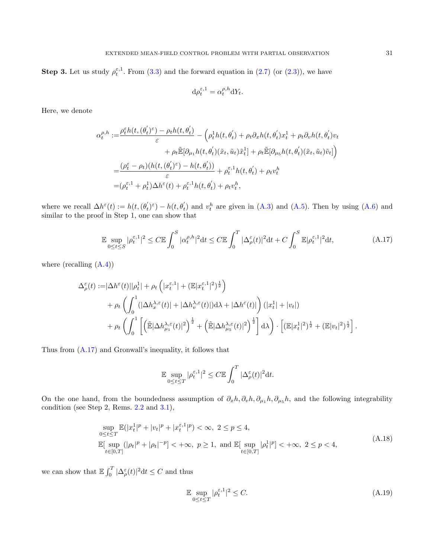**Step 3.** Let us study  $\rho_t^{\varepsilon,1}$ . From [\(3.3\)](#page-10-2) and the forward equation in [\(2.7\)](#page-8-3) (or [\(2.3\)](#page-4-2)), we have

$$
\mathrm{d}\rho_t^{\varepsilon,1} = \alpha_t^{\rho,h} \mathrm{d}Y_t.
$$

Here, we denote

$$
\alpha_t^{\rho,h} := \frac{\rho_t^{\varepsilon} h(t,(\theta_t^{\prime})^{\varepsilon}) - \rho_t h(t, \theta_t^{\prime})}{\varepsilon} - \left(\rho_t^1 h(t, \theta_t^{\prime}) + \rho_t \partial_x h(t, \theta_t^{\prime}) x_t^1 + \rho_t \partial_v h(t, \theta_t^{\prime}) v_t\right) \n+ \rho_t \tilde{\mathbb{E}}[\partial_{\mu_1} h(t, \theta_t^{\prime})(\tilde{x}_t, \tilde{u}_t) \tilde{x}_t^1] + \rho_t \tilde{\mathbb{E}}[\partial_{\mu_5} h(t, \theta_t^{\prime})(\tilde{x}_t, \tilde{u}_t) \tilde{v}_t]\right) \n= \frac{(\rho_t^{\varepsilon} - \rho_t)(h(t,(\theta_t^{\prime})^{\varepsilon}) - h(t, \theta_t^{\prime}))}{\varepsilon} + \rho_t^{\varepsilon,1} h(t, \theta_t^{\prime}) + \rho_t v_t^h \n= (\rho_t^{\varepsilon,1} + \rho_t^1) \Delta h^{\varepsilon}(t) + \rho_t^{\varepsilon,1} h(t, \theta_t^{\prime}) + \rho_t v_t^h,
$$

where we recall  $\Delta h^{\varepsilon}(t) := h(t,(\theta_t')^{\varepsilon}) - h(t, \theta_t')$  and  $v_t^h$  are given in [\(A.3\)](#page-26-2) and [\(A.5\)](#page-27-2). Then by using [\(A.6\)](#page-27-0) and similar to the proof in Step 1, one can show that

<span id="page-30-0"></span>
$$
\mathbb{E}\sup_{0\leq t\leq S}|\rho_t^{\varepsilon,1}|^2 \leq C \mathbb{E}\int_0^S|\alpha_t^{\rho,h}|^2\mathrm{d}t \leq C \mathbb{E}\int_0^T|\Delta_\rho^\varepsilon(t)|^2\mathrm{d}t + C\int_0^S\mathbb{E}|\rho_t^{\varepsilon,1}|^2\mathrm{d}t,\tag{A.17}
$$

where (recalling  $(A.4)$ )

$$
\Delta_{\rho}^{\varepsilon}(t) := |\Delta h^{\varepsilon}(t)||\rho_{t}^{1}| + \rho_{t} \left( |x_{t}^{\varepsilon,1}| + (\mathbb{E}|x_{t}^{\varepsilon,1}|^{2})^{\frac{1}{2}} \right) \n+ \rho_{t} \left( \int_{0}^{1} (|\Delta h_{x}^{\lambda,\varepsilon}(t)| + |\Delta h_{v}^{\lambda,\varepsilon}(t)|) d\lambda + |\Delta h^{\varepsilon}(t)| \right) (|x_{t}^{1}| + |v_{t}|) \n+ \rho_{t} \left( \int_{0}^{1} \left[ \left( \tilde{\mathbb{E}} |\Delta h_{\mu_{1}}^{\lambda,\varepsilon}(t)|^{2} \right)^{\frac{1}{2}} + \left( \tilde{\mathbb{E}} |\Delta h_{\mu_{5}}^{\lambda,\varepsilon}(t)|^{2} \right)^{\frac{1}{2}} \right] d\lambda \right) \cdot \left[ (\mathbb{E}|x_{t}^{1}|^{2})^{\frac{1}{2}} + (\mathbb{E}|v_{t}|^{2})^{\frac{1}{2}} \right].
$$

Thus from [\(A.17\)](#page-30-0) and Gronwall's inequality, it follows that

$$
\mathbb{E}\sup_{0\leq t\leq T}|\rho^{\varepsilon,1}_t|^2\leq C\mathbb{E}\int^T_0|\Delta^\varepsilon_\rho(t)|^2\mathrm{d}t.
$$

On the one hand, from the boundedness assumption of  $\partial_x h$ ,  $\partial_v h$ ,  $\partial_{\mu_1} h$ ,  $\partial_{\mu_5} h$ , and the following integrability condition (see Step 2, Rems. [2.2](#page-8-0) and [3.1\)](#page-10-0),

<span id="page-30-1"></span>
$$
\sup_{0 \le t \le T} \mathbb{E}(|x_t^1|^p + |v_t|^p + |x_t^{\varepsilon,1}|^p) < \infty, \ 2 \le p \le 4,
$$
\n
$$
\mathbb{E}[\sup_{t \in [0,T]} (|\rho_t|^p + |\rho_t|^{-p}] < +\infty, \ p \ge 1, \text{ and } \mathbb{E}[\sup_{t \in [0,T]} |\rho_t^1|^p] < +\infty, \ 2 \le p < 4,
$$
\n(A.18)

we can show that  $\mathbb{E} \int_0^T |\Delta_\rho^{\varepsilon}(t)|^2 dt \leq C$  and thus

$$
\mathbb{E} \sup_{0 \le t \le T} |\rho_t^{\varepsilon,1}|^2 \le C. \tag{A.19}
$$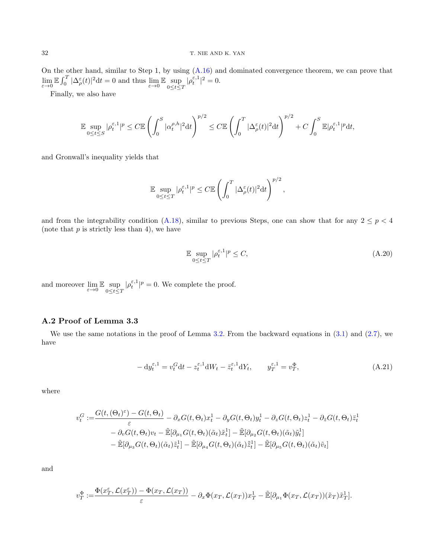On the other hand, similar to Step 1, by using [\(A.16\)](#page-29-3) and dominated convergence theorem, we can prove that  $\lim_{\varepsilon \to 0} \mathbb{E} \int_0^T |\Delta_\rho^{\varepsilon}(t)|^2 dt = 0$  and thus  $\lim_{\varepsilon \to 0} \mathbb{E} \sup_{0 \le t \le T} |\rho_t^{\varepsilon,1}|^2 = 0.$ 

Finally, we also have

$$
\mathbb{E}\sup_{0\leq t\leq S}|\rho_t^{\varepsilon,1}|^p\leq C\mathbb{E}\left(\int_0^S|\alpha_t^{\rho,h}|^2\mathrm{d}t\right)^{p/2}\leq C\mathbb{E}\left(\int_0^T|\Delta_\rho^\varepsilon(t)|^2\mathrm{d}t\right)^{p/2}+C\int_0^S\mathbb{E}|\rho_t^{\varepsilon,1}|^p\mathrm{d}t,
$$

and Gronwall's inequality yields that

$$
\mathbb{E} \sup_{0 \le t \le T} |\rho_t^{\varepsilon,1}|^p \le C \mathbb{E} \left( \int_0^T |\Delta_\rho^{\varepsilon}(t)|^2 dt \right)^{p/2},
$$

and from the integrability condition [\(A.18\)](#page-30-1), similar to previous Steps, one can show that for any  $2 \le p < 4$ (note that  $p$  is strictly less than 4), we have

<span id="page-31-0"></span>
$$
\mathbb{E} \sup_{0 \le t \le T} |\rho_t^{\varepsilon,1}|^p \le C,\tag{A.20}
$$

and moreover  $\lim_{\varepsilon \to 0} \mathbb{E} \sup_{0 \le t \le T} |\rho_t^{\varepsilon,1}|^p = 0$ . We complete the proof.

## A.2 Proof of Lemma 3.3

We use the same notations in the proof of Lemma [3.2.](#page-12-0) From the backward equations in  $(3.1)$  and  $(2.7)$ , we have

<span id="page-31-1"></span>
$$
- dy_t^{\varepsilon,1} = v_t^G dt - z_t^{\varepsilon,1} dW_t - \bar{z}_t^{\varepsilon,1} dY_t, \qquad y_T^{\varepsilon,1} = v_T^{\Phi}, \tag{A.21}
$$

where

$$
v_t^G := \frac{G(t, (\Theta_t)^{\varepsilon}) - G(t, \Theta_t)}{\varepsilon} - \partial_x G(t, \Theta_t) x_t^1 - \partial_y G(t, \Theta_t) y_t^1 - \partial_z G(t, \Theta_t) z_t^1 - \partial_{\bar{z}} G(t, \Theta_t) \bar{z}_t^1 - \partial_y G(t, \Theta_t) v_t - \tilde{\mathbb{E}}[\partial_{\mu_1} G(t, \Theta_t)(\tilde{\alpha}_t) \tilde{x}_t^1] - \tilde{\mathbb{E}}[\partial_{\mu_2} G(t, \Theta_t)(\tilde{\alpha}_t) \tilde{y}_t^1] - \tilde{\mathbb{E}}[\partial_{\mu_3} G(t, \Theta_t)(\tilde{\alpha}_t) \tilde{z}_t^1] - \tilde{\mathbb{E}}[\partial_{\mu_4} G(t, \Theta_t)(\tilde{\alpha}_t) \tilde{\bar{z}}_t^1] - \tilde{\mathbb{E}}[\partial_{\mu_5} G(t, \Theta_t)(\tilde{\alpha}_t) \tilde{v}_t]
$$

and

$$
v_T^{\Phi} := \frac{\Phi(x_T^{\varepsilon}, \mathcal{L}(x_T^{\varepsilon})) - \Phi(x_T, \mathcal{L}(x_T))}{\varepsilon} - \partial_x \Phi(x_T, \mathcal{L}(x_T)) x_T^1 - \tilde{\mathbb{E}}[\partial_{\mu_1} \Phi(x_T, \mathcal{L}(x_T))(\tilde{x}_T) \tilde{x}_T^1].
$$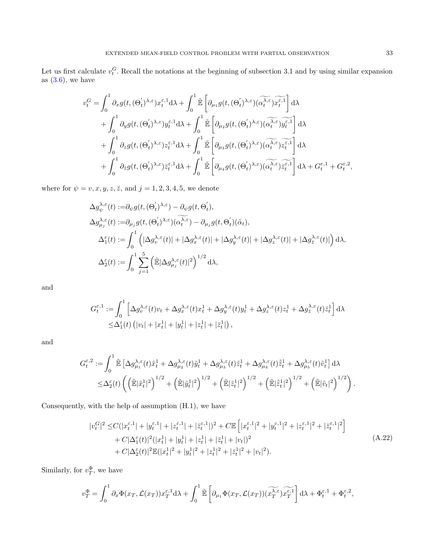Let us first calculate  $v_t^G$ . Recall the notations at the beginning of subsection 3.1 and by using similar expansion as  $(3.6)$ , we have

$$
v_t^G = \int_0^1 \partial_x g(t, (\Theta'_t)^{\lambda, \varepsilon}) x_t^{\varepsilon, 1} d\lambda + \int_0^1 \tilde{\mathbb{E}} \left[ \partial_{\mu_1} g(t, (\Theta'_t)^{\lambda, \varepsilon}) (\widetilde{\alpha_t^{\lambda, \varepsilon}}) x_t^{\varepsilon, 1} \right] d\lambda + \int_0^1 \partial_y g(t, (\Theta'_t)^{\lambda, \varepsilon}) y_t^{\varepsilon, 1} d\lambda + \int_0^1 \tilde{\mathbb{E}} \left[ \partial_{\mu_2} g(t, (\Theta'_t)^{\lambda, \varepsilon}) (\widetilde{\alpha_t^{\lambda, \varepsilon}}) y_t^{\varepsilon, 1} \right] d\lambda + \int_0^1 \partial_z g(t, (\Theta'_t)^{\lambda, \varepsilon}) z_t^{\varepsilon, 1} d\lambda + \int_0^1 \tilde{\mathbb{E}} \left[ \partial_{\mu_3} g(t, (\Theta'_t)^{\lambda, \varepsilon}) (\widetilde{\alpha_t^{\lambda, \varepsilon}}) z_t^{\varepsilon, 1} \right] d\lambda + \int_0^1 \partial_{\bar{z}} g(t, (\Theta'_t)^{\lambda, \varepsilon}) \bar{z}_t^{\varepsilon, 1} d\lambda + \int_0^1 \tilde{\mathbb{E}} \left[ \partial_{\mu_4} g(t, (\Theta'_t)^{\lambda, \varepsilon}) (\widetilde{\alpha_t^{\lambda, \varepsilon}}) \widetilde{z}_t^{\varepsilon, 1} \right] d\lambda + G_t^{\varepsilon, 1} + G_t^{\varepsilon, 2},
$$

where for  $\psi = v, x, y, z, \overline{z}$ , and  $j = 1, 2, 3, 4, 5$ , we denote

$$
\begin{split} & \Delta g^{\lambda,\varepsilon}_{\psi}(t):=\!\partial_{\psi}g(t,(\Theta^{'}_{t})^{\lambda,\varepsilon})-\partial_{\psi}g(t,\Theta^{'}_{t}),\\ & \Delta g^{\lambda,\varepsilon}_{\mu_{j}}(t):=\!\partial_{\mu_{j}}g(t,(\Theta^{'}_{t})^{\lambda,\varepsilon})(\widetilde{\alpha^{A,\varepsilon}_{t}})-\partial_{\mu_{j}}g(t,\Theta^{'}_{t})(\widetilde{\alpha}_{t}),\\ & \Delta_{1}^{\varepsilon}(t):=\int_{0}^{1}\left(|\Delta g^{\lambda,\varepsilon}_{v}(t)|+|\Delta g^{\lambda,\varepsilon}_{x}(t)|+|\Delta g^{\lambda,\varepsilon}_{y}(t)|+|\Delta g^{\lambda,\varepsilon}_{z}(t)|+|\Delta g^{\lambda,\varepsilon}_{z}(t)|\right)\mathrm{d}\lambda,\\ & \Delta_{2}^{\varepsilon}(t):=\int_{0}^{1}\sum_{j=1}^{5}\left(\tilde{\mathbb{E}}|\Delta g^{\lambda,\varepsilon}_{\mu_{j}}(t)|^{2}\right)^{1/2}\mathrm{d}\lambda, \end{split}
$$

and

$$
G_t^{\varepsilon,1} := \int_0^1 \left[ \Delta g_v^{\lambda,\varepsilon}(t)v_t + \Delta g_x^{\lambda,\varepsilon}(t)x_t^1 + \Delta g_y^{\lambda,\varepsilon}(t)y_t^1 + \Delta g_z^{\lambda,\varepsilon}(t)z_t^1 + \Delta g_z^{\lambda,\varepsilon}(t)\overline{z}_t^1 \right] d\lambda
$$
  
 
$$
\leq \Delta_1^{\varepsilon}(t) \left( |v_t| + |x_t^1| + |y_t^1| + |z_t^1| + |\overline{z}_t^1| \right),
$$

and

$$
G_t^{\varepsilon,2} := \int_0^1 \tilde{\mathbb{E}} \left[ \Delta g_{\mu_1}^{\lambda,\varepsilon}(t)\tilde{x}_t^1 + \Delta g_{\mu_2}^{\lambda,\varepsilon}(t)\tilde{y}_t^1 + \Delta g_{\mu_3}^{\lambda,\varepsilon}(t)\tilde{z}_t^1 + \Delta g_{\mu_4}^{\lambda,\varepsilon}(t)\tilde{z}_t^1 + \Delta g_{\mu_5}^{\lambda,\varepsilon}(t)\tilde{v}_t^1 \right] d\lambda
$$
  

$$
\leq \Delta_2^{\varepsilon}(t) \left( \left( \tilde{\mathbb{E}}|\tilde{x}_t^1|^2 \right)^{1/2} + \left( \tilde{\mathbb{E}}|\tilde{y}_t^1|^2 \right)^{1/2} + \left( \tilde{\mathbb{E}}|\tilde{z}_t^1|^2 \right)^{1/2} + \left( \tilde{\mathbb{E}}|\tilde{z}_t^1|^2 \right)^{1/2} + \left( \tilde{\mathbb{E}}|\tilde{v}_t|^2 \right)^{1/2} \right).
$$

Consequently, with the help of assumption (H.1), we have

<span id="page-32-0"></span>
$$
|v_t^G|^2 \leq C(|x_t^{\varepsilon,1}| + |y_t^{\varepsilon,1}| + |z_t^{\varepsilon,1}| + |\bar{z}_t^{\varepsilon,1}|)^2 + C \mathbb{E}\left[|x_t^{\varepsilon,1}|^2 + |y_t^{\varepsilon,1}|^2 + |z_t^{\varepsilon,1}|^2 + |\bar{z}_t^{\varepsilon,1}|^2 + |\bar{z}_t^{\varepsilon,1}|^2\right] + C|\Delta_1^{\varepsilon}(t)|^2 (|x_t^1| + |y_t^1| + |z_t^1| + |\bar{z}_t^1| + |v_t|)^2 + C|\Delta_2^{\varepsilon}(t)|^2 \mathbb{E}(|x_t^1|^2 + |y_t^1|^2 + |z_t^1|^2 + |\bar{z}_t^1|^2 + |v_t|^2).
$$
\n(A.22)

Similarly, for  $v_T^{\Phi}$ , we have

$$
v_T^{\Phi} = \int_0^1 \partial_x \Phi(x_T, \mathcal{L}(x_T)) x_T^{\varepsilon,1} d\lambda + \int_0^1 \tilde{\mathbb{E}} \left[ \partial_{\mu_1} \Phi(x_T, \mathcal{L}(x_T)) \widetilde{(x_T^{\lambda, \varepsilon})} x_T^{\varepsilon,1} \right] d\lambda + \Phi_t^{\varepsilon,1} + \Phi_t^{\varepsilon,2},
$$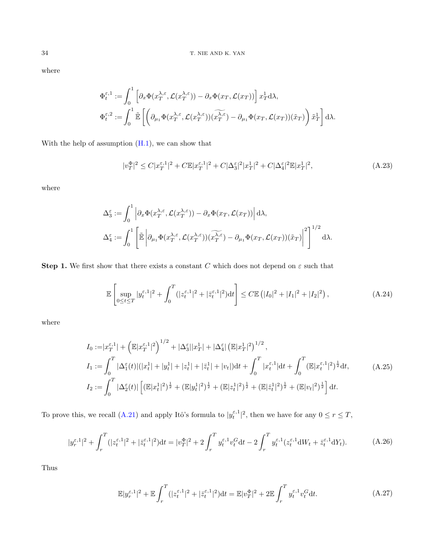where

$$
\Phi_t^{\varepsilon,1} := \int_0^1 \left[ \partial_x \Phi(x_T^{\lambda,\varepsilon}, \mathcal{L}(x_T^{\lambda,\varepsilon})) - \partial_x \Phi(x_T, \mathcal{L}(x_T)) \right] x_T^1 d\lambda,
$$
  

$$
\Phi_t^{\varepsilon,2} := \int_0^1 \tilde{\mathbb{E}} \left[ \left( \partial_{\mu_1} \Phi(x_T^{\lambda,\varepsilon}, \mathcal{L}(x_T^{\lambda,\varepsilon})) (\widetilde{x_T^{\lambda,\varepsilon}}) - \partial_{\mu_1} \Phi(x_T, \mathcal{L}(x_T)) (\tilde{x}_T) \right) \tilde{x}_T^1 \right] d\lambda.
$$

With the help of assumption  $(H.1)$ , we can show that

<span id="page-33-1"></span>
$$
|v_T^{\Phi}|^2 \le C|x_T^{\varepsilon,1}|^2 + C\mathbb{E}|x_T^{\varepsilon,1}|^2 + C|\Delta_3^{\varepsilon}|^2|x_T^1|^2 + C|\Delta_4^{\varepsilon}|^2\mathbb{E}|x_T^1|^2,\tag{A.23}
$$

where

$$
\Delta_3^{\varepsilon} := \int_0^1 \left| \partial_x \Phi(x_T^{\lambda,\varepsilon}, \mathcal{L}(x_T^{\lambda,\varepsilon})) - \partial_x \Phi(x_T, \mathcal{L}(x_T)) \right| d\lambda,
$$
  

$$
\Delta_4^{\varepsilon} := \int_0^1 \left[ \tilde{\mathbb{E}} \left| \partial_{\mu_1} \Phi(x_T^{\lambda,\varepsilon}, \mathcal{L}(x_T^{\lambda,\varepsilon})) (\widetilde{x_T}^{\lambda,\varepsilon}) - \partial_{\mu_1} \Phi(x_T, \mathcal{L}(x_T)) (\tilde{x}_T) \right|^2 \right]^{1/2} d\lambda.
$$

**Step 1.** We first show that there exists a constant C which does not depend on  $\varepsilon$  such that

<span id="page-33-3"></span>
$$
\mathbb{E}\left[\sup_{0\leq t\leq T}|y_t^{\varepsilon,1}|^2+\int_0^T(|z_t^{\varepsilon,1}|^2+|\bar{z}_t^{\varepsilon,1}|^2)\mathrm{d}t\right]\leq C\mathbb{E}\left(|I_0|^2+|I_1|^2+|I_2|^2\right),\tag{A.24}
$$

where

<span id="page-33-4"></span>
$$
I_0 := |x_T^{\varepsilon,1}| + \left(\mathbb{E}|x_T^{\varepsilon,1}|^2\right)^{1/2} + |\Delta_3^{\varepsilon}||x_T^1| + |\Delta_4^{\varepsilon}|\left(\mathbb{E}|x_T^1|^2\right)^{1/2},
$$
  
\n
$$
I_1 := \int_0^T |\Delta_1^{\varepsilon}(t)| (|x_t^1| + |y_t^1| + |z_t^1| + |\bar{z}_t^1| + |v_t|) dt + \int_0^T |x_t^{\varepsilon,1}| dt + \int_0^T (\mathbb{E}|x_t^{\varepsilon,1}|^2)^{\frac{1}{2}} dt,
$$
  
\n
$$
I_2 := \int_0^T |\Delta_2^{\varepsilon}(t)| \left[ (\mathbb{E}|x_t^1|^2)^{\frac{1}{2}} + (\mathbb{E}|y_t^1|^2)^{\frac{1}{2}} + (\mathbb{E}|z_t^1|^2)^{\frac{1}{2}} + (\mathbb{E}|\bar{z}_t^1|^2)^{\frac{1}{2}} + (\mathbb{E}|v_t|^2)^{\frac{1}{2}} \right] dt.
$$
\n(A.25)

To prove this, we recall [\(A.21\)](#page-31-1) and apply Itô's formula to  $|y_t^{\varepsilon,1}|^2$ , then we have for any  $0 \le r \le T$ ,

<span id="page-33-0"></span>
$$
|y_r^{\varepsilon,1}|^2 + \int_r^T (|z_t^{\varepsilon,1}|^2 + |\bar{z}_t^{\varepsilon,1}|^2)dt = |v_T^{\Phi}|^2 + 2\int_r^T y_t^{\varepsilon,1}v_t^G dt - 2\int_r^T y_t^{\varepsilon,1}(z_t^{\varepsilon,1}dW_t + \bar{z}_t^{\varepsilon,1}dY_t).
$$
 (A.26)

Thus

<span id="page-33-2"></span>
$$
\mathbb{E}|y_r^{\varepsilon,1}|^2 + \mathbb{E}\int_r^T (|z_t^{\varepsilon,1}|^2 + |\bar{z}_t^{\varepsilon,1}|^2)dt = \mathbb{E}|v_T^{\Phi}|^2 + 2\mathbb{E}\int_r^T y_t^{\varepsilon,1}v_t^G dt.
$$
 (A.27)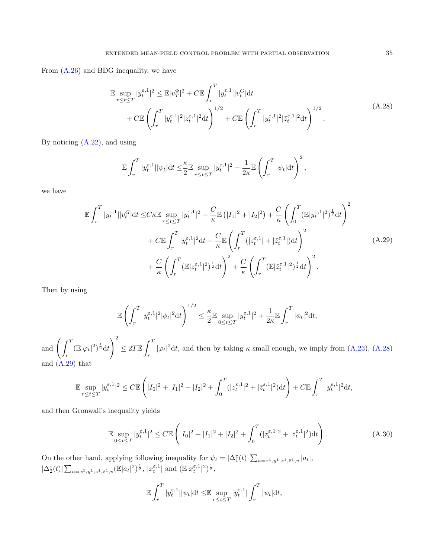From [\(A.26\)](#page-33-0) and BDG inequality, we have

<span id="page-34-0"></span>
$$
\mathbb{E} \sup_{r \le t \le T} |y_t^{\varepsilon,1}|^2 \le \mathbb{E}|v_T^{\Phi}|^2 + C \mathbb{E} \int_r^T |y_t^{\varepsilon,1}| |v_t^G| \mathrm{d}t \n+ C \mathbb{E} \left( \int_r^T |y_t^{\varepsilon,1}|^2 |z_t^{\varepsilon,1}|^2 \mathrm{d}t \right)^{1/2} + C \mathbb{E} \left( \int_r^T |y_t^{\varepsilon,1}|^2 |z_t^{\varepsilon,1}|^2 \mathrm{d}t \right)^{1/2} .
$$
\n(A.28)

By noticing [\(A.22\)](#page-32-0), and using

$$
\mathbb{E}\int_r^T |y_t^{\varepsilon,1}||\psi_t|dt \leq \frac{\kappa}{2} \mathbb{E}\sup_{r\leq t\leq T}|y_t^{\varepsilon,1}|^2 + \frac{1}{2\kappa}\mathbb{E}\left(\int_r^T |\psi_t|dt\right)^2,
$$

we have

<span id="page-34-1"></span>
$$
\mathbb{E} \int_{r}^{T} |y_{t}^{\varepsilon,1}||v_{t}^{G}|dt \leq C\kappa \mathbb{E} \sup_{r\leq t\leq T} |y_{t}^{\varepsilon,1}|^{2} + \frac{C}{\kappa} \mathbb{E} (|I_{1}|^{2} + |I_{2}|^{2}) + \frac{C}{\kappa} \left( \int_{0}^{T} (\mathbb{E}|y_{t}^{\varepsilon,1}|^{2})^{\frac{1}{2}} dt \right)^{2} \n+ C\mathbb{E} \int_{r}^{T} |y_{t}^{\varepsilon,1}|^{2} dt + \frac{C}{\kappa} \mathbb{E} \left( \int_{r}^{T} (|z_{t}^{\varepsilon,1}| + |\bar{z}_{t}^{\varepsilon,1}|) dt \right)^{2} \n+ \frac{C}{\kappa} \left( \int_{r}^{T} (\mathbb{E}|z_{t}^{\varepsilon,1}|^{2})^{\frac{1}{2}} dt \right)^{2} + \frac{C}{\kappa} \left( \int_{r}^{T} (\mathbb{E}|\bar{z}_{t}^{\varepsilon,1}|^{2})^{\frac{1}{2}} dt \right)^{2}.
$$
\n(A.29)

Then by using

$$
\mathbb{E}\left(\int_r^T |y_t^{\varepsilon,1}|^2 |\phi_t|^2 \mathrm{d}t\right)^{1/2} \le \frac{\kappa}{2} \mathbb{E}\sup_{0\le t\le T} |y_t^{\varepsilon,1}|^2 + \frac{1}{2\kappa} \mathbb{E}\int_r^T |\phi_t|^2 \mathrm{d}t,
$$

and  $\int$   $\int$   $T$  $\int_{r}^{\infty} (\mathbb{E}|\varphi_t|^2)^{\frac{1}{2}} dt$  $\setminus^2$  $\leq 2T \mathbb{E} \int_0^T$  $|\varphi_t|^2 dt$ , and then by taking  $\kappa$  small enough, we imply from [\(A.23\)](#page-33-1), [\(A.28\)](#page-34-0) and  $(\hat{A}.29)$  that

$$
\mathbb{E} \sup_{r \le t \le T} |y_t^{\varepsilon,1}|^2 \le C \mathbb{E} \left( |I_0|^2 + |I_1|^2 + |I_2|^2 + \int_0^T (|z_t^{\varepsilon,1}|^2 + |\bar{z}_t^{\varepsilon,1}|^2) dt \right) + C \mathbb{E} \int_r^T |y_t^{\varepsilon,1}|^2 dt,
$$

and then Gronwall's inequality yields

<span id="page-34-2"></span>
$$
\mathbb{E} \sup_{0 \le t \le T} |y_t^{\varepsilon,1}|^2 \le C \mathbb{E} \left( |I_0|^2 + |I_1|^2 + |I_2|^2 + \int_0^T (|z_t^{\varepsilon,1}|^2 + |\bar{z}_t^{\varepsilon,1}|^2) dt \right). \tag{A.30}
$$

On the other hand, applying following inequality for  $\psi_t = |\Delta_1^{\varepsilon}(t)| \sum_{a=x^1,y^1,z^1,\bar{z}^1,v} |a_t|,$  $|\Delta^{\varepsilon}_{2}(t)| \sum_{a=x^{1},y^{1},z^{1},\bar{z}^{1},v} (\mathbb{E}|a_{t}|^{2})^{\frac{1}{2}}, |\hat{x}_{t}^{\varepsilon,1}| \text{ and } (\mathbb{E}|x_{t}^{\varepsilon,1}|^{2})^{\frac{1}{2}},$ 

$$
\mathbb{E}\int_r^T |y_t^{\varepsilon,1}||\psi_t|dt \leq \mathbb{E}\sup_{r\leq t\leq T}|y_t^{\varepsilon,1}|\int_r^T |\psi_t|dt,
$$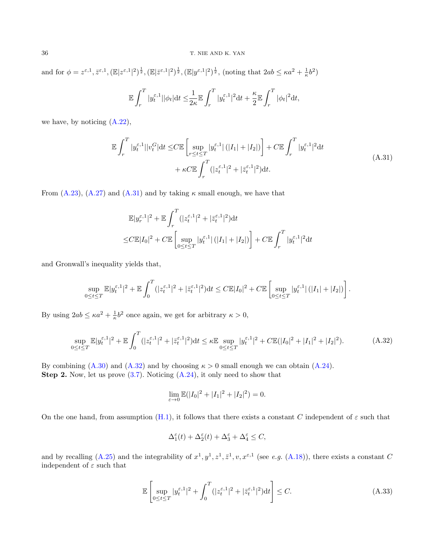and for  $\phi = z^{\varepsilon,1}, \overline{z}^{\varepsilon,1}, (\mathbb{E}|z^{\varepsilon,1}|^2)^{\frac{1}{2}}, (\mathbb{E}|z^{\varepsilon,1}|^2)^{\frac{1}{2}}, (\mathbb{E}|y^{\varepsilon,1}|^2)^{\frac{1}{2}}, \text{ (noting that } 2ab \leq \kappa a^2 + \frac{1}{\kappa}b^2)$ 

$$
\mathbb{E}\int_r^T |y_t^{\varepsilon,1}||\phi_t| \mathrm{d} t \leq \frac{1}{2\kappa}\mathbb{E}\int_r^T |y_t^{\varepsilon,1}|^2 \mathrm{d} t + \frac{\kappa}{2}\mathbb{E}\int_r^T |\phi_t|^2 \mathrm{d} t,
$$

we have, by noticing [\(A.22\)](#page-32-0),

<span id="page-35-0"></span>
$$
\mathbb{E} \int_{r}^{T} |y_t^{\varepsilon,1}| |v_t^G| \mathrm{d}t \le C \mathbb{E} \left[ \sup_{r \le t \le T} |y_t^{\varepsilon,1}| (|I_1| + |I_2|) \right] + C \mathbb{E} \int_{r}^{T} |y_t^{\varepsilon,1}|^2 \mathrm{d}t + \kappa C \mathbb{E} \int_{r}^{T} (|z_t^{\varepsilon,1}|^2 + |\bar{z}_t^{\varepsilon,1}|^2) \mathrm{d}t.
$$
\n(A.31)

From [\(A.23\)](#page-33-1), [\(A.27\)](#page-33-2) and [\(A.31\)](#page-35-0) and by taking  $\kappa$  small enough, we have that

$$
\mathbb{E}|y_r^{\varepsilon,1}|^2 + \mathbb{E}\int_r^T (|z_t^{\varepsilon,1}|^2 + |\bar{z}_t^{\varepsilon,1}|^2)dt
$$
  

$$
\leq C\mathbb{E}|I_0|^2 + C\mathbb{E}\left[\sup_{0\leq t\leq T}|y_t^{\varepsilon,1}|(|I_1|+|I_2|)\right] + C\mathbb{E}\int_r^T |y_t^{\varepsilon,1}|^2dt
$$

and Gronwall's inequality yields that,

$$
\sup_{0\leq t\leq T}\mathbb{E}|y_t^{\varepsilon,1}|^2+\mathbb{E}\int_0^T(|z_t^{\varepsilon,1}|^2+|\bar{z}_t^{\varepsilon,1}|^2)\mathrm{d}t\leq C\mathbb{E}|I_0|^2+C\mathbb{E}\left[\sup_{0\leq t\leq T}|y_t^{\varepsilon,1}|\left(|I_1|+|I_2|\right)\right].
$$

By using  $2ab \leq \kappa a^2 + \frac{1}{\kappa} b^2$  once again, we get for arbitrary  $\kappa > 0$ ,

<span id="page-35-1"></span>
$$
\sup_{0 \le t \le T} \mathbb{E} |y_t^{\varepsilon,1}|^2 + \mathbb{E} \int_0^T (|z_t^{\varepsilon,1}|^2 + |\bar{z}_t^{\varepsilon,1}|^2) dt \le \kappa \mathbb{E} \sup_{0 \le t \le T} |y_t^{\varepsilon,1}|^2 + C \mathbb{E}(|I_0|^2 + |I_1|^2 + |I_2|^2). \tag{A.32}
$$

By combining  $(A.30)$  and  $(A.32)$  and by choosing  $\kappa > 0$  small enough we can obtain  $(A.24)$ . Step 2. Now, let us prove [\(3.7\)](#page-12-4). Noticing [\(A.24\)](#page-33-3), it only need to show that

$$
\lim_{\varepsilon \to 0} \mathbb{E}(|I_0|^2 + |I_1|^2 + |I_2|^2) = 0.
$$

On the one hand, from assumption [\(H.1\)](#page-6-0), it follows that there exists a constant C independent of  $\varepsilon$  such that

$$
\Delta_1^\varepsilon(t)+\Delta_2^\varepsilon(t)+\Delta_3^\varepsilon+\Delta_4^\varepsilon\leq C,
$$

and by recalling [\(A.25\)](#page-33-4) and the integrability of  $x^1, y^1, z^1, \bar{z}^1, v, x^{\varepsilon,1}$  (see e.g. [\(A.18\)](#page-30-1)), there exists a constant C independent of  $\varepsilon$  such that

$$
\mathbb{E}\left[\sup_{0\leq t\leq T}|y_t^{\varepsilon,1}|^2+\int_0^T(|z_t^{\varepsilon,1}|^2+|\bar{z}_t^{\varepsilon,1}|^2)\mathrm{d}t\right]\leq C.\tag{A.33}
$$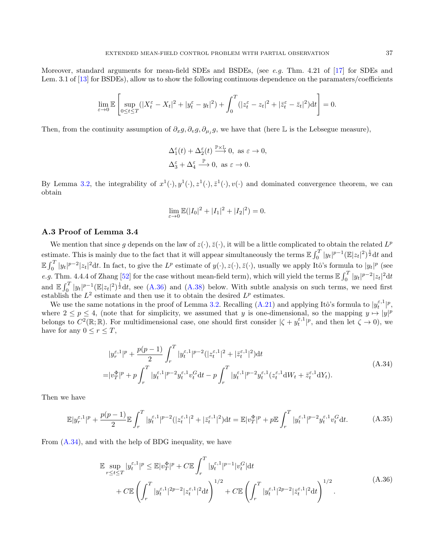Moreover, standard arguments for mean-field SDEs and BSDEs, (see e.g. Thm. 4.21 of [\[17\]](#page-41-8) for SDEs and Lem. 3.1 of [\[13\]](#page-41-23) for BSDEs), allow us to show the following continuous dependence on the paramaters/coefficients

$$
\lim_{\varepsilon \to 0} \mathbb{E} \left[ \sup_{0 \le t \le T} (|X_t^{\varepsilon} - X_t|^2 + |y_t^{\varepsilon} - y_t|^2) + \int_0^T (|z_t^{\varepsilon} - z_t|^2 + |\bar{z}_t^{\varepsilon} - \bar{z}_t|^2) dt \right] = 0.
$$

Then, from the continuity assumption of  $\partial_x g$ ,  $\partial_v g$ ,  $\partial_{\mu_j} g$ , we have that (here L is the Lebsegue measure),

$$
\begin{aligned} \Delta_1^\varepsilon(t)+\Delta_2^\varepsilon(t) &\stackrel{\mathbb{P}\times\mathbb{L}}{\longrightarrow} 0, \text{ as } \varepsilon\to 0,\\ \Delta_3^\varepsilon+\Delta_4^\varepsilon &\stackrel{\mathbb{P}}{\longrightarrow} 0, \text{ as } \varepsilon\to 0. \end{aligned}
$$

By Lemma [3.2,](#page-12-0) the integrability of  $x^1(\cdot), y^1(\cdot), z^1(\cdot), z^1(\cdot), v(\cdot)$  and dominated convergence theorem, we can obtain

$$
\lim_{\varepsilon \to 0} \mathbb{E}(|I_0|^2 + |I_1|^2 + |I_2|^2) = 0.
$$

## A.3 Proof of Lemma 3.4

We mention that since g depends on the law of  $z(\cdot), \bar{z}(\cdot)$ , it will be a little complicated to obtain the related  $L^p$ estimate. This is mainly due to the fact that it will appear simultaneously the terms  $\mathbb{E} \int_0^T |y_t|^{p-1} (\mathbb{E} |z_t|^2)^{\frac{1}{2}} dt$  and E  $\int_0^T |y_t|^{p-2} |z_t|^2 dt$ . In fact, to give the  $L^p$  estimate of  $y(\cdot), z(\cdot), \overline{z}(\cdot)$ , usually we apply Itô's formula to  $|y_t|^p$  (see e.g. Thm. 4.4.4 of Zhang [\[52\]](#page-42-18) for the case without mean-field term), which will yield the terms  $\mathbb{E} \int_0^T |y_t|^{p-2} |z_t|^2 dt$ and  $\mathbb{E}\int_0^T |y_t|^{p-1}(\mathbb{E}|z_t|^2)^{\frac{1}{2}}dt$ , see [\(A.36\)](#page-36-0) and [\(A.38\)](#page-37-0) below. With subtle analysis on such terms, we need first establish the  $L^2$  estimate and then use it to obtain the desired  $L^p$  estimates.

We use the same notations in the proof of Lemma [3.2.](#page-12-0) Recalling [\(A.21\)](#page-31-1) and applying Itô's formula to  $|y_t^{\varepsilon,1}|^p$ , where  $2 \le p \le 4$ , (note that for simplicity, we assumed that y is one-dimensional, so the mapping  $y \mapsto |y|^p$ belongs to  $C^2(\mathbb{R}; \mathbb{R})$ . For multidimensional case, one should first consider  $|\zeta + y_t^{\varepsilon,1}|^p$ , and then let  $\zeta \to 0$ ), we have for any  $0 \le r \le T$ ,

<span id="page-36-1"></span>
$$
|y_r^{\varepsilon,1}|^p + \frac{p(p-1)}{2} \int_r^T |y_t^{\varepsilon,1}|^{p-2} (|z_t^{\varepsilon,1}|^2 + |\bar{z}_t^{\varepsilon,1}|^2) dt
$$
  

$$
= |v_T^{\Phi}|^p + p \int_r^T |y_t^{\varepsilon,1}|^{p-2} y_t^{\varepsilon,1} v_t^G dt - p \int_r^T |y_t^{\varepsilon,1}|^{p-2} y_t^{\varepsilon,1} (z_t^{\varepsilon,1} dW_t + \bar{z}_t^{\varepsilon,1} dY_t).
$$
 (A.34)

Then we have

<span id="page-36-2"></span>
$$
\mathbb{E}|y_r^{\varepsilon,1}|^p + \frac{p(p-1)}{2} \mathbb{E}\int_r^T |y_t^{\varepsilon,1}|^{p-2} (|z_t^{\varepsilon,1}|^2 + |\bar{z}_t^{\varepsilon,1}|^2) dt = \mathbb{E}|v_T^{\Phi}|^p + p \mathbb{E}\int_r^T |y_t^{\varepsilon,1}|^{p-2} y_t^{\varepsilon,1} v_t^G dt.
$$
 (A.35)

From [\(A.34\)](#page-36-1), and with the help of BDG inequality, we have

<span id="page-36-0"></span>
$$
\mathbb{E} \sup_{r \le t \le T} |y_t^{\varepsilon,1}|^p \le \mathbb{E} |v_T^{\Phi}|^p + C \mathbb{E} \int_r^T |y_t^{\varepsilon,1}|^{p-1} |v_t^G| \mathrm{d}t \n+ C \mathbb{E} \left( \int_r^T |y_t^{\varepsilon,1}|^{2p-2} |z_t^{\varepsilon,1}|^2 \mathrm{d}t \right)^{1/2} + C \mathbb{E} \left( \int_r^T |y_t^{\varepsilon,1}|^{2p-2} |z_t^{\varepsilon,1}|^2 \mathrm{d}t \right)^{1/2} .
$$
\n(A.36)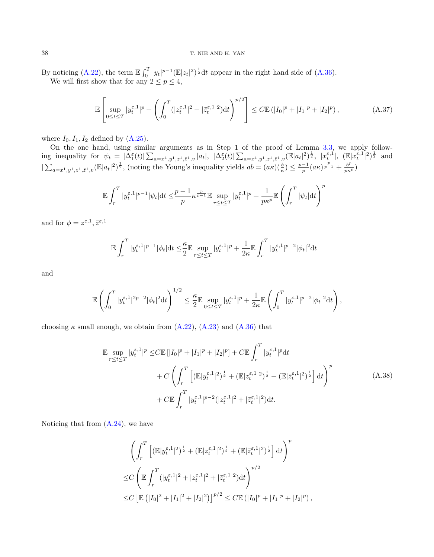By noticing [\(A.22\)](#page-32-0), the term  $\mathbb{E} \int_0^T |y_t|^{p-1} (\mathbb{E}|z_t|^2)^{\frac{1}{2}} dt$  appear in the right hand side of [\(A.36\)](#page-36-0). We will first show that for any  $2 \le p \le 4$ ,

<span id="page-37-1"></span>
$$
\mathbb{E}\left[\sup_{0\leq t\leq T}|y_t^{\varepsilon,1}|^p+\left(\int_0^T(|z_t^{\varepsilon,1}|^2+|z_t^{\varepsilon,1}|^2)\mathrm{d}t\right)^{p/2}\right]\leq C\mathbb{E}\left(|I_0|^p+|I_1|^p+|I_2|^p\right),\tag{A.37}
$$

where  $I_0$ ,  $I_1$ ,  $I_2$  defined by  $(A.25)$ .

On the one hand, using similar arguments as in Step 1 of the proof of Lemma [3.3,](#page-12-5) we apply following inequality for  $\psi_t = |\Delta_1^{\epsilon}(t)| \sum_{a=x^1,y^1,z^1,\bar{z}^1,v} |a_t|, \ |\Delta_2^{\epsilon}(t)| \sum_{a=x^1,y^1,z^1,\bar{z}^1,v} (\mathbb{E}|a_t|^2)^{\frac{1}{2}}, \ |x_t^{\epsilon,1}|, \ (\mathbb{E}|x_t^{\bar{\epsilon},1}|^2)^{\frac{1}{2}}$  and  $|\sum_{a=x^1,y^1,z^1,\bar{z}^1,v}(\mathbb{E}|a_t|^2)^{\frac{1}{2}}$ , (noting the Young's inequality yields  $ab = (a\kappa)(\frac{b}{\kappa}) \leq \frac{p-1}{p}(a\kappa)^{\frac{p}{p-1}} + \frac{b^p}{p\kappa^p}$ )

$$
\mathbb{E}\int_r^T |y_t^{\varepsilon,1}|^{p-1}|\psi_t| \mathrm{d} t \le \frac{p-1}{p} \kappa^{\frac{p}{p-1}} \mathbb{E}\sup_{r\le t\le T} |y_t^{\varepsilon,1}|^p + \frac{1}{p\kappa^p} \mathbb{E}\left(\int_r^T |\psi_t| \mathrm{d} t\right)^p
$$

and for  $\phi = z^{\varepsilon,1}, \bar{z}^{\varepsilon,1}$ 

$$
\mathbb{E}\int_r^T |y_t^{\varepsilon,1}|^{p-1}|\phi_t|\mathrm{d} t \leq \frac{\kappa}{2}\mathbb{E}\sup_{r\leq t\leq T}|y_t^{\varepsilon,1}|^p + \frac{1}{2\kappa}\mathbb{E}\int_r^T |y_t^{\varepsilon,1}|^{p-2}|\phi_t|^2\mathrm{d} t
$$

and

$$
\mathbb{E}\left(\int_0^T |y_t^{\varepsilon,1}|^{2p-2} |\phi_t|^2 \mathrm{d}t\right)^{1/2} \leq \frac{\kappa}{2} \mathbb{E}\sup_{0\leq t\leq T} |y_t^{\varepsilon,1}|^p + \frac{1}{2\kappa}\mathbb{E}\left(\int_0^T |y_t^{\varepsilon,1}|^{p-2} |\phi_t|^2 \mathrm{d}t\right),
$$

choosing  $\kappa$  small enough, we obtain from  $(A.22)$ ,  $(A.23)$  and  $(A.36)$  that

<span id="page-37-0"></span>
$$
\mathbb{E} \sup_{r \le t \le T} |y_t^{\varepsilon,1}|^p \le C \mathbb{E} [|I_0|^p + |I_1|^p + |I_2|^p] + C \mathbb{E} \int_r^T |y_t^{\varepsilon,1}|^p dt + C \left( \int_r^T \left[ (\mathbb{E} |y_t^{\varepsilon,1}|^2)^{\frac{1}{2}} + (\mathbb{E} |z_t^{\varepsilon,1}|^2)^{\frac{1}{2}} + (\mathbb{E} |z_t^{\varepsilon,1}|^2)^{\frac{1}{2}} \right] dt \right)^p + C \mathbb{E} \int_r^T |y_t^{\varepsilon,1}|^{p-2} (|z_t^{\varepsilon,1}|^2 + |\bar{z}_t^{\varepsilon,1}|^2) dt.
$$
 (A.38)

Noticing that from  $(A.24)$ , we have

$$
\left(\int_r^T \left[ (\mathbb{E}|y_t^{\varepsilon,1}|^2)^{\frac{1}{2}} + (\mathbb{E}|z_t^{\varepsilon,1}|^2)^{\frac{1}{2}} + (\mathbb{E}|z_t^{\varepsilon,1}|^2)^{\frac{1}{2}} \right] dt \right)^p
$$
  
\n
$$
\leq C \left( \mathbb{E} \int_r^T (|y_t^{\varepsilon,1}|^2 + |z_t^{\varepsilon,1}|^2 + |\overline{z}_t^{\varepsilon,1}|^2) dt \right)^{p/2}
$$
  
\n
$$
\leq C \left[ \mathbb{E} \left( |I_0|^2 + |I_1|^2 + |I_2|^2 \right) \right]^{p/2} \leq C \mathbb{E} \left( |I_0|^p + |I_1|^p + |I_2|^p \right),
$$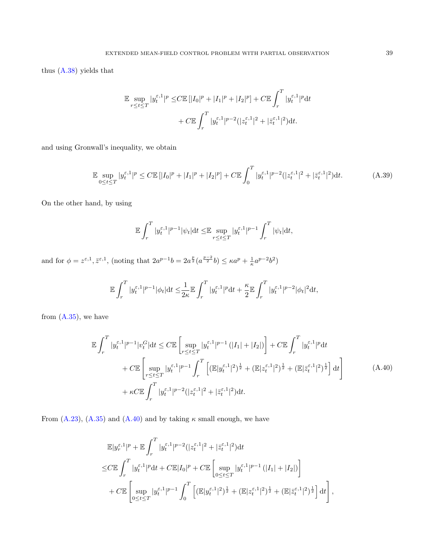thus [\(A.38\)](#page-37-0) yields that

$$
\mathbb{E} \sup_{r \le t \le T} |y_t^{\varepsilon, 1}|^p \le C \mathbb{E} [|I_0|^p + |I_1|^p + |I_2|^p] + C \mathbb{E} \int_r^T |y_t^{\varepsilon, 1}|^p dt + C \mathbb{E} \int_r^T |y_t^{\varepsilon, 1}|^{p-2} (|z_t^{\varepsilon, 1}|^2 + |\bar{z}_t^{\varepsilon, 1}|^2) dt.
$$

and using Gronwall's inequality, we obtain

<span id="page-38-1"></span>
$$
\mathbb{E} \sup_{0 \le t \le T} |y_t^{\varepsilon,1}|^p \le C \mathbb{E} \left[ |I_0|^p + |I_1|^p + |I_2|^p \right] + C \mathbb{E} \int_0^T |y_t^{\varepsilon,1}|^{p-2} (|z_t^{\varepsilon,1}|^2 + |\bar{z}_t^{\varepsilon,1}|^2) dt. \tag{A.39}
$$

On the other hand, by using

$$
\mathbb{E}\int_r^T |y_t^{\varepsilon,1}|^{p-1} |\psi_t| \mathrm{d}t \leq \mathbb{E}\sup_{r\leq t\leq T} |y_t^{\varepsilon,1}|^{p-1} \int_r^T |\psi_t| \mathrm{d}t,
$$

and for  $\phi = z^{\varepsilon,1}, \bar{z}^{\varepsilon,1},$  (noting that  $2a^{p-1}b = 2a^{\frac{p}{2}}(a^{\frac{p-2}{2}}b) \leq \kappa a^p + \frac{1}{\kappa}a^{p-2}b^2$ )

$$
\mathbb{E}\int_r^T |y^{\varepsilon,1}_t|^{p-1}|\phi_t| \mathrm{d} t \leq \hspace{-0.1cm}\frac{1}{2\kappa}\mathbb{E}\int_r^T |y^{\varepsilon,1}_t|^p \mathrm{d} t + \frac{\kappa}{2}\mathbb{E}\int_r^T |y^{\varepsilon,1}_t|^{p-2}|\phi_t|^2 \mathrm{d} t,
$$

from  $(A.35)$ , we have

<span id="page-38-0"></span>
$$
\mathbb{E} \int_{r}^{T} |y_{t}^{\varepsilon,1}|^{p-1} |v_{t}^{G}| dt \leq C \mathbb{E} \left[ \sup_{r \leq t \leq T} |y_{t}^{\varepsilon,1}|^{p-1} (|I_{1}| + |I_{2}|) \right] + C \mathbb{E} \int_{r}^{T} |y_{t}^{\varepsilon,1}|^{p} dt \n+ C \mathbb{E} \left[ \sup_{r \leq t \leq T} |y_{t}^{\varepsilon,1}|^{p-1} \int_{r}^{T} \left[ (\mathbb{E}|y_{t}^{\varepsilon,1}|^{2})^{\frac{1}{2}} + (\mathbb{E}|z_{t}^{\varepsilon,1}|^{2})^{\frac{1}{2}} + (\mathbb{E}|z_{t}^{\varepsilon,1}|^{2})^{\frac{1}{2}} \right] dt \right] \n+ \kappa C \mathbb{E} \int_{r}^{T} |y_{t}^{\varepsilon,1}|^{p-2} (|z_{t}^{\varepsilon,1}|^{2} + |z_{t}^{\varepsilon,1}|^{2}) dt.
$$
\n(A.40)

From [\(A.23\)](#page-33-1), [\(A.35\)](#page-36-2) and [\(A.40\)](#page-38-0) and by taking  $\kappa$  small enough, we have

$$
\mathbb{E}|y_r^{\varepsilon,1}|^p + \mathbb{E}\int_r^T |y_t^{\varepsilon,1}|^{p-2} (|z_t^{\varepsilon,1}|^2 + |\bar{z}_t^{\varepsilon,1}|^2) dt \n\leq C \mathbb{E}\int_r^T |y_t^{\varepsilon,1}|^p dt + C \mathbb{E}|I_0|^p + C \mathbb{E}\left[\sup_{0 \leq t \leq T} |y_t^{\varepsilon,1}|^{p-1} (|I_1| + |I_2|) \right] \n+ C \mathbb{E}\left[\sup_{0 \leq t \leq T} |y_t^{\varepsilon,1}|^{p-1} \int_0^T \left[ (\mathbb{E}|y_t^{\varepsilon,1}|^2)^{\frac{1}{2}} + (\mathbb{E}|z_t^{\varepsilon,1}|^2)^{\frac{1}{2}} + (\mathbb{E}|z_t^{\varepsilon,1}|^2)^{\frac{1}{2}} \right] dt \right],
$$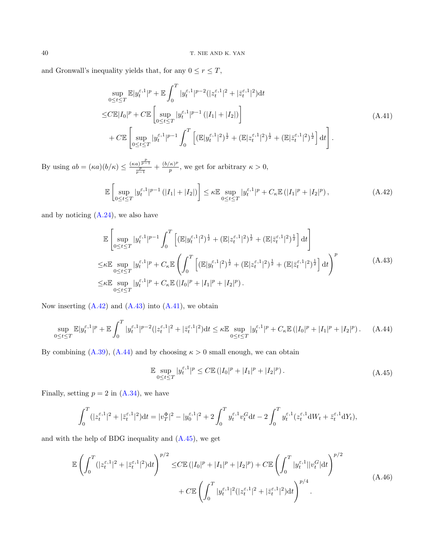and Gronwall's inequality yields that, for any  $0 \le r \le T$ ,

<span id="page-39-2"></span>
$$
\sup_{0 \le t \le T} \mathbb{E} |y_t^{\varepsilon,1}|^p + \mathbb{E} \int_0^T |y_t^{\varepsilon,1}|^{p-2} (|z_t^{\varepsilon,1}|^2 + |\bar{z}_t^{\varepsilon,1}|^2) dt
$$
\n
$$
\le C \mathbb{E} |I_0|^p + C \mathbb{E} \left[ \sup_{0 \le t \le T} |y_t^{\varepsilon,1}|^{p-1} (|I_1| + |I_2|) \right]
$$
\n
$$
+ C \mathbb{E} \left[ \sup_{0 \le t \le T} |y_t^{\varepsilon,1}|^{p-1} \int_0^T \left[ (\mathbb{E} |y_t^{\varepsilon,1}|^2)^{\frac{1}{2}} + (\mathbb{E} |z_t^{\varepsilon,1}|^2)^{\frac{1}{2}} + (\mathbb{E} |z_t^{\varepsilon,1}|^2)^{\frac{1}{2}} \right] dt \right].
$$
\n(A.41)

By using  $ab = (\kappa a)(b/\kappa) \leq \frac{(\kappa a)^{\frac{p}{p-1}}}{\frac{p}{p-1}} + \frac{(b/\kappa)^p}{p}$  $\frac{\kappa}{p}$ , we get for arbitrary  $\kappa > 0$ ,

<span id="page-39-0"></span>
$$
\mathbb{E}\left[\sup_{0\leq t\leq T}|y_t^{\varepsilon,1}|^{p-1}(|I_1|+|I_2|)\right]\leq \kappa \mathbb{E}\sup_{0\leq t\leq T}|y_t^{\varepsilon,1}|^p+C_\kappa \mathbb{E}\left(|I_1|^p+|I_2|^p\right),\tag{A.42}
$$

and by noticing  $(A.24)$ , we also have

<span id="page-39-1"></span>
$$
\mathbb{E}\left[\sup_{0\leq t\leq T}|y_t^{\varepsilon,1}|^{p-1}\int_0^T\left[ (\mathbb{E}|y_t^{\varepsilon,1}|^2)^{\frac{1}{2}} + (\mathbb{E}|z_t^{\varepsilon,1}|^2)^{\frac{1}{2}} + (\mathbb{E}|z_t^{\varepsilon,1}|^2)^{\frac{1}{2}} \right]dt\right]
$$
\n
$$
\leq \kappa \mathbb{E}\sup_{0\leq t\leq T}|y_t^{\varepsilon,1}|^p + C_\kappa \mathbb{E}\left(\int_0^T\left[ (\mathbb{E}|y_t^{\varepsilon,1}|^2)^{\frac{1}{2}} + (\mathbb{E}|z_t^{\varepsilon,1}|^2)^{\frac{1}{2}} + (\mathbb{E}|z_t^{\varepsilon,1}|^2)^{\frac{1}{2}} \right]dt\right)^p
$$
\n
$$
\leq \kappa \mathbb{E}\sup_{0\leq t\leq T}|y_t^{\varepsilon,1}|^p + C_\kappa \mathbb{E}\left(|I_0|^p + |I_1|^p + |I_2|^p\right).
$$
\n(A.43)

Now inserting  $(A.42)$  and  $(A.43)$  into  $(A.41)$ , we obtain

<span id="page-39-3"></span>
$$
\sup_{0 \le t \le T} \mathbb{E} |y_t^{\varepsilon,1}|^p + \mathbb{E} \int_0^T |y_t^{\varepsilon,1}|^{p-2} (|z_t^{\varepsilon,1}|^2 + |\bar{z}_t^{\varepsilon,1}|^2) dt \le \kappa \mathbb{E} \sup_{0 \le t \le T} |y_t^{\varepsilon,1}|^p + C_\kappa \mathbb{E} (|I_0|^p + |I_1|^p + |I_2|^p). \tag{A.44}
$$

By combining [\(A.39\)](#page-38-1), [\(A.44\)](#page-39-3) and by choosing  $\kappa > 0$  small enough, we can obtain

<span id="page-39-4"></span>
$$
\mathbb{E} \sup_{0 \le t \le T} |y_t^{\varepsilon,1}|^p \le C \mathbb{E} (|I_0|^p + |I_1|^p + |I_2|^p). \tag{A.45}
$$

Finally, setting  $p = 2$  in  $(A.34)$ , we have

$$
\int_0^T (|z_t^{\varepsilon,1}|^2 + |\bar{z}_t^{\varepsilon,1}|^2)dt = |v_T^{\Phi}|^2 - |y_0^{\varepsilon,1}|^2 + 2\int_0^T y_t^{\varepsilon,1}v_t^Gdt - 2\int_0^T y_t^{\varepsilon,1}(z_t^{\varepsilon,1}dW_t + \bar{z}_t^{\varepsilon,1}dY_t),
$$

and with the help of BDG inequality and  $(A.45)$ , we get

<span id="page-39-5"></span>
$$
\mathbb{E}\left(\int_{0}^{T}(|z_{t}^{\varepsilon,1}|^{2}+|\bar{z}_{t}^{\varepsilon,1}|^{2})dt\right)^{p/2} \leq C\mathbb{E}\left(|I_{0}|^{p}+|I_{1}|^{p}+|I_{2}|^{p}\right)+C\mathbb{E}\left(\int_{0}^{T}|y_{t}^{\varepsilon,1}||v_{t}^{G}|\mathrm{d}t\right)^{p/2} + C\mathbb{E}\left(\int_{0}^{T}|y_{t}^{\varepsilon,1}|^{2}(|z_{t}^{\varepsilon,1}|^{2}+|\bar{z}_{t}^{\varepsilon,1}|^{2})\mathrm{d}t\right)^{p/4}.
$$
\n(A.46)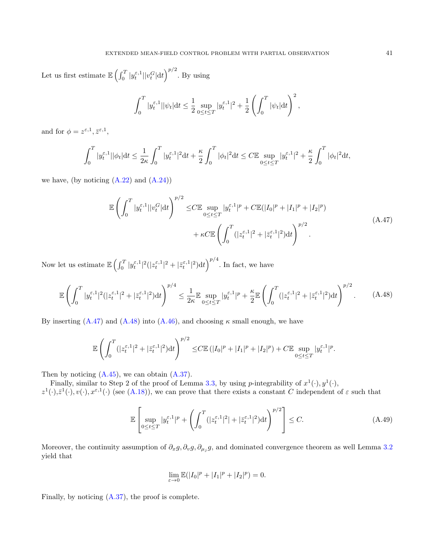Let us first estimate  $\mathbb{E}\left(\int_0^T |y_t^{\varepsilon,1}| |v_t^G| \mathrm{d}t\right)^{p/2}$ . By using

$$
\int_0^T |y_t^{\varepsilon,1}||\psi_t| \mathrm{d}t \le \frac{1}{2} \sup_{0 \le t \le T} |y_t^{\varepsilon,1}|^2 + \frac{1}{2} \left( \int_0^T |\psi_t| \mathrm{d}t \right)^2,
$$

and for  $\phi = z^{\varepsilon,1}, \bar{z}^{\varepsilon,1},$ 

$$
\int_0^T |y_t^{\varepsilon,1}||\phi_t| \mathrm{d} t \le \frac{1}{2\kappa} \int_0^T |y_t^{\varepsilon,1}|^2 \mathrm{d} t + \frac{\kappa}{2} \int_0^T |\phi_t|^2 \mathrm{d} t \le C \mathbb{E} \sup_{0 \le t \le T} |y_t^{\varepsilon,1}|^2 + \frac{\kappa}{2} \int_0^T |\phi_t|^2 \mathrm{d} t,
$$

we have, (by noticing  $(A.22)$  and  $(A.24)$ )

<span id="page-40-1"></span>
$$
\mathbb{E}\left(\int_{0}^{T} |y_{t}^{\varepsilon,1}||v_{t}^{G}|dt\right)^{p/2} \leq C \mathbb{E}\sup_{0\leq t\leq T} |y_{t}^{\varepsilon,1}|^{p} + C \mathbb{E}(|I_{0}|^{p} + |I_{1}|^{p} + |I_{2}|^{p}) + \kappa C \mathbb{E}\left(\int_{0}^{T} (|z_{t}^{\varepsilon,1}|^{2} + |\bar{z}_{t}^{\varepsilon,1}|^{2})dt\right)^{p/2}.
$$
\n(A.47)

Now let us estimate  $\mathbb{E}\left(\int_0^T |y_t^{\varepsilon,1}|^2(|z_t^{\varepsilon,1}|^2+|\bar{z}_t^{\varepsilon,1}|^2)dt\right)^{p/4}$ . In fact, we have

<span id="page-40-2"></span>
$$
\mathbb{E}\left(\int_0^T |y_t^{\varepsilon,1}|^2(|z_t^{\varepsilon,1}|^2+|\bar{z}_t^{\varepsilon,1}|^2)dt\right)^{p/4}\leq \frac{1}{2\kappa}\mathbb{E}\sup_{0\leq t\leq T}|y_t^{\varepsilon,1}|^p+\frac{\kappa}{2}\mathbb{E}\left(\int_0^T (|z_t^{\varepsilon,1}|^2+|\bar{z}_t^{\varepsilon,1}|^2)dt\right)^{p/2}.\tag{A.48}
$$

By inserting  $(A.47)$  and  $(A.48)$  into  $(A.46)$ , and choosing  $\kappa$  small enough, we have

$$
\mathbb{E}\left(\int_0^T (|z_t^{\varepsilon,1}|^2+|\bar{z}_t^{\varepsilon,1}|^2)dt\right)^{p/2} \leq C \mathbb{E}\left(|I_0|^p+|I_1|^p+|I_2|^p\right)+C \mathbb{E}\sup_{0\leq t\leq T}|y_t^{\varepsilon,1}|^p.
$$

Then by noticing  $(A.45)$ , we can obtain  $(A.37)$ .

Finally, similar to Step 2 of the proof of Lemma [3.3,](#page-12-5) by using p-integrability of  $x^1(\cdot), y^1(\cdot)$ ,  $z^1(\cdot),\bar{z}^1(\cdot),v(\cdot),x^{\varepsilon,1}(\cdot)$  (see [\(A.18\)](#page-30-1)), we can prove that there exists a constant C independent of  $\varepsilon$  such that

<span id="page-40-0"></span>
$$
\mathbb{E}\left[\sup_{0\leq t\leq T}|y_t^{\varepsilon,1}|^p+\left(\int_0^T(|z_t^{\varepsilon,1}|^2|+|\bar{z}_t^{\varepsilon,1}|^2)\mathrm{d}t\right)^{p/2}\right]\leq C.\tag{A.49}
$$

Moreover, the continuity assumption of  $\partial_x g$ ,  $\partial_v g$ ,  $\partial_{\mu_j} g$ , and dominated convergence theorem as well Lemma [3.2](#page-12-0) yield that

$$
\lim_{\varepsilon \to 0} \mathbb{E}(|I_0|^p + |I_1|^p + |I_2|^p) = 0.
$$

Finally, by noticing [\(A.37\)](#page-37-1), the proof is complete.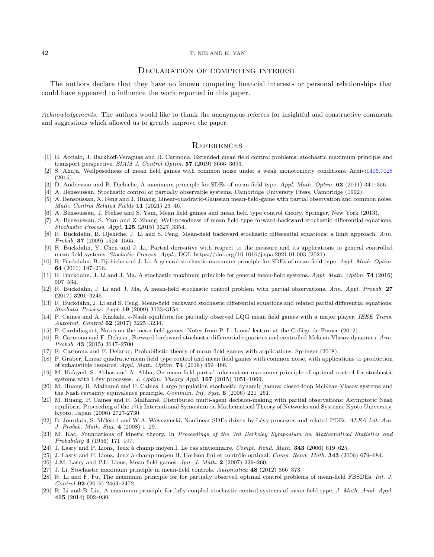#### 42 T. NIE AND K. YAN

## DECLARATION OF COMPETING INTEREST

The authors declare that they have no known competing financial interests or personal relationships that could have appeared to influence the work reported in this paper.

Acknowledgements. The authors would like to thank the anonymous referees for insightful and constructive comments and suggestions which allowed us to greatly improve the paper.

## **REFERENCES**

- <span id="page-41-18"></span>[1] B. Acciaio, J. Backhoff-Veraguas and R. Carmona, Extended mean field control problems: stochastic maximum principle and transport perspective. SIAM J. Control Optim. 57 (2019) 3666-3693.
- [2] S. Ahuja, Wellposedness of mean field games with common noise under a weak monotonicity conditions. Arxiv[:1406.7028](https://arxiv.org/abs/1406.7028) (2015).
- <span id="page-41-4"></span>[3] D. Andersson and B. Djehiche, A maximum principle for SDEs of mean-field type. Appl. Math. Optim. 63 (2011) 341–356.
- <span id="page-41-10"></span>[4] A. Bensoussan, Stochastic control of partially observable systems. Cambridge University Press, Cambridge (1992).
- [5] A. Bensoussan, X. Feng and J. Huang, Linear-quadratic-Gaussian mean-field-game with partial observation and common noise. Math. Control Related Fields 11 (2021) 23–46.
- <span id="page-41-9"></span>[6] A. Bensoussan, J. Frehse and S. Yam, Mean field games and mean field type control theory. Springer, New York (2013).
- <span id="page-41-21"></span>[7] A. Bensoussan, S. Yam and Z. Zhang, Well-posedness of mean field type forward-backward stochastic differential equations. Stochastic Process. Appl. 125 (2015) 3327–3354.
- <span id="page-41-22"></span>[8] R. Buckdahn, B. Djehiche, J. Li and S. Peng, Mean-field backward stochastic differential equations: a limit approach. Ann. Probab. 37 (2009) 1524–1565.
- <span id="page-41-16"></span>[9] R. Buckdahn, Y. Chen and J. Li, Partial derivative with respect to the measure and its applications to general controlled mean-field systems. Stochatic Process. Appl., DOI: https://doi.org/10.1016/j.spa.2021.01.003 (2021).
- <span id="page-41-5"></span>[10] R. Buckdahn, B. Djehiche and J. Li, A general stochastic maximum principle for SDEs of mean-field type. Appl. Math. Optim. 64 (2011) 197–216.
- [11] R. Buckdahn, J. Li and J. Ma, A stochastic maximum principle for general mean-field systems. Appl. Math. Optim. **74** (2016) 507–534.
- <span id="page-41-15"></span>[12] R. Buckdahn, J. Li and J. Ma, A mean-field stochastic control problem with partial observations. Ann. Appl. Probab. 27 (2017) 3201–3245.
- <span id="page-41-23"></span>[13] R. Buckdahn, J. Li and S. Peng, Mean-field backward stochastic differential equations and related partial differential equations. Stochatic Process. Appl. 19 (2009) 3133–3154.
- <span id="page-41-11"></span>[14] P. Caines and A. Kizikale,  $\epsilon$ -Nash equilibria for partially observed LQG mean field games with a major player. IEEE Trans. Automat. Control 62 (2017) 3225–3234.
- <span id="page-41-19"></span>[15] P. Cardaliaguet, Notes on the mean field games. Notes from P. L. Lions' lecture at the Collège de France (2012).
- <span id="page-41-6"></span>[16] R. Carmona and F. Delarue, Forward-backward stochastic differential equations and controlled Mckean-Vlasov dynamics. Ann. Probab. 43 (2015) 2647–2700.
- <span id="page-41-8"></span>[17] R. Carmona and F. Delarue, Probabilistic theory of mean-field games with applications. Springer (2018).
- <span id="page-41-17"></span>[18] P. Graber, Linear quadratic mean field type control and mean field games with common noise, with applications to production of exhaustible resource. Appl. Math. Optim. 74 (2016) 459–486.
- <span id="page-41-13"></span>[19] M. Hafayed, S. Abbas and A. Abba, On mean-field partial information maximum principle of optimal control for stochastic systems with Lévy processes. J. Optim. Theory Appl.  $167$  (2015) 1051–1069.
- <span id="page-41-3"></span>[20] M. Huang, R. Malhamé and P. Caines, Large population stochastic dynamic games: closed-loop McKean-Vlasov systems and the Nash certainty equivalence principle. Commun. Inf. Syst. 6 (2006) 221–251.
- <span id="page-41-12"></span>[21] M. Huang, P. Caines and R. Malhamé, Distributed multi-agent decision-making with partial observations: Asymptotic Nash equilibria. Proceeding of the 17th International Symosium on Mathematical Theory of Networks and Systems, Kyoto University, Kyoto, Japan (2006) 2727-2730.
- <span id="page-41-20"></span>[22] B. Jourdain, S. Méléard and W.A. Woyczynski, Nonlinear SDEs driven by Lévy processes and related PDEs. ALEA Lat. Am. J. Probab. Math. Stat. 4 (2008) 1–29.
- <span id="page-41-0"></span>[23] M. Kac, Foundations of kinetic theory. In Proceedings of the 3rd Berkeley Symposium on Mathematical Statistics and Probability 3 (1956) 171–197.
- <span id="page-41-1"></span>[24] J. Lasry and P. Lions, Jeux à champ moyen.I. Le cas stationnaire. Compt. Rend. Math. 343 (2006) 619-625.
- [25] J. Lasry and P. Lions, Jeux à champ moyen.II. Horizon fini et contrôle optimal. Comp. Rend. Math. 343 (2006) 679–684.
- <span id="page-41-2"></span>[26] J.M. Lasry and P.L. Lions, Mean field games. Jpn. J. Math. 2 (2007) 229–260.
- <span id="page-41-24"></span>[27] J. Li, Stochastic maximum principle in mean-field controls. Automatica 48 (2012) 366–373.
- <span id="page-41-14"></span>[28] R. Li and F. Fu, The maximum principle for for partially observed optimal control problems of mean-field FBSDEs. Int. J. Control 92 (2019) 2463–2472.
- <span id="page-41-7"></span>[29] R. Li and B. Liu, A maximum principle for fully coupled stochastic control systems of mean-field type. J. Math. Anal. Appl. 415 (2014) 902–930.